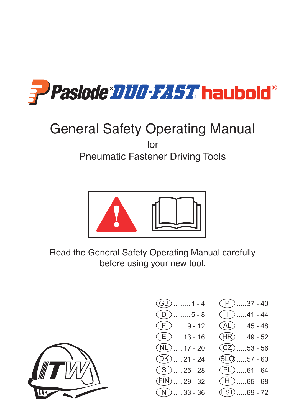

# General Safety Operating Manual for

Pneumatic Fastener Driving Tools



Read the General Safety Operating Manual carefully before using your new tool.



- $(BB)$  .......... 1 4  $\overline{D}$  .........5 - 8  $\widehat{F}$  .......9 - 12  $\widehat{E}$  ..... 13 - 16  $N_L$  ..... 17 - 20  $(DK)$  ..... 21 - 24  $(S)$  ..... 25 - 28  $(FIN)$  ..... 29 - 32  $N$ .....33 - 36
	- $(P$   $)$  ......37 40  $\bigcap$  .....41 - 44  $\overline{(AL) \dots 45 - 48}$  $(HR)$  ..... 49 - 52  $(CZ)$  ...... 53 - 56 SLO .....57 - 60  $(PL)$  ..... 61 - 64  $(H)$ .....65 - 68  $(ES\bar{D}$ .....69 - 72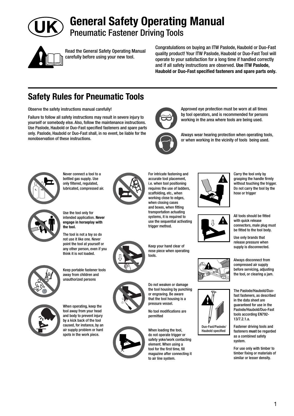

**General Safety Operating Manual** Pneumatic Fastener Driving Tools



Read the General Safety Operating Manual carefully before using your new tool.

Congratulations on buying an ITW Paslode, Haubold or Duo-Fast quality product! Your ITW Paslode, Haubold or Duo-Fast Tool will operate to your satisfaction for a long time if handled correctly and if all safety instructions are observed. **Use ITW Paslode, Haubold or Duo-Fast specified fasteners and spare parts only.** 

> Approved eye protection must be worn at all times by tool operators, and is recommended for persons working in the area where tools are being used.

Always wear hearing protection when operating tools, or when working in the vicinity of tools being used.

## **Safety Rules for Pneumatic Tools**

Observe the safety instructions manual carefully!

Failure to follow all safety instructions may result in severe injury to yourself or somebody else. Also, follow the maintenance instructions. Use Paslode, Haubold or Duo-Fast specified fasteners and spare parts only. Paslode, Haubold or Duo-Fast shall, in no event, be liable for the nonobservation of these instructions.



Never connect a tool to a bottled gas supply. Use only filtered, regulated, lubricated, compressed air.



Use the tool only for intended application. **Never engage in horseplay with the tool.**

The tool is not a toy so do not use it like one. Never point the tool at yourself or any other person, even if you think it is not loaded.



Keep portable fastener tools away from children and unauthorized persons



tool away from your head and body to prevent injury by a kick back of the tool caused, for instance, by an air supply problem or hard spots in the work piece.



For intricate fastening and accurate tool placement, i.e. when tool positioning requires the use of ladders, scaffolding, etc., when working close to edges, when closing cases and boxes, when fitting transportation actuating systems, it is required to use the sequential activating trigger method.



Keep your hand clear of nose piece when operating



the tool housing by punching or engraving. Be aware that the tool housing is a pressure vessel.



Do not weaken or damage

No tool modifications are permitted

When loading the tool, do not operate trigger or safety yoke/work contacting element. When using a tool for the first time, fill magazine after connecting it to air line system.









Haubold specified

Carry the tool only by grasping the handle firmly without touching the trigger. Do not carry the tool by the hose or trigger

All tools should be fitted with quick release connectors, male plug must be fitted to the tool body.

compressed air supply before servicing, adjusting the tool, or clearing a jam.

The Paslode/Haubold/Duofast fasteners, as described in the data sheet are guaranteed for use in the Paslode/Haubold/Duo-Fast tools according EN792- 13/7.2.1.a.

Fastener driving tools and fasteners **must** be regarded as a combined safety system.

For use only with timber to timber fixing or materials of similar or lesser density.

tools.

Use only brands that

Always disconnect from release pressure when supply is disconnected.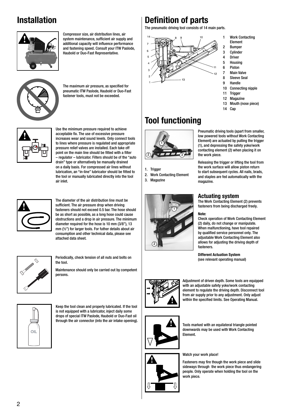## **Installation**



Compressor size, air distribution lines, air system maintenance, sufficient air supply and additional capacity will influence performance and fastening speed. Consult your ITW Paslode, Haubold or Duo-Fast Representative.



The maximum air pressure, as specified for pneumatic ITW Paslode, Haubold or Duo-Fast fastener tools, must not be exceeded.



Use the minimum pressure required to achieve acceptable fix. The use of excessive pressure increases wear and sound levels. Only connect tools to lines where pressure is regulated and appropriate pressure relief valves are installed. Each take off point on the main line should be fitted with a filter – regulator – lubricator. Filters should be of the "auto drain" type or alternatively be manually drained on a daily basis. For compressed air lines without lubrication, an "in-line" lubricator should be fitted to the tool or manually lubricated directly into the tool air inlet.



The diameter of the air distribution line must be sufficient. The air pressure drop when driving fasteners should not exceed 0.5 bar. The hose should be as short as possible, as a long hose could cause obstructions and a drop in air pressure. The minimum diameter required for the hose is 10 mm (3/8"), 13 mm (½") for larger tools. For futher details about air consumption and other technical data, please see attached data sheet.



Periodically, check tension of all nuts and bolts on example the contract of the contract of the change of the change of the change of the change of the change of the change of the change of the change of the change of the the tool.

Maintenance should only be carried out by competent persons.



Keep the tool clean and properly lubricated. If the tool is not equipped with a lubricator, inject daily some drops of special ITW Paslode, Haubold or Duo-Fast oil through the air connector (into the air intake opening).

## **Definition of parts**

The pneumatic driving tool consists of 14 main parts.



- **Work Contacting** Element
- 2 Bumper
- 3 Cylinder
- 4 Driver
- **Housing**
- 6 Piston 7 Main Valve
- 8 Sleeve Seal
- 9 Handle
- 10 Connecting nipple
- 11 Trigger
- 12 Magazine
- 13 Mouth (nose piece)
- 14 Cap

# **Tool functioning**



1. Trigger

2. Work Contacting Element 3. Magazine



Pneumatic driving tools (apart from smaller, low powered tools without Work Contacting Element) are actuated by pulling the trigger (1), and depressing the safety yoke/work contacting element (2) when placing it on the work piece.

Releasing the trigger or lifting the tool from the work surface will allow piston return to start subsequent cycles. All nails, brads, and staples are fed automatically with the magazine.

### **Actuating system**

The Work Contacting Element (2) prevents fasteners from being discharged freely.

### **Note:**

Check operation of Work Contacting Element (2) daily, do not change or manipulate. When malfunctioning, have tool repaired by qualified service personnel only. The adjustable Work Contacting Element also allows for adjusting the driving depth of fasteners.

**Different Actuation System**



Adjustment of driven depth. Some tools are equipped with an adjustable safety yoke/work contacting element to regulate the driving depth. Disconnect tool from air supply prior to any adjustment. Only adjust within the specified limits. See Operating Manual.



Tools marked with an equilateral triangle pointed downwards may be used with Work Contacting Element.

### Watch your work place!

Fasteners may fire though the work piece and slide sideways through the work piece thus endangering people. Only operate when holding the tool on the work piece.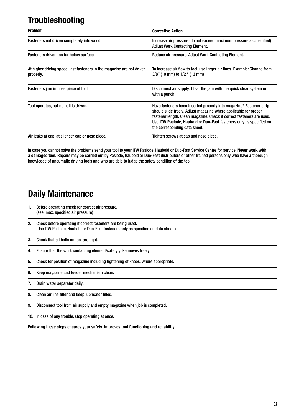# **Troubleshooting**

| <b>Problem</b>                                                                      | <b>Corrective Action</b>                                                                                                                                                                                                                                                                                                 |
|-------------------------------------------------------------------------------------|--------------------------------------------------------------------------------------------------------------------------------------------------------------------------------------------------------------------------------------------------------------------------------------------------------------------------|
| Fasteners not driven completely into wood                                           | Increase air pressure (do not exceed maximum pressure as specified)<br><b>Adjust Work Contacting Element.</b>                                                                                                                                                                                                            |
| Fasteners driven too far below surface.                                             | Reduce air pressure. Adjust Work Contacting Element.                                                                                                                                                                                                                                                                     |
| At higher driving speed, last fasteners in the magazine are not driven<br>properly. | To increase air flow to tool, use larger air lines. Example: Change from<br>$3/8$ " (10 mm) to $1/2$ " (13 mm)                                                                                                                                                                                                           |
| Fasteners jam in nose piece of tool.                                                | Disconnect air supply. Clear the jam with the quick clear system or<br>with a punch.                                                                                                                                                                                                                                     |
| Tool operates, but no nail is driven.                                               | Have fasteners been inserted properly into magazine? Fastener strip<br>should slide freely. Adjust magazine where applicable for proper<br>fastener length. Clean magazine. Check if correct fasteners are used.<br>Use ITW Paslode, Haubold or Duo-Fast fasteners only as specified on<br>the corresponding data sheet. |
| Air leaks at cap, at silencer cap or nose piece.                                    | Tighten screws at cap and nose piece.                                                                                                                                                                                                                                                                                    |

In case you cannot solve the problems send your tool to your ITW Paslode, Haubold or Duo-Fast Service Centre for service. **Never work with a damaged tool**. Repairs may be carried out by Paslode, Haubold or Duo-Fast distributors or other trained persons only who have a thorough knowledge of pneumatic driving tools and who are able to judge the safety condition of the tool.

### **Daily Maintenance**

- 1. Before operating check for correct air pressure. (see max. specified air pressure)
- 2. Check before operating if correct fasteners are being used. (Use ITW Paslode, Haubold or Duo-Fast fasteners only as specified on data sheet.)

3. Check that all bolts on tool are tight.

- 4. Ensure that the work contacting element/safety yoke moves freely.
- 5. Check for position of magazine including tightening of knobs, where appropriate.
- 6. Keep magazine and feeder mechanism clean.
- 7. Drain water separator daily.
- 8. Clean air line filter and keep lubricator filled.
- 9. Disconnect tool from air supply and empty magazine when job is completed.
- 10. In case of any trouble, stop operating at once.

**Following these steps ensures your safety, improves tool functioning and reliability.**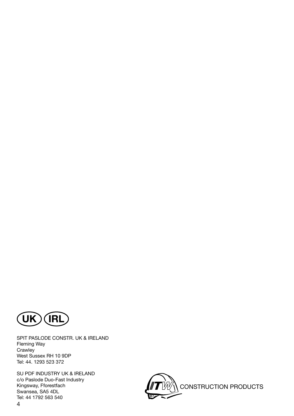

SPIT PASLODE CONSTR. UK & IRELAND Fleming Way **Crawley** West Sussex RH 10 9DP Tel: 44. 1293 523 372

4 SU PDF INDUSTRY UK & IRELAND c/o Paslode Duo-Fast Industry Kingsway, Fforestfach Swansea, SA5 4DL Tel: 44 1792 563 540

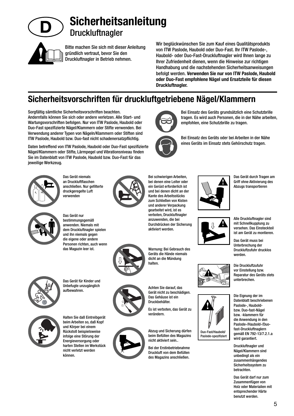

# **Sicherheitsanleitung Druckluftnagler**

Bitte machen Sie sich mit dieser Anleitung gründlich vertraut, bevor Sie den Druckluftnagler in Betrieb nehmen.

Wir beglückwünschen Sie zum Kauf eines Qualitätsprodukts von ITW Paslode, Haubold oder Duo-Fast. Ihr ITW Paslode-, Haubold- oder Duo-Fast-Druckluftnagler wird Ihnen lange zu Ihrer Zufriedenheit dienen, wenn die Hinweise zur richtigen Handhabung und die nachstehenden Sicherheitsanweisungen befolgt werden. **Verwenden Sie nur von ITW Paslode, Haubold oder Duo-Fast empfohlene Nägel und Ersatzteile für diesen Druckluftnagler.**

empfohlen, eine Schutzbrille zu tragen.

Bei Einsatz des Geräts grundsätzlich eine Schutzbrille tragen. Es wird auch Personen, die in der Nähe arbeiten,

Bei Einsatz des Geräts oder bei Arbeiten in der Nähe eines Geräts im Einsatz stets Gehörschutz tragen.

# **Sicherheitsvorschriften für druckluftgetriebene Nägel/Klammern**

Sorgfältig sämtliche Sicherheitsvorschriften beachten. Andernfalls können Sie sich oder andere verletzen. Alle Start- und Wartungsvorschriften befolgen. Nur von ITW Paslode, Haubold oder Duo-Fast spezifizierte Nägel/Klammern oder Stifte verwenden. Bei Verwendung anderer Typen von Nägeln/Klammern oder Stiften sind ITW Paslode, Haubold bzw. Duo-fast nicht schadenersatzpflichtig.

Daten betreffend von ITW Paslode, Haubold oder Duo-Fast spezifizierte Nägel/Klammern oder Stifte, Lärmpegel und Vibrationsniveau finden Sie im Datenblatt von ITW Paslode, Haubold bzw. Duo-Fast für das jeweilige Werkzeug.



Das Gerät niemals an Druckluftflaschen anschließen. Nur gefilterte druckgeregelte Luft verwenden



Das Gerät nur bestimmungsgemäß anwenden. Niemals mit dem Druckluftnagler spielen und ihn niemals gegen die eigene oder andere Personen richten, auch wenn das Magazin leer ist.



Bei schwierigen Arbeiten, bei denen eine Leiter oder ein Gerüst erforderlich ist und bei denen dicht an der Kante des Arbeitsstücks zum Schließen von Kisten und anderer Verpackung gearbeitet wird, ist es verboten, Druckluftnagler anzuwenden, die bei Durchdrücken der Sicherung aktiviert werden.



Warnung: Bei Gebrauch des Geräts die Hände niemals dicht an die Mündung halten.



Gerät nicht zu beschädigen. Das Gehäuse ist ein Druckbehälter.

Es ist verboten, das Gerät zu verändern.

Abzug und Sicherung dürfen beim Befüllen des Magazins nicht aktiviert sein..

Bei der Erstinbetriebnahme Druckluft von dem Befüllen des Magazins anschließen.









Alle Druckluftnagler sind mit Schnellkupplung zu versehen. Das Einsteckteil ist am Gerät zu montieren.

Das Gerät muss bei Unterbrechung der Druckluftzufuhr drucklos werden.

Die Druckluftzufuhr vor Einstellung bzw. Reparatur des Geräts stets unterbrechen.

Die Eignung der im Datenblatt beschriebenen Paslode-, Hauboldbzw. Duo-fast-Nägel bzw. -klammern für die Anwendung in den Paslode-/Haubold-/Duofast-Druckluftnaglern gemäß EN 792-13/7.2.1.a wird garantiert.

Druckluftnagler und Nägel/Klammern sind unbedingt als ein zusammenhängendes Sicherheitssystem zu betrachten.

Das Gerät darf nur zum Zusammenfügen von Holz oder Materialien mit entsprechender Härte benutzt werden.



Das Gerät für Kinder und Unbefugte unzugänglich aufbewahren.



Halten Sie daß Eintreibgerät beim Arbeiten so, daß Kopf und Körper bei einem Rückstoß beispielsweise infolge eine Störung der Energieversorgung oder harten Stellen im Werkstück nicht verletzt werden können.



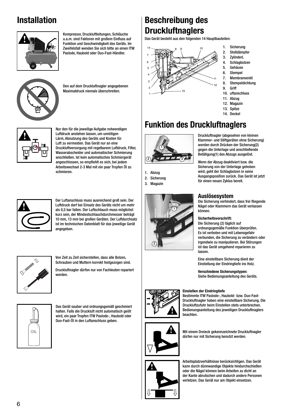## **Installation**



Kompressor, Druckluftleitungen, Schläuche u.a.m. sind Faktoren mit großem Einfluss auf Funktion und Geschwindigkeit des Geräts. Im Zweifelsfall wenden Sie sich bitte an einen ITW Paslode, Haubold oder Duo-Fast-Händler.



Den auf dem Druckluftnagler angegebenen Maximaldruck niemals überschreiten.



Nur den für die jeweilige Aufgabe notwendigen Luftdruck anstehen lassen, um unnötigen Lärm, Abnutzung des Geräts und Kosten für Luft zu vermeiden. Das Gerät nur an eine Druckluftversorgung mit regelbarem Luftdruck, Filter, Wasserabscheider und automatischer Schmierung anschließen. Ist kein automatisches Schmiergerät angeschlossen, so empfiehlt es sich, bei jedem Arbeitswechsel 2-3 Mal mit ein paar Tropfen Öl zu schmieren.



Der Luftanschluss muss ausreichend groß sein. Der Luftdruck darf bei Einsatz des Geräts nicht um mehr als 0,5 bar fallen. Der Luftschlauch muss möglichst kurz sein, der Mindestschlauchdurchmesser beträgt 10 mm, 13 mm bei großen Geräten. Der Luftdurchsatz ist im technischen Datenblatt für das jeweilige Gerät angegeben.



Von Zeit zu Zeit sicherstellen, dass alle Bolzen, Schrauben und Muttern korrekt festgezogen sind.

Druckluftnagler dürfen nur von Fachleuten repariert werden.



Das Gerät sauber und ordnungsgemäß geschmiert halten. Falls die Druckluft nicht automatisch geölt wird, ein paar Tropfen ITW Paslode-, Haubold oder Duo-Fast-Öl in den Luftanschluss geben.

# **Beschreibung des Druckluftnaglers**

Das Gerät besteht aus den folgenden 14 Hauptbauteilen:



- 1. Sicherung
- 2. Stoßdämpfer
- 3. ZylinderL
- 4. Schlagbolzen
- 5. Gehäuse
- 6. Stempel
- 7. Membranventil 8. Stempeldichtung
- 9. Griff
- 10. uftanschluss
- 11. Abzug
- 12. Magazin
- 13. Spitze
- 14. Deckel

## **Funktion des Druckluftnaglers**



1. Abzug 2. Sicherung

3. Magazin



Druckluftnagler (abgesehen von kleinen Klammer- und Stiftgeräten ohne Sicherung) werden durch Drücken der Sicherung(2) gegen die Unterlage und anschließende Betätigung(1) des Abzugs ausgelöst.

Wenn der Abzug deaktiviert bzw. die Sicherung von der Unterlage gehoben wird, geht der Schlagbolzen in seine Ausgangsposition zurück. Das Gerät ist jetzt für einen neuen Zyklus bereit.

### **Auslösesystem**

Die Sicherung verhindert, dass frei fliegende Nägel oder Klammern das Gerät verlassen können.

#### **Sicherheitsvorschrift:**

Die Sicherung (2) täglich auf ordnungsgemäße Funktion überprüfen. Es ist verboten und mit Lebensgefahr verbunden, die Sicherung zu verändern oder irgendwie zu manipulieren. Bei Störungen ist das Gerät umgehend reparieren zu lassen.

Eine einstellbare Sicherung dient der Einstellung der Eindringtiefe ins Holz.

**Verschiedene Sicherungstypen:** Siehe Bedienungsanleitung des Geräts.

#### **Einstellen der Eindringtiefe**

Bestimmte ITW Paslode-, Haubold- bzw. Duo-Fast-Druckluftnagler haben eine einstellbare Sicherung. Die Druckluftzufuhr beim Einstellen stets unterbrechen. Bedienungsanleitung des jeweiligen Druckluftnaglers beachten.



Mit einem Dreieck gekennzeichnete Druckluftnagler dürfen nur mit Sicherung benutzt werden.



Arbeitsplatzverhältnisse berücksichtigen. Das Gerät kann durch dünnwandige Objekte hindurchschießen oder die Nägel können beim Arbeiten zu dicht an der Kante abrutschen und dadurch andere Personen verletzen. Das Gerät nur am Objekt einsetzen.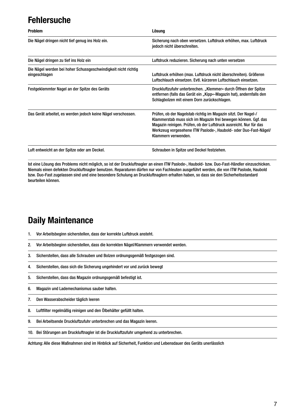## **Fehlersuche**

| <b>Problem</b>                                                                  | Lösung                                                                                                                                                                                                                                                                                           |
|---------------------------------------------------------------------------------|--------------------------------------------------------------------------------------------------------------------------------------------------------------------------------------------------------------------------------------------------------------------------------------------------|
| Die Nägel dringen nicht tief genug ins Holz ein.                                | Sicherung nach oben versetzen. Luftdruck erhöhen, max. Luftdruck<br>jedoch nicht überschreiten.                                                                                                                                                                                                  |
| Die Nägel dringen zu tief ins Holz ein                                          | Luftdruck reduzieren. Sicherung nach unten versetzen                                                                                                                                                                                                                                             |
| Die Nägel werden bei hoher Schussgeschwindigkeit nicht richtig<br>eingeschlagen | Luftdruck erhöhen (max. Luftdruck nicht überschreiten). Größeren<br>Luftschlauch einsetzen. Evtl. kürzeren Luftschlauch einsetzen.                                                                                                                                                               |
| Festgeklemmter Nagel an der Spitze des Geräts                                   | Druckluftzufuhr unterbrechen. "Klemmer« durch Öffnen der Spitze<br>entfernen (falls das Gerät ein "Kipp«-Magazin hat), andernfalls den<br>Schlagbolzen mit einem Dorn zurückschlagen.                                                                                                            |
| Das Gerät arbeitet, es werden jedoch keine Nägel verschossen.                   | Prüfen, ob der Nagelstab richtig im Magazin sitzt. Der Nagel-/<br>Klammerstab muss sich im Magazin frei bewegen können. Ggf. das<br>Magazin reinigen. Prüfen, ob der Luftdruck ausreicht. Nur für das<br>Werkzeug vorgesehene ITW Paslode-, Haubold- oder Duo-Fast-Nägel/<br>Klammern verwenden. |
| Luft entweicht an der Spitze oder am Deckel.                                    | Schrauben in Spitze und Deckel festziehen.                                                                                                                                                                                                                                                       |

Ist eine Lösung des Problems nicht möglich, so ist der Druckluftnagler an einen ITW Paslode-, Haubold- bzw. Duo-Fast-Händler einzuschicken. Niemals einen defekten Druckluftnagler benutzen. Reparaturen dürfen nur von Fachleuten ausgeführt werden, die von ITW Paslode, Haubold bzw. Duo-Fast zugelassen sind und eine besondere Schulung an Druckluftnaglern erhalten haben, so dass sie den Sicherheitsstandard beurteilen können.

### **Daily Maintenance**

- 1. Vor Arbeitsbeginn sicherstellen, dass der korrekte Luftdruck ansteht.
- 2. Vor Arbeitsbeginn sicherstellen, dass die korrekten Nägel/Klammern verwendet werden.
- 3. Sicherstellen, dass alle Schrauben und Bolzen ordnungsgemäß festgezogen sind.
- 4. Sicherstellen, dass sich die Sicherung ungehindert vor und zurück bewegt
- 5. Sicherstellen, dass das Magazin ordnungsgemäß befestigt ist.
- 6. Magazin und Lademechanismus sauber halten.
- 7. Den Wasserabscheider täglich leeren
- 8. Luftfilter regelmäßig reinigen und den Ölbehälter gefüllt halten.
- 9. Bei Arbeitsende Druckluftzufuhr unterbrechen und das Magazin leeren.
- 10. Bei Störungen am Druckluftnagler ist die Druckluftzufuhr umgehend zu unterbrechen.

Achtung: Alle diese Maßnahmen sind im Hinblick auf Sicherheit, Funktion und Lebensdauer des Geräts unerlässlich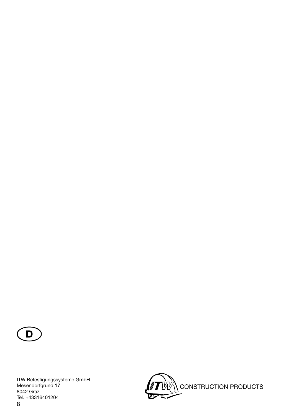

8 ITW Befestigungssysteme GmbH Mesendorfgrund 17 8042 Graz Tel. +43316401204

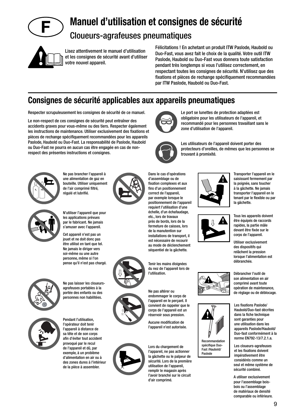

# **Manuel d'utilisation et consignes de sécurité**

### Cloueurs-agrafeuses pneumatiques



Lisez attentivement le manuel d'utilisation et les consignes de sécurité avant d'utiliser votre nouvel appareil.

Félicitations ! En achetant un produit ITW Paslode, Haubold ou Duo-Fast, vous avez fait le choix de la qualité. Votre outil ITW Paslode, Haubold ou Duo-Fast vous donnera toute satisfaction pendant très longtemps si vous l'utilisez correctement, en respectant toutes les consignes de sécurité. N'utilisez que des fixations et pièces de rechange spécifiquement recommandées par ITW Paslode, Haubold ou Duo-Fast.

> Le port se lunettes de protection adaptées est obligatoire pour les utilisateurs de l'appareil, et recommandé pour les personnes travaillant sans le

zone d'utilisation de l'appareil.

### **Consignes de sécurité applicables aux appareils pneumatiques**

Respecter scrupuleusement les consignes de sécurité de ce manuel.

Le non-respect de ces consignes de sécurité peut entraîner des accidents graves pour vous-même ou des tiers. Respecter également les instructions de maintenance. Utiliser exclusivement des fixations et pièces de rechange spécifiquement recommandées pour les appareils Paslode, Haubold ou Duo-Fast. La responsabilité de Paslode, Haubold ou Duo-Fast ne pourra en aucun cas être engagée en cas de nonrespect des présentes instructions et consignes.



Ne pas brancher l'appareil à une alimentation de gaz en bouteille. Utiliser uniquement de l'air comprimé filtré, régulé et lubrifié.



N'utiliser l'appareil que pour les applications prévues par le fabricant. Ne jamais s'amuser avec l'appareil.

Cet appareil n'est pas un jouet et ne doit donc pas être utilisé en tant que tel. Ne jamais le diriger vers soi-même ou une autre personne, même si l'on pense qu'il n'est pas chargé.



Ne pas laisser les cloueursagrafeuses portables à la portée des enfants ou des personnes non habilitées.



Pendant l'utilisation, l'opérateur doit tenir l'appareil à distance de sa tête et de son corps afin d'éviter tout accident provoqué par le recul de l'appareil et dû, par exemple, à un problème d'alimentation en air ou à des zones dures à l'intérieur de la pièce à assembler.



fins d'un positionnement correct de l'appareil, par exemple lorsque le positionnement de l'appareil requiert l'utilisation d'une échelle, d'un échafaudage, etc., lors de travaux près de bords, lors de la fermeture de caisses, lors de la manutention sur installations de transport, il est nécessaire de recourir au mode de déclenchement séquentiel de la gâchette.

Tenir les mains éloignées du nez de l'appareil lors de l'utilisation.

Ne pas altérer ou endommager le corps de l'appareil en le perçant. Il convient de rappeler que le corps de l'appareil est un réservoir sous pression.

Aucune modification de l'appareil n'est autorisée.

Lors du chargement de l'appareil, ne pas actionner la gâchette ou le palpeur de sécurité. Lors de la première utilisation de l'appareil, remplir le magasin après l'avoir branché sur le circuit d'air comprimé.



d'assemblage ou de fixation complexes et aux





Transporter l'appareil en le saisissant fermement par la poignée, sans toucher à la gâchette. Ne jamais transporter l'appareil en le tenant par le flexible ou par la gâchette.

Tous les appareils doivent être équipés de raccords rapides, la partie mâle devant être fixée sur le corps de l'appareil.

Utiliser exclusivement des dispositifs qui relâchent la pression lorsque l'alimentation est débranchée.

Débrancher l'outil de son alimentation en air comprimé avant toute opération de maintenance, de réglage ou de déblocage.

Les fixations Paslode/ Haubold/Duo-fast décrites dans la fiche technique sont garanties pour une utilisation dans les appareils Paslode/Haubold/ Duo-fast conformément à la norme EN792-13/7.2.1.a.

Les cloueurs-agrafeuses et les fixations doivent impérativement être considérés comme un seul et même système de sécurité combiné.

A utiliser exclusivement pour l'assemblage boisbois ou l'assemblage de matériaux de densité comparable ou inférieure.



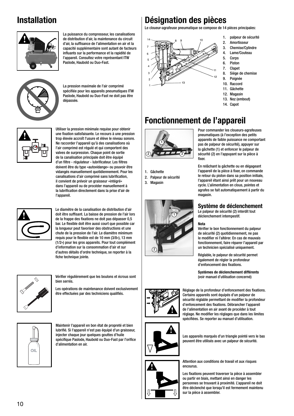## **Installation**



La puissance du compresseur, les canalisations de distribution d'air, la maintenance du circuit d'air, la suffisance de l'alimentation en air et la capacité supplémentaire sont autant de facteurs influants sur la performance et la rapidité de l'appareil. Consultez votre représentant ITW Paslode, Haubold ou Duo-Fast.



La pression maximale de l'air comprimé spécifiée pour les appareils pneumatiques ITW Paslode, Haubold ou Duo-Fast ne doit pas être dépassée.



Utiliser la pression minimale requise pour obtenir une fixation satisfaisante. Le recours à une pression trop élevée accroît l'usure et élève le niveau sonore. Ne raccorder l'appareil qu'à des canalisations où l'air comprimé est régulé et qui comportent des valves de surpression. Chaque point de sortie de la canalisation principale doit être équipé d'un filtre - régulateur - lubrificateur. Les filtres doivent être du type »autovidange« ou pouvoir être vidangés manuellement quotidiennement. Pour les canalisations d'air comprimé sans lubrification, il convient de prévoir un graisseur »intégré« dans l'appareil ou de procéder manuellement à la lubrification directement dans la prise d'air de l'appareil.



Le diamètre de la canalisation de distribution d'air doit être suffisant. La baisse de pression de l'air lors de la frappe des fixations ne doit pas dépasser 0,5 bar. Le flexible doit être aussi court que possible car la longueur peut favoriser des obstructions et une chute de la pression de l'air. Le diamètre minimum requis pour le flexible est de 10 mm (3/8«), 13 mm (1/2«) pour les gros appareils. Pour tout complément d'information sur la consommation d'air et sur d'autres détails d'ordre technique, se reporter à la fiche technique jointe.



Vérifier régulièrement que les boulons et écrous sont de la concerné) (voir manuel d'utilisation concerné) bien serrés.

Les opérations de maintenance doivent exclusivement être effectuées par des techniciens qualifiés.



Maintenir l'appareil en bon état de propreté et bien lubrifié. Si l'appareil n'est pas équipé d'un graisseur, injecter chaque jour quelques gouttes d'huile spécifique Paslode, Haubold ou Duo-Fast par l'orifice d'alimentation en air.

### **Désignation des pièces**

Le cloueur-agrafeuse pneumatique se compose de 14 pièces principales:



- 1. palpeur de sécurité
- 2. Amortisseur
- 3. Chemise/Cylindre 4. Lame/Couteau
- 5. Corps
- 6. Piston
- 7. Clapet
- 8. Siège de chemise
- 9. Poignée
- 10. Raccord
- 11. Gâchette
- 12. Magasin
- 13. Nez (embout)
- 14. Capot

# **Fonctionnement de l'appareil**



1. Gâchette

- 2. Palpeur de sécurité
- 3. Magasin



Pour commander les cloueurs-agrafeuses pneumatiques (à l'exception des petits appareils de faible puissance ne comportant pas de palpeur de sécurité), appuyer sur la gâchette (1) et enfoncer le palpeur de sécurité (2) en l'appuyant sur la pièce à fixer

En relâchant la gâchette ou en dégageant l'appareil de la pièce à fixer, on commande le retour du piston dans sa position initiale, l'appareil étant ainsi prêt pour un nouveau cycle. L'alimentation en clous, pointes et agrafes se fait automatiquement à partir du magasin.

### **Système de déclenchement**

Le palpeur de sécurité (2) interdit tout déclenchement intempestif.

### **Nota**

Vérifier le bon fonctionnement du palpeur de sécurité (2) quotidiennement, ne pas le modifier ni l'altérer. En cas de mauvais fonctionnement, faire réparer l'appareil par un technicien spécialisé uniquement.

Réglable, le palpeur de sécurité permet également de régler la profondeur d'enfoncement des fixations.

**Systèmes de déclenchement différents**



Réglage de la profondeur d'enfoncement des fixations. Certains appareils sont équipés d'un palpeur de sécurité réglable permettant de modifier la profondeur d'enfoncement des fixations. Débrancher l'appareil de l'alimentation en air avant de procéder à tout réglage. Ne modifier les réglages que dans les limites spécifiées. Se reporter au manuel d'utilisation.



Les appareils marqués d'un triangle pointé vers le bas peuvent être utilisés avec un palpeur de sécurité.

Attention aux conditions de travail et aux risques encourus.

Les fixations peuvent traverser la pièce à assembler ou partir en biais, mettant ainsi en danger les personnes se trouvant à proximité. L'appareil ne doit être déclenché que lorsqu'il est fermement maintenu sur la pièce à assembler.



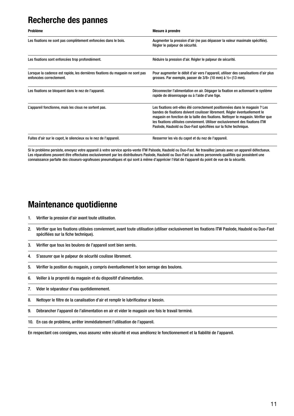### **Recherche des pannes**

| <b>Problème</b>                                                                                          | Mesure à prendre                                                                                                                                                                                                                                                                                                                                                                                  |
|----------------------------------------------------------------------------------------------------------|---------------------------------------------------------------------------------------------------------------------------------------------------------------------------------------------------------------------------------------------------------------------------------------------------------------------------------------------------------------------------------------------------|
| Les fixations ne sont pas complètement enfoncées dans le bois.                                           | Augmenter la pression d'air (ne pas dépasser la valeur maximale spécifiée).<br>Régler le palpeur de sécurité.                                                                                                                                                                                                                                                                                     |
| Les fixations sont enfoncées trop profondément.                                                          | Réduire la pression d'air. Régler le palpeur de sécurité.                                                                                                                                                                                                                                                                                                                                         |
| Lorsque la cadence est rapide, les dernières fixations du magasin ne sont pas<br>enfoncées correctement. | Pour augmenter le débit d'air vers l'appareil, utiliser des canalisations d'air plus<br>grosses. Par exemple, passer de $3/8$ « (10 mm) à $\frac{1}{2}$ « (13 mm).                                                                                                                                                                                                                                |
| Les fixations se bloquent dans le nez de l'appareil.                                                     | Déconnecter l'alimentation en air. Dégager la fixation en actionnant le système<br>rapide de désenrayage ou à l'aide d'une tige.                                                                                                                                                                                                                                                                  |
| L'appareil fonctionne, mais les clous ne sortent pas.                                                    | Les fixations ont-elles été correctement positionnées dans le magasin ? Les<br>bandes de fixations doivent coulisser librement. Régler éventuellement le<br>magasin en fonction de la taille des fixations. Nettoyer le magasin. Vérifier que<br>les fixations utilisées conviennent. Utiliser exclusivement des fixations ITW<br>Paslode, Haubold ou Duo-Fast spécifiées sur la fiche technique. |
| Fuites d'air sur le capot, le silencieux ou le nez de l'appareil.                                        | Resserrer les vis du capot et du nez de l'appareil.                                                                                                                                                                                                                                                                                                                                               |

Si le problème persiste, envoyez votre appareil à votre service après-vente ITW Palsode, Haubold ou Duo-Fast. Ne travaillez jamais avec un appareil défectueux. Les réparations peuvent être effectuées exclusivement par les distributeurs Paslode, Haubold ou Duo-Fast ou autres personnels qualifiés qui possèdent une connaissance parfaite des cloueurs-agrafeuses pneumatiques et qui sont à même d'apprécier l'état de l'appareil du point de vue de la sécurité.

### **Maintenance quotidienne**

- 1. Vérifier la pression d'air avant toute utilisation.
- 2. Vérifier que les fixations utilisées conviennent, avant toute utilisation (utiliser exclusivement les fixations ITW Paslode, Haubold ou Duo-Fast spécifiées sur la fiche technique).
- 3. Vérifier que tous les boulons de l'appareil sont bien serrés.
- 4. S'assurer que le palpeur de sécurité coulisse librement.
- 5. Vérifier la position du magasin, y compris éventuellement le bon serrage des boulons.
- 6. Veiller à la propreté du magasin et du dispositif d'alimentation.
- 7. Vider le séparateur d'eau quotidiennement.
- 8. Nettoyer le filtre de la canalisation d'air et remplir le lubrificateur si besoin.
- 9. Débrancher l'appareil de l'alimentation en air et vider le magasin une fois le travail terminé.
- 10. En cas de problème, arrêter immédiatement l'utilisation de l'appareil.

En respectant ces consignes, vous assurez votre sécurité et vous améliorez le fonctionnement et la fiabilité de l'appareil.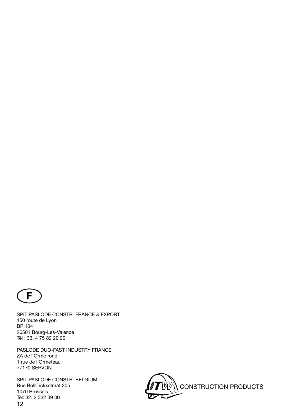

SPIT PASLODE CONSTR. FRANCE & EXPORT 150 route de Lyon BP 104 26501 Bourg-Lès-Valence Tél : 33. 4 75 82 20 20

PASLODE DUO-FAST INDUSTRY FRANCE ZA de l'Orme rond 1 rue de l'Ormeteau 77170 SERVON

12 SPIT PASLODE CONSTR. BELGIUM Rue Bolllinckxstraat 205 1070 Brussels Tel: 32. 2 332 39 00

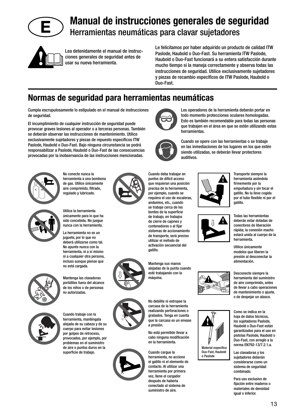

# **Manual de instrucciones generales de seguridad** Herramientas neumáticas para clavar sujetadores



Lea detenidamente el manual de instrucciones generales de seguridad antes de usar su nueva herramienta.

Le felicitamos por haber adquirido un producto de calidad ITW Paslode, Haubold o Duo-Fast. Su herramienta ITW Paslode, Haubold o Duo-Fast funcionará a su entera satisfacción durante mucho tiempo si la maneja correctamente y observa todas las instrucciones de seguridad. Utilice exclusivamente sujetadores y piezas de recambio específicos de ITW Paslode, Haubold o Duo-Fast.

### **Normas de seguridad para herramientas neumáticas**

Cumpla escrupulosamente lo estipulado en el manual de instrucciones de seguridad.

El incumplimiento de cualquier instrucción de seguridad puede provocar graves lesiones al operador o a terceras personas. También se deberán observar las instrucciones de mantenimiento. Utilice exclusivamente sujetadores y piezas de repuesto específicos ITW Paslode, Haubold o Duo-Fast. Bajo ninguna circunstancia se podrá responsabilizar a Paslode, Haubold o Duo-Fast de las consecuencias provocadas por la inobservancia de las instrucciones mencionadas.



No conecte nunca la herramienta a una bombona de gas. Utilice únicamente aire comprimido, filtrado, regulado y lubricado.



Utilice la herramienta únicamente para lo que ha sido concebida. No juegue nunca con la herramienta.

La herramienta no es un juguete, por lo que no deberá utilizarse como tal. No apunte nunca con la herramienta, ni a sí mismo ni a cualquier otra persona, incluso aunque piense que no está cargada.



Mantenga las clavadoras portátiles fuera del alcance de los niños o de personas no autorizadas.





en la herramienta.

el gatillo ni el elemento de



Los operadores de la herramienta deberán portar en todo momento protecciones oculares homologadas. Esto es también recomendable para todas las personas que trabajen en el área en que se estén utilizando estas herramientas.



Cuando deba trabajar en

Cuando se opere con las herramientas o se trabaje en las inmediaciones de los lugares en los que estén siendo utilizadas, se deberán llevar protectores auditivos.



Transporte siempre la herramienta asiéndola firmemente por la empuñadura y sin tocar el gatillo. No la lleve cogida por el tubo flexible ni por el gatillo.

Todas las herramientas deberán estar dotadas de conectores de liberación rápida; la conexión macho estará unida al cuerpo de la herramienta.

> Utilice únicamente modelos que liberen la presión al desconectar la alimentación.

Desconecte siempre la herramienta del suministro de aire comprimido, antes de llevar a cabo operaciones de mantenimiento o ajuste, o de despejar un atasco.





Como se indica en la hoja de datos técnicos, los sujetadores Paslode, Haubold o Duo-Fast están garantizados para el uso en pistolas Paslode, Haubold o Duo-Fast, con arreglo a la

Las clavadoras y los sujetadores deberán considerarse como un sistema de seguridad combinado.

Para uso exclusivo de fijación entre maderos o materiales de densidad igual o inferior



Cuando trabaje con la herramienta, manténgala alejada de su cabeza y de su cuerpo para evitar lesiones por golpes de retroceso, provocados, por ejemplo, por problemas en el suministro de aire o puntos duros en la superficie de trabajo.



puntos de difícil acceso que requieran una posición precisa de la herramienta, por ejemplo, cuando se requiera el uso de escaleras, andamios, etc., cuando se trabaje cerca de los bordes de la superficie de trabajo, en trabajos de cierre de cajones y contenedores o al fijar sistemas de accionamiento de transporte, será preciso utilizar el método de activación secuencial del gatillo.

Mantenga sus manos alejadas de la punta cuando esté trabajando con la máquina.

No debilite ni estropee la carcasa de la herramienta realizando perforaciones o grabados. Tenga en cuenta que la carcasa es un envase

No está permitido llevar a cabo ninguna modificación

Cuando cargue la herramienta, no accione contacto. Al utilizar una herramienta por primera vez, llene el cargador después de haberla conectado al sistema de suministro de aire.

13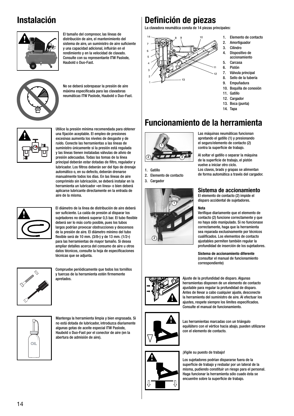## **Instalación**



El tamaño del compresor, las líneas de distribución de aire, el mantenimiento del sistema de aire, un suministro de aire suficiente v una capacidad adicional, influirán en el rendimiento y en la velocidad de clavado. Consulte con su representante ITW Paslode, Haubold o Duo-Fast.



No se deberá sobrepasar la presión de aire máxima especificada para las clavadoras neumáticas ITW Paslode, Haubold o Duo-Fast.



Utilice la presión mínima recomendada para obtener una fijación aceptable. El empleo de presiones excesivas aumenta los niveles de desgaste y de ruido. Conecte las herramientas a las líneas de suministro únicamente si la presión está regulada y las líneas tienen instaladas válvulas de alivio de presión adecuadas. Todas las tomas de la línea principal deberán estar dotadas de filtro, regulador y .<br>Jubricador. Los filtros deberán ser del tipo de drenaje automático o, en su defecto, deberán drenarse manualmente todos los días. En las líneas de aire comprimido sin lubricación, se deberá instalar en la herramienta un lubricador »en línea« o bien deberá aplicarse lubricante directamente en la entrada de aire de la misma.



El diámetro de la línea de distribución de aire deberá ser suficiente. La caída de presión al disparar los sujetadores no deberá superar 0,5 bar. El tubo flexible deberá ser lo más corto posible, pues los tubos largos podrían provocar obstrucciones y descensos de la presión de aire. El diámetro mínimo del tubo fl exible será de 10 mm. (3/8«) y de 13 mm. (1/2«) para las herramientas de mayor tamaño. Si desea ampliar detalles acerca del consumo de aire u otros datos técnicos, consulte la hoja de especificaciones técnicas que se adjunta.



Compruebe periódicamente que todos los tornillos y tuercas de la herramienta estén firmemente **a**nretados



Mantenga la herramienta limpia y bien engrasada. Si no está dotada de lubricador, introduzca diariamente algunas gotas de aceite especial ITW Paslode, Haubold o Duo-Fast por el conector de aire (en la abertura de admisión de aire).

## **Definición de piezas**

La clavadora neumática consta de 14 piezas principales:



- 1. Elemento de contacto
- 2. Amortiguador 3. Cilindro
- 4. Dispositivo de
- accionamiento 5. Carcasa
- 6. Pistón
- 7. Válvula principal
- 8. Sello de la tubería
- 9. Empuñadura
- 10. Boquilla de conexión
- 11. Gatillo
- 12. Cargador
- 13. Boca (punta)
- 14. Tapa

### **Funcionamiento de la herramienta**



- 1. Gatillo
- 2. Elemento de contacto
- 3. Cargador



#### Las máquinas neumáticas funcionan apretando el gatillo (1) y presionando el seguro/elemento de contacto (2) contra la superficie de trabajo.

Al soltar el gatillo o separar la máquina de la superficie de trabajo, el pistón vuelve a iniciar otro ciclo. Los clavos, brads y grapas se alimentan de forma automática a través del cargador.

### **Sistema de accionamiento**

El elemento de contacto (2) impide el disparo accidental de sujetadores.

### **Nota**

Verifique diariamente que el elemento de contacto (2) funcione correctamente y que no haya sido manipulado. Si no funcionase correctamente, haga que la herramienta sea reparada exclusivamente por técnicos cualifi cados. Los elementos de contacto ajustables permiten también regular la profundidad de inserción de los sujetadores.

**Sistema de accionamiento diferente** (consultar el manual de funcionamiento correspondiente)



Ajuste de la profundidad de disparo. Algunas herramientas disponen de un elemento de contacto ajustable para regular la profundidad de disparo. Antes de llevar a cabo cualquier ajuste, desconecte la herramienta del suministro de aire. Al efectuar los ajustes, respete siempre los límites especificados. Consulte el manual de funcionamiento.



Las herramientas marcadas con un triángulo equilátero con el vértice hacia abajo, pueden utilizarse con el elemento de contacto.

### ¡Vigile su puesto de trabajo!

Los sujetadores podrían dispararse fuera de la superficie de trabajo y resbalar por un lateral de la misma, pudiendo constituir un riesgo para el personal. Haga funcionar la herramienta sólo cuado ésta se encuentre sobre la superficie de trabajo.

14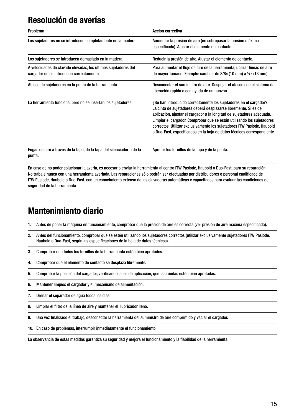### **Resolución de averías**

| Problema                                                                                                   | Acción correctiva                                                                                                                                                                                                                                                                                                                                                                                                                              |
|------------------------------------------------------------------------------------------------------------|------------------------------------------------------------------------------------------------------------------------------------------------------------------------------------------------------------------------------------------------------------------------------------------------------------------------------------------------------------------------------------------------------------------------------------------------|
| Los sujetadores no se introducen completamente en la madera.                                               | Aumentar la presión de aire (no sobrepasar la presión máxima<br>especificada). Ajustar el elemento de contacto.                                                                                                                                                                                                                                                                                                                                |
| Los sujetadores se introducen demasiado en la madera.                                                      | Reducir la presión de aire. Ajustar el elemento de contacto.                                                                                                                                                                                                                                                                                                                                                                                   |
| A velocidades de clavado elevadas, los últimos sujetadores del<br>cargador no se introducen correctamente. | Para aumentar el flujo de aire de la herramienta, utilizar líneas de aire<br>de mayor tamaño. Ejemplo: cambiar de 3/8« (10 mm) a 1/2« (13 mm).                                                                                                                                                                                                                                                                                                 |
| Atasco de sujetadores en la punta de la herramienta.                                                       | Desconectar el suministro de aire. Despejar el atasco con el sistema de<br>liberación rápida o con ayuda de un punzón.                                                                                                                                                                                                                                                                                                                         |
| La herramienta funciona, pero no se insertan los sujetadores                                               | ¿Se han introducido correctamente los sujetadores en el cargador?<br>La cinta de sujetadores deberá desplazarse libremente. Si es de<br>aplicación, ajustar el cargador a la longitud de sujetadores adecuada.<br>Limpiar el cargador. Comprobar que se están utilizando los sujetadores<br>correctos. Utilizar exclusivamente los sujetadores ITW Paslode, Haubold<br>o Duo-Fast, especificados en la hoja de datos técnicos correspondiente. |
| Fugas de aire a través de la tapa, de la tapa del silenciador o de la<br>punta.                            | Apretar los tornillos de la tapa y de la punta.                                                                                                                                                                                                                                                                                                                                                                                                |

En caso de no poder solucionar la avería, es necesario enviar la herramienta al centro ITW Paslode, Haubold o Duo-Fast, para su reparación. No trabaje nunca con una herramienta averiada. Las reparaciones sólo podrán ser efectuadas por distribuidores o personal cualificado de ITW Paslode, Haubold o Duo-Fast, con un conocimiento extenso de las clavadoras automáticas y capacitados para evaluar las condiciones de seguridad de la herramienta.

### **Mantenimiento diario**

- 1. Antes de poner la máquina en funcionamiento, comprobar que la presión de aire es correcta (ver presión de aire máxima especificada).
- 2. Antes del funcionamiento, comprobar que se estén utilizando los sujetadores correctos (utilizar exclusivamente sujetadores ITW Paslode, Haubold o Duo-Fast, según las especificaciones de la hoja de datos técnicos).
- 3. Comprobar que todos los tornillos de la herramienta estén bien apretados.
- 4. Comprobar que el elemento de contacto se desplaza libremente.
- 5. Comprobar la posición del cargador, verificando, si es de aplicación, que las ruedas estén bien apretadas.
- 6. Mantener limpios el cargador y el mecanismo de alimentación.
- 7. Drenar el separador de agua todos los días.
- 8. Limpiar el filtro de la línea de aire y mantener el lubricador lleno.
- 9. Una vez finalizado el trabajo, desconectar la herramienta del suministro de aire comprimido y vaciar el cargador.
- 10. En caso de problemas, interrumpir inmediatamente el funcionamiento.

La observancia de estas medidas garantiza su seguridad y mejora el funcionamiento y la fiabilidad de la herramienta.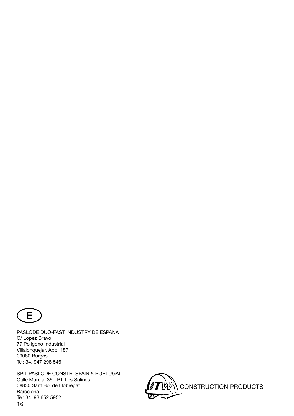

PASLODE DUO-FAST INDUSTRY DE ESPANA C/ Lopez Bravo 77 Poligono Industrial Villalonquejar, App. 187 09080 Burgos Tel: 34. 947 298 546

16 SPIT PASLODE CONSTR. SPAIN & PORTUGAL Calle Murcia, 36 - P.I. Les Salines 08830 Sant Boi de Llobregat Barcelona Tel: 34. 93 652 5952

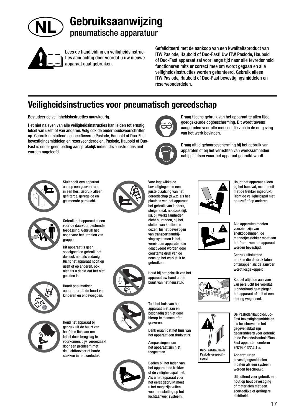

# **Gebruiksaanwijzing** pneumatische apparatuur



Lees de handleiding en veiligheidsinstructies aandachtig door voordat u uw nieuwe apparaat gaat gebruiken.

Gefeliciteerd met de aankoop van een kwaliteitsproduct van ITW Paslode, Haubold of Duo-Fast! Uw ITW Paslode, Haubold of Duo-Fast apparaat zal voor lange tijd naar alle tevredenheid functioneren mits er correct mee om wordt gegaan en alle veiligheidsinstructies worden gehanteerd. Gebruik alleen ITW Paslode, Haubold of Duo-Fast bevestigingsmiddelen en reserveonderdelen.

> Draag tijdens gebruik van het apparaat te allen tijde goedgekeurde oogbescherming. Dit wordt tevens aangeraden voor alle mensen die zich in de omgeving

Draag altijd gehoorbescherming bij het gebruik van apparaten of bij het verrichten van werkzaamheden nabij plaatsen waar het apparaat gebruikt wordt.

### **Veiligheidsinstructies voor pneumatisch gereedschap**

Bestudeer de veiligheidsinstructies nauwkeurig.

Het niet naleven van alle veiligheidsinstructies kan leiden tot ernstig letsel van uzelf of van anderen. Volg ook de onderhoudsvoorschriften op. Gebruik uitsluitend gespecificeerde Paslode, Haubold of Duo-Fast bevestigingsmiddelen en reserveonderdelen. Paslode, Haubold of Duo-Fast is onder geen beding aansprakelijk indien deze instructies niet worden nageleefd.



Sluit nooit een apparaat aan op een gasvoorraad in een fles. Gebruik alleen gefilterde, geregelde en gesmeerde perslucht.



Gebruik het apparaat alleen voor de daarvoor bestemde toepassing. Gebruik het nooit voor het uithalen van grappen.

Dit apparaat is geen speelgoed en gebruik het dus ook niet als zodanig. Richt het apparaat nooit op uzelf of op anderen, ook niet als u denkt dat het niet geladen is.



Houdt pneumatisch apparatuur uit de buurt van kinderen en onbevoegden.



Houd het apparaat bij gebruik uit de buurt van hoofd en lichaam om letsel door terugslag te voorkomen, bijv. veroorzaakt door een probleem met de luchttoevoer of harde stukken in het werkstuk



bevestigingen en een juiste plaatsing van het gereedschap (d.w.z. als het plaatsen van het apparaat het gebruik van ladders, steigers e.d. noodzakelijk is), bij werkzaamheden dicht bij randen, bij het sluiten van kratten en dozen, bij het bevestigen van transportaandrijvingssystemen is het vereist om apparaten die geactiveerd worden door constante druk van de neus op het werkstuk te gebruiken.

Voor ingewikkelde



Tast het huis van het

apparaat niet aan en beschadig dit niet door hierop te stansen of te graveren.

Denk eraan dat het huis van het apparaat een drukvat is.

Aanpassingen aan het apparaat zijn niet toegestaan.

Bedien bij het laden van het apparaat de trekker of de veiligheidspal niet. Als u het apparaat voor het eerst gebruikt moet u het magazijn vullen voor aansluiting op het luchtaanvoer systeem.

Houdt het apparaat alleen bij het handvat, maar nooit met de trekker ingedrukt. Richt de veiligheidspal niet op uzelf of op anderen.

van het werk bevinden.



Alle apparaten moeten voorzien zijn van snelkoppelingen; de mannetjesstekker moet aan het frame van het apparaat

Gebruik uitsluitend merken die de druk laten ontsnappen als de aanvoer wordt losgekoppeld.



Duo-Fast/Haubold/ Paslode gespecificeerd

De Paslode/Haubold/Duo-Fast bevestigingsmiddelen als beschreven in het gegevensblad zijn gegarandeerd voor gebruik in de Paslode/Haubold/Duo-Fast apparaten conform EN792-13/7.2.1.a.

Apparatuur en bevestigingsmiddelen moeten als een systeem worden beschouwd.

Uitsluitend voor gebruik met hout op hout bevestiging of materialen met een soortgelijke of geringere dichtheid.





worden bevestigd.

Koppel altijd de aan voer van perslucht los voordat

u onderhoud gaat plegen, het apparaat afstelt of een storing wegneemt.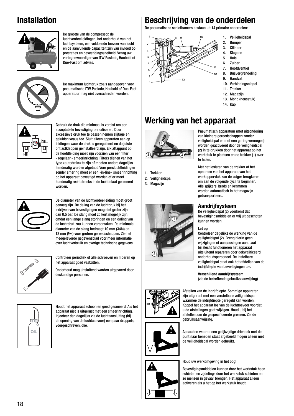## **Installation**



De grootte van de compressor, de luchtverdeelleidingen, het onderhoud van het luchtsysteem, een voldoende toevoer van lucht en de aanvullende capaciteit zijn van invloed op prestaties en bevestigingssnelheid. Vraag uw vertegenwoordiger van ITW Paslode, Haubold of Duo-Fast om advies.



De maximum luchtdruk zoals aangegeven voor pneumatische ITW Paslode, Haubold of Duo-Fast apparatuur mag niet overschreden worden.



Gebruik de druk die minimaal is vereist om een acceptabele bevestiging te realiseren. Door excessieve druk toe te passen nemen slijtage en geluidsniveaus toe. Sluit alleen apparaten aan op leidingen waar de druk is gereguleerd en de juiste ontlastkleppen geïnstalleerd zijn. Elk aftappunt op de hoofdleiding moet zijn voorzien van een filter - regelaar - smeerinrichting. Filters dienen van het type »autodrain« te zijn of moeten anders dagelijks handmatig worden afgetapt. Voor persluchtleidingen zonder smering moet er een »in-line« smeerinrichting op het apparaat bevestigd worden of er moet handmatig rechtstreeks in de luchtinlaat gesmeerd worden.



De diameter van de luchtverdeelleiding moet groot genoeg zijn. De daling van de luchtdruk bij het indrijven van bevestigingen mag niet groter zijn dan 0,5 bar. De slang moet zo kort mogelijk zijn, omdat een lange slang storingen en een daling van de luchtdruk zou kunnen veroorzaken. De minimale diameter van de slang bedraagt 10 mm (3/8«) en 13 mm (½«) voor grotere gereedschappen. Zie het meegeleverde gegevensblad voor meer informatie over luchtverbruik en overige technische gegevens.

Controleer periodiek of alle schroeven en moeren op het apparaat goed vastzitten.

Onderhoud mag uitsluitend worden uitgevoerd door deskundige personen.



Houdt het apparaat schoon en goed gesmeerd. Als het apparaat niet is uitgerust met een smeerinrichting, injecteer dan dagelijks via de luchtaansluiting (bij de opening van de luchtaanvoer) een paar druppels, voorgeschreven, olie.

### **Beschrijving van de onderdelen**

De pneumatische schiethamers bestaan uit 14 primaire onderdelen:



1. Veiligheidspal

- 2. Bumper 3. Cilinder
- 4. Slagpen
- 5. Huis
- 6. Zuiger
- 7. Hoofdventiel
- 8. Busvergrendeling
- 9. Handvat 10. Verbindingsnippel
- 11. Trekker
- 12. Magazijn
- 13. Mond (neusstuk)
- 14. Kap

# **Werking van het apparaat**



1. Trekker

2. Veiligheidspal



Pneumatisch apparatuur (met uitzondering van kleinere gereedschappen zonder veiligheidspal en met een gering vermogen) worden geactiveerd door de veiligheidspal (2) in te drukken door het apparaat op het werkstuk te plaatsen en de trekker (1) over te halen.

Met het loslaten van de trekker of het opnemen van het apparaat van het werkoppervlak kan de zuiger terugkeren om aan de volgende cycli te beginnen. Alle spijkers, brads en krammen worden automatisch in het magazijn getransporteerd.

### **Aandrijfsysteem**

De veiligheidspal (2) voorkomt dat bevestigingsmiddelen er vrij uit geschoten kunnen worden.

#### **Let op**

Controleer dagelijks de werking van de veiligheidspal (2). Breng hierin geen wijzigingen of aanpassingen aan. Laat bij slecht functioneren het apparaat uitsluitend repareren door gekwalificeerd onderhoudspersoneel. De instelbare veiligheidspal staat ook het afstellen van de indrijfdiepte van bevestigingen toe.

**Verschillend aandrijfsysteem** (zie de betreffende gebruiksaanwijzing)



Afstellen van de indrijfdiepte. Sommige apparaten zijn uitgerust met een verstelbare veiligheidspal waarmee de indrijfdiepte geregeld kan worden. Koppel het apparaat los van de luchttoevoer voordat u de afstellingen gaat wijzigen. Houd u bij het afstellen aan de gespecificeerde grenzen. Zie de gebruiksaanwijzing.



Apparaten waarop een gelijkzijdige driehoek met de punt naar beneden staat afgebeeld mogen alleen met de veiligheidspal worden gebruikt.

Houd uw werkomgeving in het oog!

Bevestigingsmiddelen kunnen door het werkstuk heen schieten en zijdelings door het werkstuk schieten en zo mensen in gevaar brengen. Het apparaat alleen activeren als u het op het werkstuk houdt.

3. Magazijn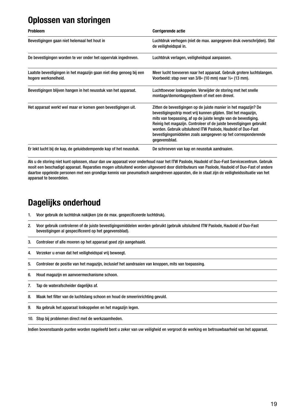## **Oplossen van storingen**

| <b>Probleem</b>                                                                             | <b>Corrigerende actie</b>                                                                                                                                                                                                                                                                                                                                                                                                     |
|---------------------------------------------------------------------------------------------|-------------------------------------------------------------------------------------------------------------------------------------------------------------------------------------------------------------------------------------------------------------------------------------------------------------------------------------------------------------------------------------------------------------------------------|
| Bevestigingen gaan niet helemaal het hout in                                                | Luchtdruk verhogen (niet de max. aangegeven druk overschrijden). Stel<br>de veiligheidspal in.                                                                                                                                                                                                                                                                                                                                |
| De bevestigingen worden te ver onder het oppervlak ingedreven.                              | Luchtdruk verlagen, veiligheidspal aanpassen.                                                                                                                                                                                                                                                                                                                                                                                 |
| Laatste bevestigingen in het magazijn gaan niet diep genoeg bij een<br>hogere werksnelheid. | Meer lucht toevoeren naar het apparaat. Gebruik grotere luchtslangen.<br>Voorbeeld: stap over van $3/8$ « (10 mm) naar $\frac{1}{2}$ « (13 mm).                                                                                                                                                                                                                                                                               |
| Bevestigingen blijven hangen in het neusstuk van het apparaat.                              | Luchttoevoer loskoppelen. Verwijder de storing met het snelle<br>montage/demontagesysteem of met een drevel.                                                                                                                                                                                                                                                                                                                  |
| Het apparaat werkt wel maar er komen geen bevestigingen uit.                                | Zitten de bevestigingen op de juiste manier in het magazijn? De<br>bevestigingsstrip moet vrij kunnen glijden. Stel het magazijn,<br>mits van toepassing, af op de juiste lengte van de bevestiging.<br>Reinig het magazijn. Controleer of de juiste bevestigingen gebruikt<br>worden. Gebruik uitsluitend ITW Paslode, Haubold of Duo-Fast<br>bevestigingsmiddelen zoals aangegeven op het corresponderende<br>gegevensblad. |
| Er lekt lucht bij de kap, de geluidsdempende kap of het neusstuk.                           | De schroeven van kap en neusstuk aandraaien.                                                                                                                                                                                                                                                                                                                                                                                  |

Als u de storing niet kunt oplossen, stuur dan uw apparaat voor onderhoud naar het ITW Paslode, Haubold of Duo-Fast Servicecentrum. Gebruik nooit een beschadigd apparaat. Reparaties mogen uitsluitend worden uitgevoerd door distributeurs van Paslode, Haubold of Duo-Fast of andere daartoe opgeleide personen met een grondige kennis van pneumatisch aangedreven apparaten, die in staat zijn de veiligheidssituatie van het apparaat te beoordelen.

### **Dagelijks onderhoud**

- 1. Voor gebruik de luchtdruk nakijken (zie de max. gespecificeerde luchtdruk).
- 2. Voor gebruik controleren of de juiste bevestigingsmiddelen worden gebruikt (gebruik uitsluitend ITW Paslode, Haubold of Duo-Fast bevestigingen al gespecificeerd op het gegevensblad).
- 3. Controleer of alle moeren op het apparaat goed zijn aangehaald.
- 4. Verzeker u ervan dat het veiligheidspal vrij beweegt.
- 5. Controleer de positie van het magazijn, inclusief het aandraaien van knoppen, mits van toepassing.
- 6. Houd magazijn en aanvoermechanisme schoon.
- 7. Tap de waterafscheider dagelijks af.
- 8. Maak het filter van de luchtslang schoon en houd de smeerinrichting gevuld.
- 9. Na gebruik het apparaat loskoppelen en het magazijn legen.
- 10. Stop bij problemen direct met de werkzaamheden.

Indien bovenstaande punten worden nageleefd bent u zeker van uw veiligheid en vergroot de werking en betrouwbaarheid van het apparaat.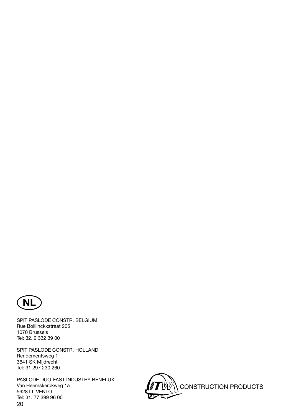

SPIT PASLODE CONSTR. BELGIUM Rue Bolllinckxstraat 205 1070 Brussels Tel: 32. 2 332 39 00

SPIT PASLODE CONSTR. HOLLAND Rendementsweg 1 3641 SK Mijdrecht Tel: 31 297 230 260

20 PASLODE DUO-FAST INDUSTRY BENELUX Van Heemskerckweg 1a 5928 LL VENLO Tel: 31. 77 399 96 00

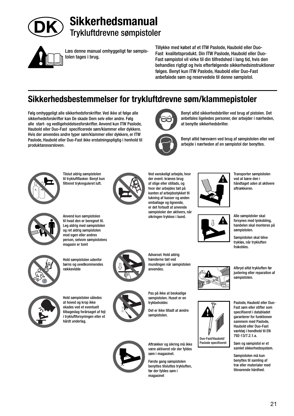

# **Sikkerhedsmanual** Trykluftdrevne sømpistoler



Læs denne manual omhyggeligt før sømpistolen tages i brug.

Tillykke med købet af et ITW Paslode, Haubold eller Duo-Fast kvalitetsprodukt. Din ITW Paslode, Haubold eller Duo-Fast sømpistol vil virke til din tilfredshed i lang tid, hvis den behandles rigtigt og hvis efterfølgende sikkerhedsinstruktioner følges. Benyt kun ITW Paslode, Haubold eller Duo-Fast anbefalede søm og reservedele til denne sømpistol.

at benytte sikkerhedsbriller.

Benyt altid sikkerhedsbriller ved brug af pistolen. Det anbefales ligeledes personer, der arbejder i nærheden,

Benyt altid høreværn ved brug af sømpistolen eller ved arbejde i nærheden af en sømpistol der benyttes.

### **Sikkerhedsbestemmelser for trykluftdrevne søm/klammepistoler**

Følg omhyggeligt alle sikkerhedsforskrifter. Ved ikke at følge alle sikkerhedsforskrifter kan De skade Dem selv eller andre. Følg alle start- og vedligeholdelsesforskrifter. Anvend kun ITW Paslode, Haubold eller Duo-Fast specificerede søm/klammer eller dykkere. Hvis der anvendes andre typer søm/klammer eller dykkere, er ITW Paslode, Haubold eller Duo-Fast ikke erstatningspligtig i henhold til produktansvarsloven.



Tilslut aldrig sømpistolen til trykluftflasker. Benyt kun filtreret trykreguleret luft.



Ved vanskeligt arbejde, hvor der event. kræves brug af stige eller stillads, og hvor der arbejdes tæt på kanten af arbejdsstykket til lukning af kasser og anden emballage og lignende, er det forbudt at anvende sømpistoler der aktivers, når sikringen trykkes i bund.







Anvend kun sømpistolen til hvad den er beregnet til. Leg aldrig med sømpistolen og ret aldrig sømpistolen mod egen eller andres person, selvom sømpistolens magasin er tomt



Hold sømpistolen udenfor børns og uvedkommendes rækkevidde



Advarsel: Hold aldrig hænderne tæt ved mundingen når sømpistolen anvendes.

Pas på ikke at beskadige sømpistolen. Huset er en trykbeholder.

Det er ikke tilladt at ændre sømpistolen.



være aktiveret når der fyldes søm i magasinet.

Første gang sømpistolen benyttes tilsluttes trykluften, før der fyldes søm i magasinet

Transporter sømpistolen ved at bære den i håndtaget uden at aktivere aftrækkeren.



Alle sømpistoler skal forsynes med lynkobling, handelen skal monteres på sømpistolen.

Sømpistolen skal blive trykløs, når trykluften frakobles.

Afbryd altid trykluften før justering eller reparation af

sømpistolen.



Paslode, Haubold eller Duo-Fast søm eller stifter som specifiseret i databladet garanterer for funktionen sammem med Paslode, Haubold eller Duo-Fast værktøj i hendhold til EN 792-13/7.2.1.a.

Søm og sømpistol er et samlet sikkerhedssystem.

Sømpistolen må kun benyttes til samling af træ eller materialer med tilsvarende hårdhed.



Hold sømpistolen således at hoved og krop ikke skades ved et eventuelt tilbageslag forårsaget af fejl i trykluftforsyningen eller et hårdt underlag.

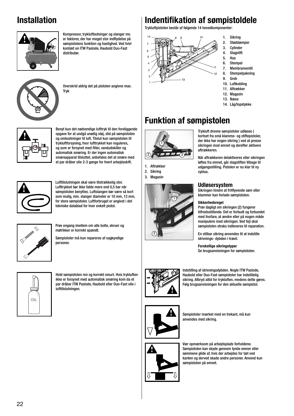## **Installation**



Kompressor, trykluftledninger og slanger mv. er faktorer, der har meget stor indflydelse på sømpistolens funktion og hastighed. Ved tvivl kontakt en ITW Paslode, Haubold Duo-Fast distributør.



Overskrid aldrig det på pistolen angivne max. Tryk



Benyt kun det nødvendige lufttryk til den foreliggende opgave for at undgå unødig støj, slid på sømpistolen og omkostninger til luft. Tilslut kun sømpistolen til trykluftforsyning, hvor lufttrykket kan reguleres, og som er forsynet med filter, vandudskiller og automatisk smøring. Er der ingen automatisk smøreapparat tilsluttet, anbefales det at smøre med et par dråber olie 2-3 gange for hvert arbejdsskift.



Lufttilslutningen skal være tilstrækkelig stor. Lufttrykket bør ikke falde mere end 0,5 bar når sømpistolen benyttes. Luftslangen bør være så kort som mulig, min. slanger diameter er 10 mm, 13 mm, for store sømpistoler. Luftforbruget er angivet i det tekniske datablad for hver enkelt pistol.



Prøv engang imellem om alle bolte, skruer og møtrikker er korrekt spændt.

Sømpistoler må kun repareres af sagkyndige personer.



Hold sømpistolen ren og korrekt smurt. Hvis trykluften ikke er forsynet med automatisk smøring kom da et par dråber ITW Paslode, Haubold eller Duo-Fast olie i lufttilslutningen.

## **Indentifi kation af sømpistoldele**

Trykluftpistolen består af følgende 14 hovedkomponenter:



- 1. Sikring
- 2. Støddæmper
- 3. Cylinder<br>4. Slagstift
- 4. Slagstift **Hus**
- 6. Stempel
- 7. Membranventil
- 8. Stempelpakning
- 9. Greb
- 10. Luftkobling
- 11. Aftrækker
- 12. Magasin 13. Næse
- 14. Låg/topstykke

## **Funktion af sømpistolen**



1. Aftrækker 2. Sikring 3. Magasin



Trykluft drevne sømpistoler udløses ( bortset fra små klamme- og stiftepistoler, der ikke har nogen sikring ) ved at presse sikringen mod emnet og derefter aktivere aftrækkeren.

Når aftrækkeren delaktiveres eller sikringen løftes fra emnet, går slagstiften tilbage til udgangsstilling. Pistolen er nu klar til ny cyklus.

### **Udløsersystem**

Sikringen hindre at fritflyvende søm eller klammer kan forlade sømpistolen.

### **Sikkerhedsregel**

Prøv dagligt om sikringen (2) fungerer tilfredsstillende. Det er forbudt og forbundet med livsfare, at ændre eller på nogen måde manipulere med sikringen. Ved fejl skal sømpistolen straks indleveres til reparation.

En stilbar sikring anvendes til at indstille idrivnings- dybden i træet.

**Forskellige sikringstyper**

Se brugsanvisningen for sømpistolen.



Indstilling af idrivningsdybden. Nogle ITW Paslode, Haubold eller Duo-Fast sømpistoler har indstillelig sikring. Afbryd altid for trykluften, medens dette gøres. Følg brugsanvisningen for den aktuelle sømpistol.



Sømpistoler mærket med en trekant, må kun anvendes med sikring.

Vær opmærksom på arbejdsplads forholdene. Sømpistolen kan skyde gennem tynde emner eller sømmene glide af, hvis der arbejdes for tæt ved kanten og derved skade andre personer. Anvend kun sømpistolen på emnet.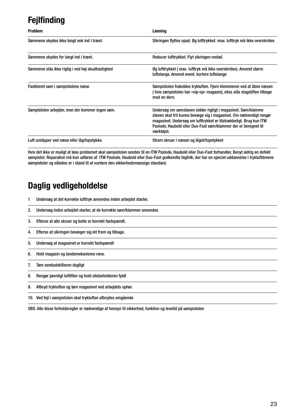# **Fejlfinding**

| <b>Problem</b>                                   | Løsning                                                                                                                                                                                                                                                                                    |
|--------------------------------------------------|--------------------------------------------------------------------------------------------------------------------------------------------------------------------------------------------------------------------------------------------------------------------------------------------|
| Sømmene skydes ikke langt nok ind i træet.       | Sikringen flyttes opad. Øg lufttrykket, max. lufttryk må ikke overskrides                                                                                                                                                                                                                  |
| Sømmene skydes for langt ind i træet.            | Reducer lufttrykket. Flyt sikringen nedad.                                                                                                                                                                                                                                                 |
| Sømmene slås ikke rigtig i ved høj skudhastighed | Øg lufttrykket (max. lufttryk må ikke overskrides). Anvend større<br>luftslange. Anvend event. kortere luftslange                                                                                                                                                                          |
| Fastklemt søm i sømpistolens næse                | Sømpistolen frakobles trykluften. Fjern klemmeren ved at åbne næsen<br>( hvis sømpistolen har »vip-op« magasin), elles slås slagstiften tilbage<br>med en dorn.                                                                                                                            |
| Sømpistolen arbejder, men der kommer ingen søm.  | Undersøg om sømstaven sidder rigtigt i magasinet. Søm/klamme<br>staven skal frit kunne bevæge sig i magasinet. Om nødvendigt rengør<br>magasinet. Undersøg om lufttrykket er tilstrækkeligt. Brug kun ITW<br>Paslode, Haubold eller Duo-Fast søm/klammer der er beregnet til<br>værktøjet. |
| Luft unslipper ved næse eller låg/topstykke.     | Stram skruer i næsen og låget/topstykket                                                                                                                                                                                                                                                   |

Hvis det ikke er muligt at løse problemet skal sømpistolen sendes til en ITW Paslode, Haubold eller Duo-Fast forhandler. Benyt aldrig en defekt sømpistol. Reparation må kun udføres af ITW Paslode. Haubold eller Duo-Fast godkendte fagfolk, der har en speciel uddannelse i trykluftdrevne sømpistoler og således er i stand til at vurdere den sikkerhedsmæssige standard.

### **Daglig vedligeholdelse**

- 1 Undersøg at det korrekte lufttryk anvendes inden arbejdet starter.
- 2. Undersøg inden arbejdet starter, at de korrekte søm/klammer anvendes
- 3. Efterse at alle skruer og bolte er korrekt fastspændt.
- 4. Efterse at sikringen bevæger sig let frem og tilbage.
- 5. Undersøg at magasinet er korrekt fastspændt
- 6. Hold magasin og landemekanisme rene.
- 7. Tøm vandudskilleren dagligt
- 8. Rengør jævnligt luftfilter og hold oliebeholderen fyldt
- 9. Afbryd trykluften og tøm magasinet ved arbejdets ophør.
- 10. Ved fejl i sømpistolen skal trykluften afbrydes omgående

OBS. Alle disse forholdsregler er nødvendige af hensyn til sikkerhed, funktion og levetid på sømpistolen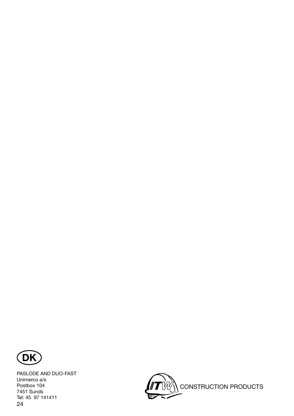

24 PASLODE AND DUO-FAST Unimerco a/s Postbox 104 7451 Sunds Tel: 45 97 141411

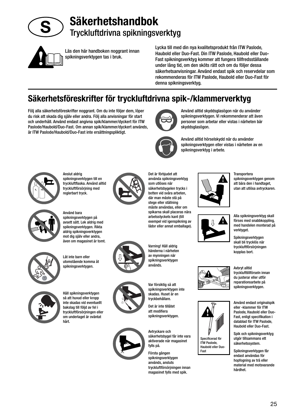

**Säkerhetshandbok** Tryckluftdrivna spikningsverktyg



Läs den här handboken noggrant innan spikningsverktygen tas i bruk.

Lycka till med din nya kvalitetsprodukt från ITW Paslode, Haubold eller Duo-Fast. Din ITW Paslode, Haubold eller Duo-Fast spikningsverktyg kommer att fungera tillfredsställande under lång tid, om den sköts rätt och om du följer dessa säkerhetsanvisningar. Använd endast spik och reservdelar som rekommenderas för ITW Paslode, Haubold eller Duo-Fast för denna spikningsverktyg.

## **Säkerhetsföreskrifter för tryckluftdrivna spik-/klammerverktyg**

Följ alla säkerhetsföreskrifter noggrant. Om du inte följer dem, löper du risk att skada dig själv eller andra. Följ alla anvisningar för start och underhåll. Använd endast angivna spik/klammer/dyckert för ITW Paslode/Haubold/Duo-Fast. Om annan spik/klammer/dyckert används, är ITW Paslode/Haubold/Duo-Fast inte ersättningspliktigt.



Använd alltid skyddsglasögon när du använder spikningsverktygen. Vi rekommenderar att även personer som arbetar eller vistas i närheten bär skyddsglasögon.



Använd alltid hörselskydd när du använder spikningsverktygen eller vistas i närheten av en spikningsverktyg i arbete.



Anslut aldrig spikningsverktygen till en tryckluftflaska. Använd alltid tryckluftförsörjning med reglerbart tryck.



Använd bara spikningsverktygen på avsett sätt. Lek aldrig med spikningsverktygen. Rikta aldrig spikningsverktygen mot dig själv eller andra, även om magasinet är tomt.



Låt inte barn eller utomstående komma åt spikningsverktygen.



Håll spikningsverktygen så att huvud eller kropp inte skadas vid eventuellt bakslag till följd av fel i tryckluftförsörjningen eller om underlaget är oväntat hårt.



Det är förbjudet att använda spikningsverktyg som utlöses när säkerhetsbygelen trycks i botten vid svåra arbeten, där man måste stå på stege eller ställning måste användas, eller om spikarna skall placeras nära arbetsstyckets kant (till exempel vid igenspikning av lådor eller annat emballage).



händerna i närheten av mynningen när spikningsverktygen används.

Var försiktig så att spikningsverktygen inte skadas. Huset är en tryckbehållare.

spikningsverktygen används, ansluts tryckluftförsörjningen innan magasinet fylls med spik.











**Transportera** spikningsverktygen genom att bära den i handtaget, utan att utlösa avtryckaren.

Alla spikningsverktyg skall förses med snabbkoppling, med handelen monterad på verktyget.

Spikningsverktygen skall bli trycklös när tryckluftförsörjningen kopplas bort.





Använd endast originalspik eller -klammer för ITW Paslode, Haubold eller Duo-

spikningsverktygen.

Fast, enligt specifikation i datablad för ITW Paslode, Haubold eller Duo-Fast. Spik och spikningsverktyg

utgör tillsammans ett säkerhetssystem.

Spikningsverktygen får endast användas för hopfogning av trä eller material med motsvarande hårdhet.

25

Varning! Håll aldrig





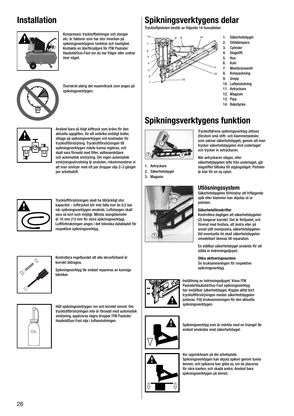## **Installation**



Kompressor, tryckluftledningar och slangar etc. är faktorer som har stor inverkan på spikningsverktygens funktion och hastighet. Kontakta en återförsäljare för ITW Paslode/ Haubold/Duo-Fast om du har frågor eller undrar över något.



Överskrid aldrig det maximitryck som anges på spikningsverktygen.



Använd bara så högt lufttryck som krävs för den aktuella uppgiften, för att undvika onödigt buller, slitage på spikningsverktygen och kostnader för tryckluftförsörjning. Tryckluftförsörjningen till spikningsverktygen måste kunna regleras, och skall vara försedd med filter, vattenavskiljare och automatisk smörjning. Om ingen automatisk smörjningsutrustning är ansluten, rekommenderar vi att man smörjer med ett par droppar olja 2–3 gånger per arbetsskift.



Tryckluftförsörjningen skall ha tillräckligt stor kapacitet – lufttrycket bör inte falla mer än 0,5 bar när spikningsverktygen används. Luftslangen skall vara så kort som möjligt. Minsta slangdiameter är 10 mm (13 mm för stora spikningsverktyg). Luftförbrukningen anges i det tekniska databladet för respektive spikningsverktyg.



Kontrollera regelbundet att alla skruvförband är korrekt åtdragna.

Spikningsverktyg får endast repareras av kunniga tekniker.



Håll spikningsverktygen ren och korrekt smord. Om tryckluftförsörjningen inte är försedd med automatisk smörjning, appliceras några droppar ITW Paslode/ HauboldDuo-Fast olja i luftanslutningen.

### **Spikningsverktygens delar**

Tryckluftpistolen består av följande 14 huvuddelar:



- 1. Säkerhetsbygel
- 2. Stötdämpare<br>3. Cylinder
- 3. Cylinder<br>4. Slagstift
- 4. Slagstift **Hus**
- 6. Kolv
- 7. Membranventil
- 8. Kolvpackning
- 9. Grepp
- 10. Luftanslutning
- 11. Avtryckare
- 12. Magasin
- 13. Pipa 14. Bakstycke

# **Spikningsverktygens funktion**



1. Avtryckare 2. Säkerhetsbygel 3. Magasin



Tryckluftdrivna spikningsverktyg utlöses (förutom små stift- och klammerpistoler, som saknar säkerhetsbygel), genom att man trycker säkerhetsbygelen mot underlaget och trycker in avtryckaren.

När avtryckaren släpps, eller säkerhetsbygelen lyfts från underlaget, går slagstiftet tillbaka till utgångsläget. Pistolen är klar för en ny cykel.

### **Utlösningssystem**

Säkerhetsbygelen förhindrar att friflygande spik eller klammer kan skjutas ut ur pistolen.

### **Säkerhetsföreskrifter**

Kontrollera dagligen att säkerhetsbygelen (2) fungerar korrekt. Det är förbjudet, och förenat med livsfara, att ändra eller på annat sätt manipulera, säkerhetsbygelen. Vid eventuella fel skall säkerhetsbygelen omedelbart lämnas till reparation.

En ställbar säkerhetsbygel används för att ställa in indrivningsdjupet.

**Olika aktiveringssystem** Se bruksanvisningen för respektive spikningsverktyg.



Inställning av indrivningsdjupet. Vissa ITW Paslode/Haubold/Duo-Fast spikningsverktyg har inställbar säkerhetsbygel, Koppla alltid bort tryckluftförsörjningen medan säkerhetsbygelen justeras. Följ bruksanvisningen för den aktuella spikningsverktygen.



Spikningsverktyg som är märkta med en triangel får endast användas med säkerhetsbygel.

#### Var uppmärksam på din arbetsplats. Spikningsverktygen kan skjuta spiken genom tunna ämnen, och spikarna kan glida av, om de placeras för nära kanten, och skada andra. Använd bara spikningsverktygen på ämnet.

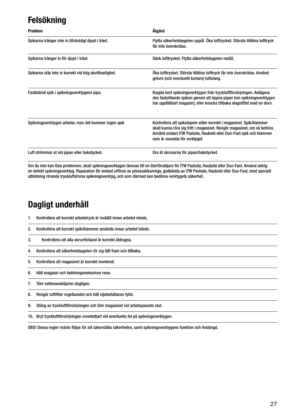# **Felsökning**

| <b>Problem</b>                                        | Åtgärd                                                                                                                                                                                                                                                |
|-------------------------------------------------------|-------------------------------------------------------------------------------------------------------------------------------------------------------------------------------------------------------------------------------------------------------|
| Spikarna tränger inte in tillräckligt djupt i träet.  | Flytta säkerhetsbygelen uppåt. Öka lufttrycket. Största tillåtna lufttryck<br>får inte överskridas.                                                                                                                                                   |
| Spikarna tränger in för djupt i träet.                | Sänk lufttrycket. Flytta säkerhetsbygelen nedåt.                                                                                                                                                                                                      |
| Spikarna slås inte in korrekt vid hög skotthastighet. | Öka lufttrycket. Största tillåtna lufttryck får inte överskridas. Använd<br>grövre (och eventuellt kortare) luftslang.                                                                                                                                |
| Fastklämd spik i spikningsverktygens pipa.            | Koppla bort spikningsverktygen från tryckluftförsörjningen. Avlägsna<br>den fastsittande spiken genom att öppna pipan (om spikningsverktygen<br>har uppfällbart magasin), eller knacka tillbaka slagstiftet med en dorn.                              |
| Spikningsverktygen arbetar, men det kommer ingen spik | Kontrollera att spikstapeln sitter korrekt i magasinet. Spik/klammer<br>skall kunna röra sig fritt i magasinet. Rengör magasinet, om så behövs.<br>Använd endast ITW Paslode, Haubold eller Duo-Fast spik och klammer<br>som är avsedda för verktyget |
| Luft strömmar ut vid pipan eller bakstycket.          | Dra åt skruvarna för pipan/bakstycket.                                                                                                                                                                                                                |

Om du inte kan lösa problemen, skall spikningsverktygen lämnas till en återförsäljare för ITW Paslode, Haubold eller Duo-Fast. Använd aldrig en defekt spikningsverktyg. Reparation får endast utföras av yrkessakkunniga, godkända av ITW Paslode, Haubold eller Duo-Fast, med speciell utbildning rörande tryckluftdrivna spikningsverktyg, och som därmed kan bedöma verktygets säkerhet.

### **Dagligt underhåll**

- 1. Kontrollera att korrekt arbetstryck är inställt innan arbetet inleds.
- 2. Kontrollera att korrekt spik/klammer används innan arbetet inleds.
- 3. Kontrollera att alla skruvförband är korrekt åtdragna.
- 4. Kontrollera att säkerhetsbygelen rör sig lätt fram och tillbaka.
- 5. Kontrollera att magasinet är korrekt monterat.
- 6. Håll magasin och laddningsmekanism rena.
- 7. Töm vattenavskiljaren dagligen.
- 8. Rengör luftfilter regelbundet och håll oljebehållaren fylld.
- 9. Stäng av tryckluftförsörjningen och töm magasinet vid arbetspassets slut.
- 10. Bryt tryckluftförsörjningen omedelbart vid eventuella fel på spikningsverktygen.

OBS! Dessa regler måste följas för att säkerställa säkerheten, samt spikningsverktygens funktion och livslängd.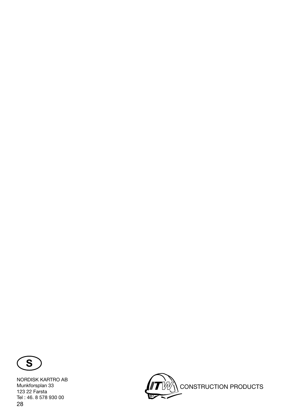

28 NORDISK KARTRO AB Munkforsplan 33 123 22 Farsta Tel : 46. 8 578 930 00

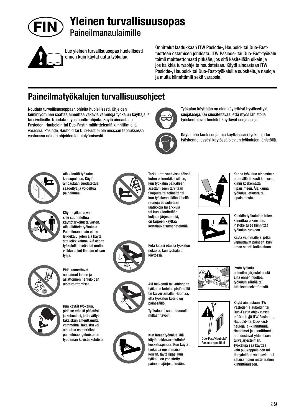

**Yleinen turvallisuusopas** Paineilmanaulaimille



Lue yleinen turvallisuusopas huolellisesti ennen kuin käytät uutta työkalua.

Onnittelut laadukkaan ITW Paslode-, Haubold- tai Duo-Fasttuotteen ostamisen johdosta. ITW Paslode- tai Duo-Fast-työkalu toimii moitteettomasti pitkään, jos sitä käsitellään oikein ja jos kaikkia turvaohjeita noudatetaan. Käytä ainoastaan ITW Paslode-, Haubold- tai Duo-Fast-työkaluille suositeltuja nauloja ja muita kiinnittimiä sekä varaosia.

# **Paineilmatyökalujen turvallisuusohjeet**

Noudata turvallisuusoppaan ohjeita huolellisesti. Ohjeiden laiminlyöminen saattaa aiheuttaa vakavia vammoja työkalun käyttäjälle tai sivullisille. Noudata myös huolto-ohjeita. Käytä ainoastaan Pasloden, Hauboldin tai Duo-Fastin määrittelemiä kiinnittimiä ja varaosia. Paslode, Haubold tai Duo-Fast ei ole missään tapauksessa vastuussa näiden ohjeiden laiminlyömisestä.



Työkalun käyttäjän on aina käytettävä hyväksyttyjä suojalaseja. On suositeltavaa, että myös lähistöllä työskentelevät henkilöt käyttävät suojalaseja.

Käytä aina kuulosuojaimia käyttäessäsi työkaluja tai työskennellessäsi käytössä olevien työkalujen lähistöllä.



Älä kiinnitä työkalua kaasupulloon. Käytä ainoastaan suodatettua, säädeltyä ja voideltua paineilmaa.



Käytä työkalua vain sille suunniteltua käyttötarkoitusta varten. Älä leikittele työkalulla. Paineilmanaulain ei ole leikkikalu, joten älä käytä sitä leikkikaluna. Älä osoita työkalulla itseäsi tai muita, vaikka uskot lippaan olevan tyhjä.



Pidä kannettavat naulaimet lasten ja asiattomien henkilöiden ulottumattomissa.



pidä se etäällä päästäsi ja kehostasi, jotta vältyt takaiskun aiheuttamilta vammoilta. Takaisku voi aiheutua esimerkiksi paineilmaongelmista tai työpinnan kovista kohdista.

Kun käytät työkalua,



Tarkkuutta vaativissa töissä, kuten esimerkiksi silloin, kun työkalun paikalleen asettamiseen tarvitaan tikapuita tai telineitä tai kun työskennellään lähellä reunoja tai suljetaan laatikkoja tai arkkuja tai kun kiinnitetään kuljetusjärjestelmiä, on tarpeen käyttää kertalaukaisumenetelmää.



Pidä kätesi etäällä työkalun nokasta, kun työkalu on käytössä.



työkalun koteloa pistämällä tai kaivertamalla. Huomaa, että työkalun kotelo on painesäiliö.

Työkalua ei saa muunnella millään tavoin.



Kun lataat työkalua, älä

käytä nokkavarmistinta/ kosketuspintaa. Kun käytät työkalua ensimmäisen kerran, täytä lipas, kun työkalu on yhdistetty paineilmajärjestelmään.





Kanna työkalua ainoastaan pitämällä tiukasti kahvasta kiinni koskematta liipaisimeen. Älä kanna työkalua letkusta tai liipaisimesta.



Käytä vain malleja, jotka vapauttavat paineen, kun ilman saanti katkaistaan.



Irrota työkalu paineilmajärjestelmästä aina ennen huoltoa, työkalun säätöä tai tukoksen selvittämistä.

Käytä ainoastaan ITW Pasloden, Hauboldin tai Duo-Fastin ohjekirjassa määritettyjä ITW Paslode-, Haubold- tai Duo-Fastnauloja ja -kiinnittimiä. Naulaimet ja kiinnittimet muodostavat yhtenäisen turvajärjestelmän. Työkaluja saa käyttää vain puukappaleiden tai tiheydeltään vastaavien tai alhaisempien materiaalien kiinnittämiseen.



29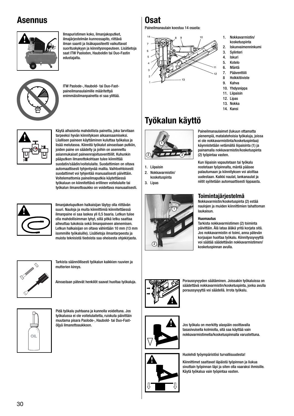### **Asennus**



Ilmapuristimen koko, ilmanjakoputket, ilmajärjestelmän kunnossapito, riittävä ilman saanti ja lisäkapasiteetti vaikuttavat suorituskykyyn ja kiinnitysnopeuteen. Lisätietoja saat ITW Pasloden, Hauboldin tai Duo-Fastin edustajalta.



ITW Paslode-, Haubold- tai Duo-Fastpaineilmanaulaimille määritettyä enimmäisilmanpainetta ei saa ylittää.



Käytä alhaisinta mahdollista painetta, joka tarvitaan tarpeeksi hyvän kiinnityksen aikaansaamiseksi. Liiallisen paineen käyttäminen kuluttaa työkalua ja lisää melutasoa. Kiinnitä työkalut ainoastaan putkiin, joiden paine on säädelty ja joihin on asennettu asianmukaiset paineenrajoitusventtiilit. Kuhunkin pääputken ilmanottokohtaan tulee kiinnittää suodatin/säädin/voitelulaite. Suodattimien on oltava automaattisesti tyhjentyvää mallia. Vaihtoehtoisesti suodattimet voi tyhjentää manuaalisesti päivittäin. Voitelemattomia paineilmaputkia käytettäessä työkaluun on kiinnitettävä erillinen voitelulaite tai työkalun ilmanottoaukko on voideltava manuaalisesti.



Ilmanjakeluputken halkaisijan täytyy olla riittävän suuri. Nauloja ja muita kiinnittimiä kiinnitettäessä ilmanpaine ei saa laskea yli 0,5 baaria. Letkun tulee olla mahdollisimman lyhyt, sillä pitkä letku saattaa aiheuttaa tukoksia sekä ilmanpaineen alenemisen. Letkun halkaisijan on oltava vähintään 10 mm (13 mm isommille työkaluille). Lisätietoja ilmantarpeesta ja muista teknisistä tiedoista saa oheisesta ohjekirjasta.



Tarkista säännöllisesti työkalun kaikkien ruuvien ja mutterien kireys.

Ainoastaan pätevät henkilöt saavat huoltaa työkaluja.



Pidä työkalu puhtaana ja kunnolla voideltuna. Jos työkalussa ei ole voitelulaitetta, ruiskuta päivittäin muutama pisara Paslode-, Haubold- tai Duo-Fastöljyä ilmanottoaukkoon.

# **Osat**

Paineilmanaulain koostuu 14 osasta:



- 1. Nokkavarmistin/ kosketuspinta
- 2. Iskunvaimenninkumi
- 3. Sylinteri
- 4. Iskuri<br>5. Kotelo
- 5. Kotelo
- 6. Mäntä
- 7. Pääventtiili 8 Holkkitiiviste
- 9. Kahva
- 10. Yhdysnippa
- 11. Liipaisin
- 12. Lipas
- 13. Nokka 14. Kansi

# **Työkalun käyttö**



1. Liipaisin

2. Nokkavarmistin/ kosketuspinta





Paineilmanaulaimet (lukuun ottamatta pienempiä, matalatehoisia työkaluja, joissa ei ole nokkavarmistinta/kosketuspintaa) käynnistetään vetämällä liipaisinta (1) ja painamalla nokkavarmistin/kosketuspinta (2) työpintaa vasten.

Kun liipaisin vapautetaan tai työkalu nostetaan työpinnalta, mäntä pääsee palautumaan ja kiinnityksen voi aloittaa uudestaan. Kaikki naulat, lankanaulat ja niitit syötetään automaattisesti lippaasta.

### **Toimintajärjestelmä**

Nokkavarmistin/kosketuspinta (2) estää naulojen ja muiden kiinnittimien tahattoman laukaisun.

### **Huomautus**

Tarkista nokkavarmistimen (2) toiminta päivittäin. Älä lataa äläkä yritä korjata sitä. Jos nokkavarmistin ei toimi, anna pätevän korjaajan huoltaa työkalu. Kiinnityssyvyyttä voi säätää säädettävän nokkavarmistimen/ kosketuspinnan avulla.



Poraussyvyyden säätäminen. Joissakin työkaluissa on säädettävä nokkavarmistin/kosketuspinta, jonka avulla poraussyvyyttä voi säädellä. Irrota työkalu.



Jos työkalu on merkitty alaspäin osoittavalla tasasivuisella kolmiolla, sitä saa käyttää vain nokkavarmistimella/kosketuspinnalla varustettuna.

Huolehdi työympäristösi turvallisuudesta!

Kiinnittimet saattavat läpäistä työpinnan ja liukua sivuttain työpinnan läpi ja siten olla vaaraksi ihmisille. Käytä työkalua vain työpintaa vasten.

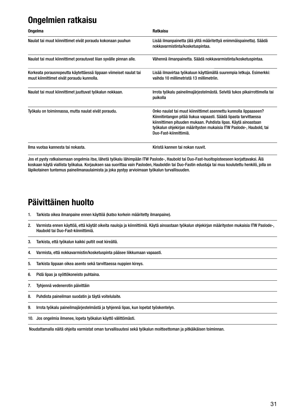## **Ongelmien ratkaisu**

| <b>Ongelma</b>                                                                                                 | <b>Ratkaisu</b>                                                                                                                                                                                                                                                                                          |
|----------------------------------------------------------------------------------------------------------------|----------------------------------------------------------------------------------------------------------------------------------------------------------------------------------------------------------------------------------------------------------------------------------------------------------|
| Naulat tai muut kiinnittimet eivät poraudu kokonaan puuhun                                                     | Lisää ilmanpainetta (älä ylitä määritettyä enimmäispainetta). Säädä<br>nokkavarmistinta/kosketuspintaa.                                                                                                                                                                                                  |
| Naulat tai muut kiinnittimet porautuvat liian syvälle pinnan alle.                                             | Vähennä ilmanpainetta. Säädä nokkavarmistinta/kosketuspintaa.                                                                                                                                                                                                                                            |
| Korkeata porausnopeutta käytettäessä lippaan viimeiset naulat tai<br>muut kiinnittimet eivät poraudu kunnolla. | Lisää ilmavirtaa työkaluun käyttämällä suurempia letkuja. Esimerkki:<br>vaihda 10 millimetristä 13 millimetriin.                                                                                                                                                                                         |
| Naulat tai muut kiinnittimet juuttuvat työkalun nokkaan.                                                       | Irrota työkalu paineilmajärjestelmästä. Selvitä tukos pikairrottimella tai<br>puikolla                                                                                                                                                                                                                   |
| Työkalu on toiminnassa, mutta naulat eivät poraudu.                                                            | Onko naulat tai muut kiinnittimet asennettu kunnolla lippaaseen?<br>Kiinnitintangon pitää liukua vapaasti. Säädä lipasta tarvittaessa<br>kiinnittimen pituuden mukaan. Puhdista lipas. Käytä ainoastaan<br>työkalun ohjekirjan määritysten mukaisia ITW Paslode-, Haubold, tai<br>Duo-Fast-kiinnittimiä. |
| Ilma vuotaa kannesta tai nokasta.                                                                              | Kiristä kannen tai nokan ruuvit.                                                                                                                                                                                                                                                                         |

Jos et pysty ratkaisemaan ongelmia itse, lähetä työkalu lähimpään ITW Paslode-, Haubold tai Duo-Fast-huoltopisteeseen korjattavaksi. Älä koskaan käytä viallista työkalua. Korjauksen saa suorittaa vain Pasloden, Hauboldin tai Duo-Fastin edustaja tai muu koulutettu henkilö, jolla on läpikotainen tuntemus paineilmanaulaimista ja joka pystyy arvioimaan työkalun turvallisuuden.

### **Päivittäinen huolto**

- 1. Tarkista oikea ilmanpaine ennen käyttöä (katso korkein määritetty ilmanpaine).
- 2. Varmista ennen käyttöä, että käytät oikeita nauloja ja kiinnittimiä. Käytä ainoastaan työkalun ohjekirjan määritysten mukaisia ITW Paslode-, Haubold tai Duo-Fast-kiinnittimiä.
- 3. Tarkista, että työkalun kaikki pultit ovat kireällä.
- 4. Varmista, että nokkavarmistin/kosketuspinta pääsee liikkumaan vapaasti.
- 5. Tarkista lippaan oikea asento sekä tarvittaessa nuppien kireys.
- 6. Pidä lipas ja syöttökoneisto puhtaina.
- 7. Tyhjennä vedenerotin päivittäin
- 8. Puhdista paineilman suodatin ja täytä voitelulaite.
- 9. Irrota työkalu paineilmajärjestelmästä ja tyhjennä lipas, kun lopetat työskentelyn.
- 10. Jos ongelmia ilmenee, lopeta työkalun käyttö välittömästi.

Noudattamalla näitä ohjeita varmistat oman turvallisuutesi sekä työkalun moitteettoman ja pitkäikäisen toiminnan.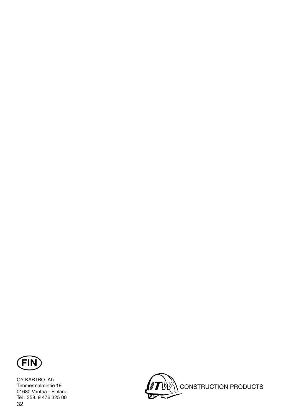

32 OY KARTRO Ab Timmermalmintie 19 01680 Vantaa - Finland Tel : 358. 9 476 325 00

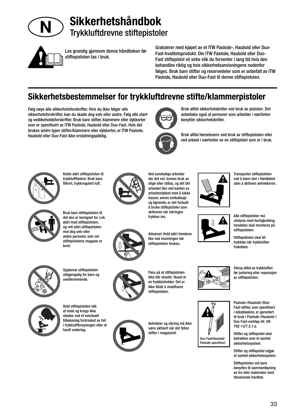



Les grundig gjennom denne håndboken før stiftepistolen tas i bruk.

Gratulerer med kjøpet av et ITW Paslode-, Haubold eller Duo-Fast-kvalitetsprodukt. Din ITW Paslode, Haubold eller Duo-Fast stiftepistol vil virke slik du forventer i lang tid hvis den behandles riktig og hvis sikkerhetsanvisningene nedenfor følges. Bruk bare stifter og reservedeler som er anbefalt av ITW Paslode, Haubold eller Duo-Fast til denne stiftepistolen.

## **Sikkerhetsbestemmelser for trykkluftdrevne stifte/klammerpistoler**

Følg nøye alle sikkerhetsforskrifter. Hvis du ikke følger alle sikkerhetsforskrifter, kan du skade deg selv eller andre. Følg alle startog vedlikeholdsforskrifter. Bruk bare stifter, klammere eller dykkerter som er spesifisert av ITW Paslode, Haubold eller Duo-Fast. Hvis det brukes andre typer stifter/klammere eller dykkerter, er ITW Paslode, Haubold eller Duo-Fast ikke erstatningspliktig.



Bruk alltid sikkerhetsbriller ved bruk av pistolen. Det anbefales også at personer som arbeider i nærheten benytter sikkerhetsbriller.

Bruk alltid hørselsvern ved bruk av stiftepistolen eller ved arbeid i nærheten av en stiftepistol som er i bruk.



Koble aldri stiftepistolen til trykkluftflasker. Bruk bare filtrert, trykkregulert luft.



Bruk bare stiftepistolen til det den er beregnet for. Lek aldri med stiftepistolen, og rett aldri stiftepistolen mot deg selv eller andre personer, selv om stiftepistolens magasin er tomt.



Oppbevar stiftepistolen utilgjengelig for barn og uvedkommende.



Hold stiftepistolen slik at hode og kropp ikke skades ved et eventuelt tilbakeslag forårsaket av feil i trykkluftforsyningen eller et hardt underlag.



Ved vanskelige arbeider der det evt. kreves bruk av stige eller stillas, og det blir arbeidet like ved kanten av arbeidsstykket med å lukke kasser, annen emballasje og lignende, er det forbudt å bruke stiftepistoler som aktiveres når sikringen trykkes inn.

Advarsel: Hold aldri hendene like ved munningen når stiftepistolen brukes.



Pass på at stiftepistolen ikke blir skadet. Huset er en trykkbeholder. Det er ikke tillatt å modifisere stiftepistolen.



Avtrekker og sikring må ikke være aktivert når det fylles stifter i magasinet.





Transporter stiftepistolen ved å bære den i håndtaket uten å aktivere avtrekkeren.



Stiftepistolen skal bli trykkløs når trykkluften frakobles.





før justering eller reparasjon av stiftepistolen.

Paslode-/Haubold-/Duo-Fast-stifter, som spesifisert i databladene, er garantert til bruk i Paslode-/Haubold-/ Duo Fast-verktøy iht. EN 792-13/7.2.1.a.

Stifter og stiftepistol skal betraktes som et samlet sikkerhetssystem.

Stifter og stiftepistol utgjør et samlet sikkerhetssystem.

Stiftepistolen må bare benyttes til sammenføyning av tre eller materialer med tilsvarende hardhet.



33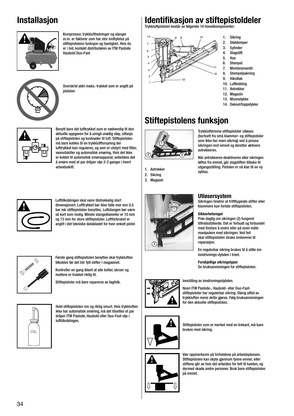## **Installasjon**



Kompressor, trykkluftledninger og slanger m.m. er faktorer som har stor innflytelse på stiftepistolens funksjon og hastighet. Hvis du er i tvil, kontakt distributøren av ITW Paslode Haubold Duo-Fast



Overskrid aldri maks.-trykket som er angitt på pistolen



Benytt bare det lufttrykket som er nødvendig til den aktuelle oppgaven for å unngå unødig støy, slitasje på stiftepistolen og kostnader til luft. Stiftepistolen må bare kobles til en trykkluftforsyning der lufttrykket kan reguleres, og som er utstyrt med filter, vannutskiller og automatisk smøring. Hvis det ikke er koblet til automatisk smøreapparat, anbefales det å smøre med et par dråper olje 2-3 ganger i hvert arbeidsskift.



Lufttilkoblingen skal være tilstrekkelig stort dimensjonert. Lufttrykket bør ikke falle mer enn 0,5 bar når stiftepistolen benyttes. Luftslangen bør være så kort som mulig. Minste slangediameter er 10 mm og 13 mm for store stiftepistoler. Luftforbruket er angitt i det tekniske databladet for hver enkelt pistol



Første gang stiftepistolen benyttes skal trykkluften tilkobles før det blir fylt stifter i magasinet.

Kontroller en gang iblant at alle bolter, skruer og muttere er trukket riktig til.

Stiftepistoler må bare repareres av fagfolk.



Hold stiftepistolen ren og riktig smurt. Hvis trykkluften ikke har automatisk smøring, må det tilsettes et par dråper ITW Paslode, Haubold eller Duo-Fast olje i lufttilkoblingen.

# **Identifi kasjon av stiftepistoldeler**

Trykkluftpistolen består av følgende 14 hovedkomponenter:



#### 1. Sikring 2. Støtdemper

- 3. Sylinder
- 4. Slagstift
- 5. Hus
- 6. Stempel
- 7. Membranventil
- 8. Stempelpakning
- 9. Håndtak
- 10. Luftkobling
- 11. Avtrekker
- 12. Magasin 13. Munnstykke
- 14. Deksel/toppstykke

# **Stiftepistolens funksjon**



1. Avtrekker

2. Sikring 3. Magasin



#### Trykkluftdrevne stiftepistoler utløses (bortsett fra små klammer- og stiftepistoler som ikke har noen sikring) ved å presse sikringen mot emnet og deretter aktivere avtrekkeren.

Når avtrekkeren deaktiveres eller sikringen løftes fra emnet, går slagstiften tilbake til utgangsstilling. Pistolen er nå klar til en ny syklus.

### **Utløsersystem**

Sikringen hindrer at frittflygende stifter eller klammere kan forlate stiftepistolen.

### **Sikkerhetsregel**

Prøv daglig om sikringen (2) fungerer tilfredsstillende. Det er forbudt og forbundet med livsfare å endre eller på noen måte manipulere med sikringen. Ved feil skal stiftepistolen straks innleveres til reparasjon.

En regulerbar sikring brukes til å stille inn inndrivnings-dybden i treet.

**Forskjellige sikringstyper**

Se bruksanvisningen for stiftepistolen.



Innstilling av inndrivningsdybden.

Noen ITW Paslode-, Haubold- eller Duo-Faststiftepistoler har regulerbar sikring. Steng alltid av trykkluften mens dette gjøres. Følg bruksanvisningen for den aktuelle stiftepistolen.



Stiftepistoler som er merket med en trekant, må bare brukes med sikring.



Vær oppmerksom på forholdene på arbeidsplassen. Stiftepistolen kan skyte gjennom tynne emner, eller stiftene glir av hvis det arbeides for tett til kanten, og dermed skade andre personer. Bruk bare stiftepistolen på emnet.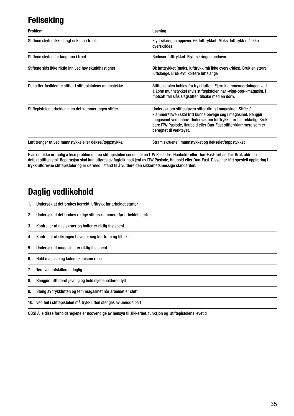### **Feilsøking**

| <b>Problem</b>                                             | Løsning                                                                                                                                                                                                                                                                                              |
|------------------------------------------------------------|------------------------------------------------------------------------------------------------------------------------------------------------------------------------------------------------------------------------------------------------------------------------------------------------------|
| Stiftene skytes ikke langt nok inn i treet.                | Flytt sikringen oppover. Øk lufttrykket. Maks. lufttrykk må ikke<br>overskrides                                                                                                                                                                                                                      |
| Stiftene skytes for langt inn i treet.                     | Reduser lufttrykket. Flytt sikringen nedover.                                                                                                                                                                                                                                                        |
| Stiftene slås ikke riktig inn ved høy skuddhastighet       | Øk lufttrykket (maks. lufttrykk må ikke overskrides). Bruk en større<br>luftslange. Bruk evt. kortere luftslange                                                                                                                                                                                     |
| Det sitter fastklemte stifter i stiftepistolens munnstykke | Stiftepistolen kobles fra trykkluften. Fjern klemmeanordningen ved<br>å åpne munnstykket (hvis stiftepistolen har »vipp-opp«-magasin), i<br>motsatt fall slås slagstiften tilbake med en dorn.                                                                                                       |
| Stiftepistolen arbeider, men det kommer ingen stifter.     | Undersøk om stiftestaven sitter riktig i magasinet. Stifte-/<br>klammerstaven skal fritt kunne bevege seg i magasinet. Rengjør<br>magasinet ved behov. Undersøk om lufttrykket er tilstrekkelig. Bruk<br>bare ITW Paslode, Haubold eller Duo-Fast stifter/klammere som er<br>beregnet til verktøyet. |
| Luft trenger ut ved munnstykke eller deksel/toppstykke.    | Stram skruene i munnstykket og dekselet/toppstykket                                                                                                                                                                                                                                                  |

Hvis det ikke er mulig å løse problemet, må stiftepistolen sendes til en ITW Paslode-, Haubold- eller Duo-Fast-forhandler. Bruk aldri en defekt stiftepistol. Reparasjon skal kun utføres av fagfolk godkjent av ITW Paslode, Haubold eller Duo-Fast. Disse har fått spesiell opplæring i trykkluftdrevne stiftepistoler og er dermed i stand til å vurdere den sikkerhetsmessige standarden.

#### **Daglig vedlikehold**

- 1. Undersøk at det brukes korrekt lufttrykk før arbeidet starter
- 2. Undersøk at det brukes riktige stifter/klammere før arbeidet starter.
- 3. Kontroller at alle skruer og bolter er riktig fastspent.
- 4. Kontroller at sikringen beveger seg lett frem og tilbake.
- 5. Undersøk at magasinet er riktig fastspent.
- 6. Hold magasin og lademekanisme rene.
- 7. Tøm vannutskilleren daglig
- 8. Rengjør luftfilteret jevnlig og hold oljebeholderen fylt
- 9. Steng av trykkluften og tøm magasinet når arbeidet er slutt.
- 10. Ved feil i stiftepistolen må trykkluften stenges av umiddelbart

OBS! Alle disse forholdsreglene er nødvendige av hensyn til sikkerhet, funksjon og stiftepistolens levetid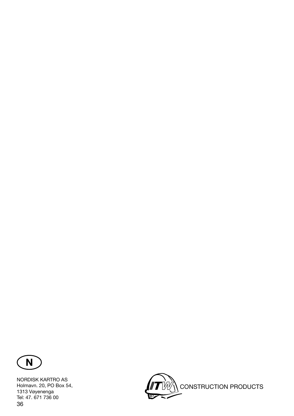

36 NORDISK KARTRO AS Holmavn. 20, PO Box 54, 1313 Vøyenenga Tel: 47. 671 736 00

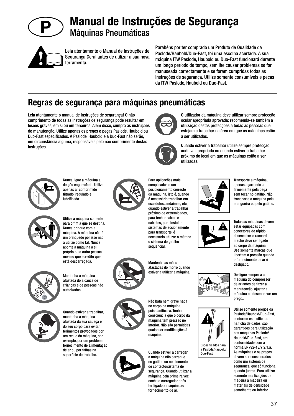

### **Manual de Instruções de Segurança** Máquinas Pneumáticas



Leia atentamente o Manual de Instruções de Segurança Geral antes de utilizar a sua nova ferramenta.

Parabéns por ter comprado um Produto de Qualidade da Paslode/Haubold/Duo-Fast, foi uma escolha acertada. A sua máquina ITW Paslode, Haubold ou Duo-Fast funcionará durante um longo período de tempo, sem lhe causar problemas se for manuseada correctamente e se foram cumpridas todas as instruções de segurança. Utilize somente consumíveis e peças da ITW Paslode, Haubold ou Duo-Fast.

#### **Regras de segurança para máquinas pneumáticas**

Leia atentamente o manual de instruções de segurança! O não cumprimento de todas as instruções de segurança pode resultar em lesões graves, em si ou em terceiros. Além disso, cumpra as instruções de manutenção. Utilize apenas os pregos e peças Paslode, Haubold ou Duo-Fast especificados. A Paslode, Haubold e a Duo-Fast não serão, em circunstância alguma, responsáveis pelo não cumprimento destas instruções.



Nunca ligue a máquina a de gás engarrafado. Utilize apenas ar comprimido filtrado, regulado e lubrificado.



Utilize a máquina somente para o fim a que se destina. Nunca brinque com a máquina. A máquina não é um brinquedo por isso não a utilize como tal. Nunca aponte a máquina a si próprio ou a outra pessoa mesmo que acredite que está descarregada.



Mantenha a máquina afastada do alcance de crianças e de pessoas não autorizadas.



Para aplicações mais complicadas e um posicionamento correcto da máquina, isto é, quando é necessário trabalhar em escadotes, andaimes, etc., quando estiver a trabalhar próximo de extremidades, para fechar caixas e caixotes, para instalar sistemas de accionamento para transporte, é necessário utilizar o método o sistema do gatilho sequencial.







consciência que o corpo da interior. Não são permitidas quaisquer modificações à máquina.

Quando estiver a carregar a máquina não carregue no gatilho ou no elemento de contacto/sistema de segurança. Quando utilizar a máquina pela primeira vez, encha o carregador após ter ligado a máquina ao fornecimento de ar.



Quando estiver a trabalhar utilize sempre protecção

a ser utilizadas.

O utilizador da máquina deve utilizar sempre protecção ocular apropriada aprovada; recomenda-se também a utilização destas protecções a todas as pessoas que estejam a trabalhar na área em que as máquinas estão



Especificados para a Paslode/Haubold/ Duo-Fast



Todas as máquinas devem estar equipadas com conectores de rápido desencaixe, o raccord macho deve ser ligado ao corpo da máquina. Use somente marcas que libertam a pressão quando o fornecimento de ar é

desligado.

Desligue sempre a a máquina do compressor de ar antes de fazer a manutenção, ajustar a máquina ou desencravar um prego..



37

Quando estiver a trabalhar, mantenha a máquina afastada da sua cabeça e do seu corpo para evitar ferimentos provocados por um recuo da máquina, por exemplo, por um problema fornecimento de alimentação de ar ou por falhas na superfície de trabalho.





afastadas do morro quando estiver a utilizar a máquina.

Não bata nem grave nada no corpo da máquina, pois danifica-a. Tenha máquina tem pressão no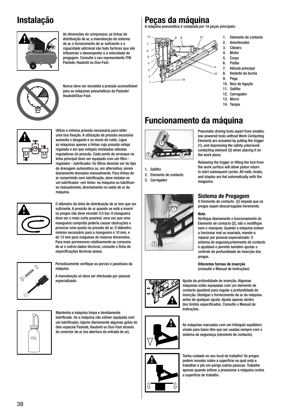#### **Instalação**



As dimensões do compressor, as linhas de distribuição de ar, a manutenção do sistema de ar, o fornecimento de ar suficiente e a capacidade adicional são tudo factores que vão influenciar o desempenho e a velocidade de pregagem. Consulte o seu representante ITW Paslode, Haubold ou Duo-Fast.



Nunca deve ser excedida a pressão aconselhável para as máquinas pneumáticas da Paslode/ Haubold/Duo-Fast.



Utilize a mínima pressão necessária para obter uma boa fixação. A utilização de pressão excessiva aumenta o desgaste e os níveis de ruído. Ligue as máquinas apenas a linhas cuja pressão esteja regulada e em que estejam instaladas válvulas reguladoras de pressão. Cada ponto de arranque na linha principal deve ser equipado com um filtro regulador - lubrificador. Os filtros deverão ser do tipo de drenagem automática ou, em alternativa, serem diariamente drenados manualmente. Para linhas de ar comprimido sem lubrificação, deve instalar-se um lubrificador »em linha« na máquina ou lubrificarse manualmente, directamente na saída de ar da máquina.



O diâmetro da linha de distribuição de ar tem que ser suficiente. A pressão de ar quando se está a inserir os pregos não deve exceder 0,5 bar. A mangueira deve ser o mais curta possível, uma vez que uma mangueira comprida poderia causar obstruções e provocar uma queda na pressão de ar. O diâmetro mínimo necessário para a mangueira é 10 mm, e de 13 mm para máquinas de maiores dimensões. Para mais pormenores relativamente ao consumo de ar e outros dados técnicos, consulte a ficha de especificações técnicas anexa.



Periodicamente verifique as porcas e parafusos da máquina

A manutenção só deve ser efectuada por pessoal especializado.



Mantenha a máquina limpa e devidamente lubrifi cada. Se a máquina não estiver equipada com um lubrificador, injecte diariamente algumas gotas de óleo especial Paslode, Haubold ou Duo-Fast através do conector de ar (na abertura da entrada de ar).

#### **Peças da máquina**

A máquina pneumática é composta por 14 peças principais:



1. Elemento de contacto

- 2. Amortecedor 3. Cilindro
- 4. Motor
- 5. Corpo
- 6. Pistão
- 7. Válvula principal
- 8. Vedante da bucha
- 9. Pega 10. Bico de ligação
- 11. Gatilho
- 12. Carregador
- 13. Morro
- 14. Tampa

### **Funcionamento da máquina**



1. Gatilho

- 2. Elemento de contacto
- 3. Carregador



#### (1), and depressing the safety yoke/work contacting element (2) when placing it on the work piece. Releasing the trigger or lifting the tool from

the work surface will allow piston return to start subsequent cycles. All nails, brads, and staples are fed automatically with the magazine.

#### **Sistema de Pregagem**

O Elemento de contacto (2) impede que os pregos sejam descarregados livremente.

#### **Nota**

Verifique diariamente o funcionamento do Elemento de contacto (2), não o modifique nem o manipule. Quando a máquina estiver a funcionar mal ou avariada, mande-a reparar por pessoal especializado. O sistema de segurança/elemento de contacto é ajustável e permite também ajustar o controle de profundidade de inserção dos pregos.

**Diferentes formas de inserção** (consulte o Manual de Instruções)



Ajuste da profundidade de inserção. Algumas máquinas estão equipadas com um elemento de contacto ajustável para regular a profundidade de inserção. Desligue o fornecimento de ar da máquina antes de qualquer ajuste. Ajuste apenas dentro dos limites especificados. Consulte o Manual de Instruções.



As máquinas marcadas com um triângulo equilátero virado para baixo têm que ser usadas sempre com o sistema de segurança (elemento de contacto).



Tenha cuidado no seu local de trabalho! Os pregos podem resvalar sobre a superfície na qual está a trabalhar e pôr em perigo outras pessoas. Trabalhe apenas quando estiver a pressionar a máquina contra a superfície de trabalho.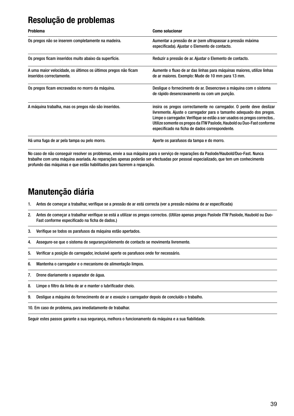#### **Resolução de problemas**

| <b>Problema</b>                                                                            | <b>Como solucionar</b>                                                                                                                                                                                                                                                                                                                            |
|--------------------------------------------------------------------------------------------|---------------------------------------------------------------------------------------------------------------------------------------------------------------------------------------------------------------------------------------------------------------------------------------------------------------------------------------------------|
| Os pregos não se inserem completamente na madeira.                                         | Aumentar a pressão de ar (sem ultrapassar a pressão máxima<br>especificada). Ajustar o Elemento de contacto.                                                                                                                                                                                                                                      |
| Os pregos ficam inseridos muito abaixo da superfície.                                      | Reduzir a pressão de ar. Ajustar o Elemento de contacto.                                                                                                                                                                                                                                                                                          |
| A uma maior velocidade, os últimos os últimos pregos não ficam<br>inseridos correctamente. | Aumente o fluxo de ar das linhas para máquinas maiores, utilize linhas<br>de ar maiores. Exemplo: Mude de 10 mm para 13 mm.                                                                                                                                                                                                                       |
| Os pregos ficam encravados no morro da máquina.                                            | Desligue o fornecimento de ar. Desencrave a máquina com o sistema<br>de rápido desencravamento ou com um punção.                                                                                                                                                                                                                                  |
| A máquina trabalha, mas os pregos não são inseridos.                                       | insira os pregos correctamente no carregador. O pente deve deslizar<br>livremente. Ajuste o carregador para o tamanho adequado dos pregos.<br>Limpe o carregador. Verifique se estão a ser usados os pregos correctos<br>Utilize somente os pregos da ITW Paslode, Haubold ou Duo-Fast conforme<br>especificado na ficha de dados correspondente. |
| Há uma fuga de ar pela tampa ou pelo morro.                                                | Aperte os parafusos da tampa e do morro.                                                                                                                                                                                                                                                                                                          |

No caso de não conseguir resolver os problemas, envie a sua máquina para o serviço de reparações da Paslode/Haubold/Duo-Fast. Nunca trabalhe com uma máquina avariada. As reparações apenas poderão ser efectuadas por pessoal especializado, que tem um conhecimento profundo das máquinas e que estão habilitados para fazerem a reparação.

#### **Manutenção diária**

- 1. Antes de começar a trabalhar, verifique se a pressão de ar está correcta (ver a pressão máxima de ar especificada)
- 2. Antes de começar a trabalhar verifique se está a utilizar os pregos correctos. (Utilize apenas pregos Paslode ITW Paslode, Haubold ou Duo-Fast conforme especificado na ficha de dados.)
- 3. Verifique se todos os parafusos da máquina estão apertados.
- 4. Assegure-se que o sistema de segurança/elemento de contacto se movimenta livremente.
- 5. Verificar a posição do carregador, inclusivé aperte os parafusos onde for necessário.
- 6. Mantenha o carregador e o mecanismo de alimentação limpos.
- 7. Drene diariamente o separador de água.
- 8. Limpe o filtro da linha de ar e manter o lubrificador cheio.
- 9. Desligue a máquina do fornecimento de ar e esvazie o carregador depois de concluído o trabalho.
- 10. Em caso de problema, para imediatamente de trabalhar.

Seguir estes passos garante a sua segurança, melhora o funcionamento da máquina e a sua fiabilidade.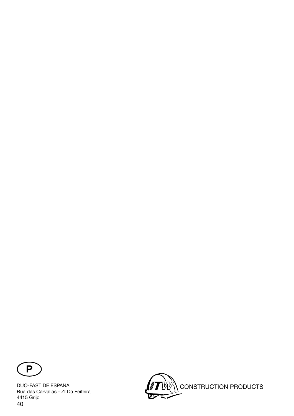

40 DUO-FAST DE ESPANA Rua das Carvallas - ZI Da Feiteira 4415 Grijo

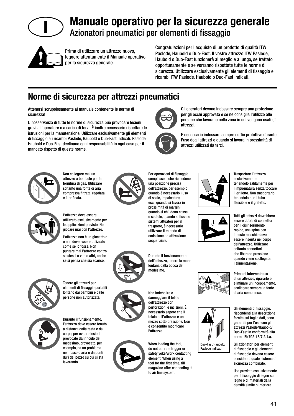

### **Manuale operativo per la sicurezza generale** Azionatori pneumatici per elementi di fissaggio



Prima di utilizzare un attrezzo nuovo, leggere attentamente il Manuale operativo per la sicurezza generale.

Congratulazioni per l'acquisto di un prodotto di qualità ITW Paslode, Haubold o Duo-Fast. Il vostro attrezzo ITW Paslode, Haubold o Duo-Fast funzionerà al meglio e a lungo, se trattato opportunamente e se verranno rispettate tutte le norme di sicurezza. Utilizzare esclusivamente gli elementi di fissaggio e ricambi ITW Paslode, Haubold o Duo-Fast indicati.

> Gli operatori devono indossare sempre una protezione per gli occhi approvata e se ne consiglia l'utilizzo alle persone che lavorano nella zona in cui vengono usati gli

> È necessario indossare sempre cuffie protettive durante l'uso degli attrezzi o quando si lavora in prossimità di

#### **Norme di sicurezza per attrezzi pneumatici**

Attenersi scrupolosamente al manuale contenente le norme di sicurezza!

L'inosservanza di tutte le norme di sicurezza può provocare lesioni gravi all'operatore o a carico di terzi. È inoltre necessario rispettare le istruzioni per la manutenzione. Utilizzare esclusivamente gli elementi di fissaggio e i ricambi Paslode, Haubold o Duo-Fast indicati, Paslode, Haubold e Duo-Fast declinano ogni responsabilità in ogni caso per il mancato rispetto di queste norme.



Non collegare mai un attrezzo a bombole per la fornitura di gas. Utilizzare soltanto una fonte di aria compressa filtrata, regolata e lubrificata.



L'attrezzo deve essere utilizzato esclusivamente per le applicazioni previste. Non giocare mai con l'attrezzo.

L'attrezzo non è un giocattolo e non deve essere utilizzato come se lo fosse. Non puntare mai l'attrezzo contro se stessi o verso altri, anche se si pensa che sia scarico.



Tenere gli attrezzi per elementi di fissaggio portatili lontano dai bambini e dalle persone non autorizzate.



Durante il funzionamento, l'attrezzo deve essere tenuto a distanza dalla testa e dal corpo, per evitare lesioni provocate dal rinculo del medesimo, provocato, per esempio, da un problema nel flusso d'aria o da punti duri del pezzo su cui si sta lavorando.



Per operazioni di fissaggio complesse e che richiedono una posizione precisa dell'attrezzo, per esempio quando è necessario l'uso di scale, impalcature, ecc., quando si lavora in prossimità di margini, quando si chiudono casse e scatole, quando si fissano sistemi attuatori per il trasporto, è necessario utilizzare il metodo di emissione ad attivazione sequenziale.

attrezzi.

attrezzi utilizzati da terzi.





When loading the tool, do not operate trigger or safety yoke/work contacting element. When using a tool for the first time, fill magazine after connecting it to air line system.











Trasportare l'attrezzo esclusivamente tenendolo saldamente per l'impugnatura senza toccare il grilletto. Non trasportarlo tenendolo per il tubo flessibile o il grilletto.

Tutti gli attrezzi dovrebbero essere dotati di connettori per il disinserimento rapido, una spina con innesto maschio deve essere inserita nel corpo dell'attrezzo. Utilizzare soltanto connettori che liberano pressione quando viene scollegata l'alimentazione.

Prima di intervenire su di un attrezzo, ripararlo o eliminare un inceppamento, scollegare sempre la fonte di aria compressa.

Gli elementi di fissaggio, rispondenti alla descrizione fornita sul foglio dati, sono garantiti per l'uso con gli attrezzi Paslode/Haubold/ Duo-Fast in conformità alla norma EN792-13/7.2.1.a.

Gli azionatori per elementi di fissaggio e gli elementi di fissaggio devono essere considerati quale sistema di sicurezza combinato.

Uso previsto esclusivamente per il fissaggio di legno su legno o di materiali dalla densità simile o inferiore.

Durante il funzionamento dell'attrezzo, tenere la mano lontana dalla bocca del medesimo.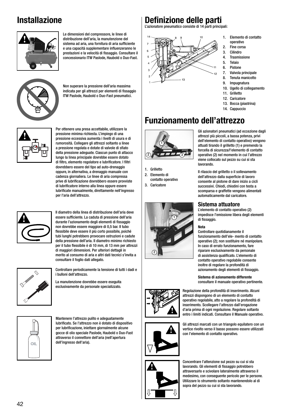#### **Installazione**



Le dimensioni del compressore, le linee di distribuzione dell'aria, la manutenzione del sistema ad aria, una fornitura di aria sufficiente e una capacità supplementare influenzeranno le prestazioni e la velocità di fissaggio. Consultare il concessionario ITW Paslode, Haubold o Duo-Fast.



Non superare la pressione dell'aria massima indicata per gli attrezzi per elementi di fissaggio ITW Paslode, Haubold o Duo-Fast pneumatici.



Per ottenere una presa accettabile, utilizzare la pressione minima richiesta. L'impiego di una pressione eccessiva aumenta i livelli di usura e di rumorosità. Collegare gli attrezzi soltanto a linee a pressione regolata e dotate di valvole di sfiato della pressione adeguate. Ciascun punto di attacco lungo la linea principale dovrebbe essere dotato di filtro, elemento regolatore e lubrificatore. I filtri dovrebbero essere del tipo ad auto-drenaggio oppure, in alternativa, a drenaggio manuale con cadenza giornaliera. Le linee di aria compressa prive di lubrificazione dovrebbero essere provviste di lubrificatore interno alla linea oppure essere lubrificate manualmente, direttamente nell'ingresso per l'aria dell'attrezzo.



Il diametro della linea di distribuzione dell'aria deve essere sufficiente. La caduta di pressione dell'aria durante l'azionamento degli elementi di fissaggio non dovrebbe essere maggiore di 0,5 bar. Il tubo flessibile deve essere il più corto possibile, poiché tubi lunghi potrebbero provocare ostruzioni e cadute della pressione dell'aria. Il diametro minimo richiesto per il tubo flessibile è di 10 mm, di 13 mm per attrezzi di maggiori dimensioni. Per ulteriori dettagli in merito al consumo di aria e altri dati tecnici s'invita a consultare il foglio dati allegato.



Controllare periodicamente la tensione di tutti i dadi e i bulloni dell'attrezzo.

La manutenzione dovrebbe essere eseguita esclusivamente da personale specializzato.



Mantenere l'attrezzo pulito e adeguatamente lubrificato. Se l'attrezzo non è dotato di dispositivo per lubrificazione, iniettare giornalmente alcune gocce di olio speciale Paslode, Haubold o Duo-Fast attraverso il connettore dell'aria (nell'apertura OIL<sup>'</sup> dell'ingresso dell'aria).

#### **Defi nizione delle parti**

L'azionatore pneumatico consiste di 14 parti principali:



- 1. Elemento di contatto operativo
- 2. Fine corsa
- 3. Cilindro
- 4. Trasmissione
- **Telaio**
- 6. Pistone
- 7. Valvola principale
- 8. Tenuta manicotto
- 9. Impugnatura
- 10. Ugello di collegamento 11. Grilletto
- 
- 12. Caricatore
- 13. Bocca (piastrina) 14. Cappuccio
- **Funzionamento dell'attrezzo**



- 1. Grilletto
- 2. Elemento di contatto operativo
- 3. Caricatore





Il rilascio del grilletto o il sollevamento dell'attrezzo dalla superficie di lavoro consente al pistone di dare inizio a cicli successivi. Chiodi, chiodini con testa a scomparsa e graffette vengono alimentati automaticamente dal caricatore.

#### **Sistema attuatore**

L'elemento di contatto operativo (2) impedisce l'emissione libera degli elementi di fissaggio.

#### **Nota**

Controllare quotidianamente il funzionamento dell'ele- mento di contatto operativo (2); non sostituire né manipolare. In caso di errato funzionamento, fare riparare esclusivamente da personale di assistenza qualificato. L'elemento di contatto operativo regolabile consente inoltre di regolare la profondità di azionamento degli elementi di fissaggio.

**Sistema di azionamento differente**  consultare il manuale operativo pertinente.

Regolazione della profondità di inserimento. Alcuni attrezzi dispongono di un elemento di contatto operativo regolabile, atto a regolare la profondità di inserimento. Scollegare l'attrezzo dall'erogazione d'aria prima di ogni regolazione. Regolare soltanto entro i limiti indicati. Consultare il Manuale operativo.

Gli attrezzi marcati con un triangolo equilatero con un vertice rivolto verso il basso possono essere utilizzati

con l'elemento di contatto operativo.



Concentrare l'attenzione sul pezzo su cui si sta lavorando. Gli elementi di fissaggio potrebbero attraversarlo e scivolare lateralmente attraverso il medesimo, con conseguente pericolo per le persone. Utilizzare lo strumento soltanto mantenendolo al di sopra del pezzo su cui si sta lavorando.





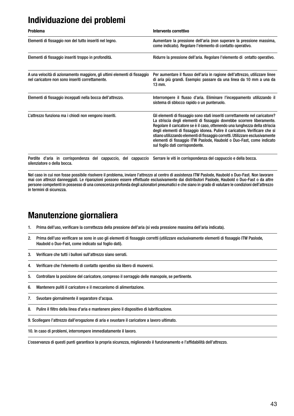#### **Individuazione dei problemi**

| <b>Problema</b>                                                                                                             | Intervento correttivo                                                                                                                                                                                                                                                                                                                                                                                                                                                                                          |
|-----------------------------------------------------------------------------------------------------------------------------|----------------------------------------------------------------------------------------------------------------------------------------------------------------------------------------------------------------------------------------------------------------------------------------------------------------------------------------------------------------------------------------------------------------------------------------------------------------------------------------------------------------|
| Elementi di fissaggio non del tutto inseriti nel legno.                                                                     | Aumentare la pressione dell'aria (non superare la pressione massima,<br>come indicato). Regolare l'elemento di contatto operativo.                                                                                                                                                                                                                                                                                                                                                                             |
| Elementi di fissaggio inseriti troppo in profondità.                                                                        | Ridurre la pressione dell'aria. Regolare l'elemento di ontatto operativo.                                                                                                                                                                                                                                                                                                                                                                                                                                      |
| A una velocità di azionamento maggiore, gli ultimi elementi di fissaggio<br>nel caricatore non sono inseriti correttamente. | Per aumentare il flusso dell'aria in ragione dell'attrezzo, utilizzare linee<br>di aria più grandi. Esempio: passare da una linea da 10 mm a una da<br>$13$ mm.                                                                                                                                                                                                                                                                                                                                                |
| Elementi di fissaggio inceppati nella bocca dell'attrezzo.                                                                  | Interrompere il flusso d'aria. Eliminare l'inceppamento utilizzando il<br>sistema di sblocco rapido o un punteruolo.                                                                                                                                                                                                                                                                                                                                                                                           |
| L'attrezzo funziona ma i chiodi non vengono inseriti.                                                                       | Gli elementi di fissaggio sono stati inseriti correttamente nel caricatore?<br>La striscia degli elementi di fissaggio dovrebbe scorrere liberamente.<br>Regolare il caricatore se è il caso, ottenendo una lunghezza della striscia<br>degli elementi di fissaggio idonea. Pulire il caricatore. Verificare che si<br>stiano utilizzando elementi di fissaggio corretti. Utilizzare esclusivamente<br>elementi di fissaggio ITW Paslode, Haubold o Duo-Fast, come indicato<br>sul foglio dati corrispondente. |

Perdite d'aria in corrispondenza del cappuccio, del cappuccio Serrare le viti in corrispondenza del cappuccio e della bocca. silenziatore o della bocca.

Nel caso in cui non fosse possibile risolvere il problema, inviare l'attrezzo al centro di assistenza ITW Paslode, Haubold o Duo-Fast. Non lavorare mai con attrezzi danneggiati. Le riparazioni possono essere effettuate esclusivamente dai distributori Paslode, Haubold o Duo-Fast o da altre persone competenti in possesso di una conoscenza profonda degli azionatori pneumatici e che siano in grado di valutare le condizioni dell'attrezzo in termini di sicurezza.

#### **Manutenzione giornaliera**

- 1. Prima dell'uso, verificare la correttezza della pressione dell'aria (si veda pressione massima dell'aria indicata).
- 2. Prima dell'uso verificare se sono in uso gli elementi di fissaggio corretti (utilizzare esclusivamente elementi di fissaggio ITW Paslode, Haubold o Duo-Fast, come indicato sul foglio dati).
- 3. Verificare che tutti i bulloni sull'attrezzo siano serrati.
- 4. Verificare che l'elemento di contatto operativo sia libero di muoversi.
- 5. Controllare la posizione del caricatore, compreso il serraggio delle manopole, se pertinente.
- 6. Mantenere puliti il caricatore e il meccanismo di alimentazione.
- 7. Svuotare giornalmente il separatore d'acqua.
- 8. Pulire il filtro della linea d'aria e mantenere pieno il dispositivo di lubrificazione.

9. Scollegare l'attrezzo dall'erogazione di aria e svuotare il caricatore a lavoro ultimato.

10. In caso di problemi, interrompere immediatamente il lavoro.

L'osservanza di questi punti garantisce la propria sicurezza, migliorando il funzionamento e l'affidabilità dell'attrezzo.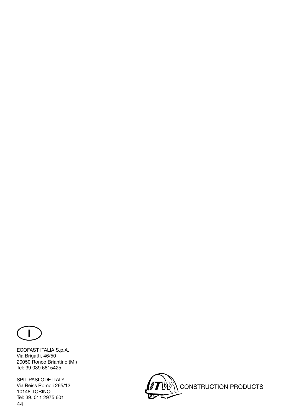

ECOFAST ITALIA S.p.A. Via Brigatti, 46/50 20050 Ronco Briantino (MI) Tel: 39 039 6815425

44 SPIT PASLODE ITALY Via Reiss Romoli 265/12 10148 TORINO Tel: 39. 011 2975 601

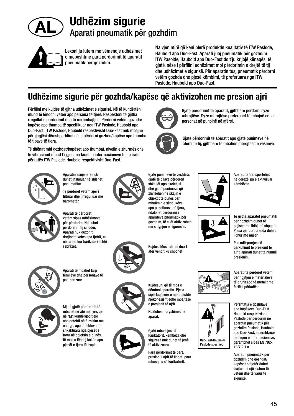

### **Udhëzim sigurie** Aparati pneumatik për gozhdim



Lexoni ju lutem me vëmendje udhëzimet e mëposhtme para përdorimit të aparatit pneumatik për gozhdim.

Na vjen mirë që keni blerë produktin kualitativ të ITW Paslode, Haubold apo Duo-Fast. Aparati juaj pneumatik për gozhdim ITW Pasolde, Haubold apo Duo-Fast do t`ju krijojë kënaqësi të gjatë, nëse i përfillni udhëzimet mbi përdorimin e drejtë të tij dhe udhëzimet e sigurisë. Për aparatin tuaj pneumatik përdorni vetëm gozhda dhe pjesë këmbimi, të preferuara nga ITW Paslode, Haubold apo Duo-Fast.

personat që punojnë në afërsi.

Gjatë përdorimit të aparatit, gjithherë përdorni syze mbrojtëse. Syze mbrojtëse preferohet të mbajnë edhe

Gjatë përdorimit të aparatit apo gjatë punimeve në afërsi të tij, gjithherë të mbahen mbrojtësit e veshëve.

### **Udhëzime sigurie për gozhda/kapëse që aktivizohen me presion ajri**

Përfillni me kujdes të gjitha udhëzimet e sigurisë. Në të kundërtën mund të lëndoni veten apo persona të tjerë. Respektoni të gjitha rregullat e përdorimit dhe të mirëmbajtjes. Përdorni vetëm gozhda/ kapëse apo thumba të specifikuar nga ITW Paslode, Haubold apo Duo-Fast. ITW Paslode, Haubold respektivisht Duo-Fast nuk mbajnë përgjegjësi dëmshpërblimi nëse përdorni gozhda/kapëse apo thumba të tipave të tjera.

Të dhënat mbi gozhdat/kapëset apo thumbat, nivelin e zhurmës dhe të vibracionit mund t`i gjeni në faqen e informacioneve të aparatit përkatës ITW Paslode, Haubold respektivisht Duo-Fast.



Aparatin asnjëherë nuk duhet instaluar në shishet pneumatike.

Të përdoret vetëm ajër i filtruar dhe i rregulluar me barometër.



Aparati të përdoret vetëm sipas udhëzimeve për përdorim. Ndalohet përdorimi i tij si lodër. Aparati nuk guxon ti drejtohet vetes apo tjetrit, as në rastet kur karikatori është i zbrazët.



Aparati të mbahet larg fëmijëve dhe personave të paautorizuar.



mbahet në atë mënyrë, që në rast kundërgoditjeje apo defekti në furnizim me energji, apo defekteve të shkaktuara nga pjesët e forta në objektin e punës, të mos u lëndoj kokën apo pjesët e tjera të trupit.



Gjatë punimeve të vështira, gjatë të cilave përdoren shkallët apo skelet, si dhe gjatë punimeve që zhvillohen në skajin e objektit të punës për mbulimin e sëndukëve apo paketimeve të tjera, ndalohet përdorimi i aparateve pneumatik për gozhdim, të cilët aktivizohen me shtypjen e siguresës.

Kujdes: Mos i afroni duart afër vendit ku shpohet.



dëmtoni aparatin. Piesa sipërfaqësore e mjetit është njëkohësisht edhe mbajtëse e presionit të ajrit.

Ndalohen ndryshimet në aparat.

Gjatë mbushjes së karikatorit, këmbëza dhe siguresa nuk duhet të jenë të aktivizuara.

Para përdorimit të parë, presioni i ajrit të lidhet para mbushjes së karikatorit.







Aparati të transportohet në dorezë, pa e aktivizuar këmbëzën.

për gozhdim duhet të pajisen me lidhje të shpejtë. Pjesa që futet brenda duhet lidhur me mietin.

Pas ndërpreries së qarkullimit të presionit të ajrit, aparati duhet ta humbë presionin.

Aparati të përdoret vetëm për ngjitjen e materialeve të drurit apo të metalit me fortësi përkatëse.





Përshtatja e gozhdave apo kapëseve Duo-Fast, Haubold respektivisht Paslode për përdorim në aparatin pneumatik për gozhdim Paslode, Haubold apo Duo-Fast, e përshkruar në faqen e informacioneve, garantohet sipas EN 792-

Aparatin pneumatik për gozhdim dhe gozhdat/ kapëset patjetër duhet traituar si nië sistem të vetëm dhe të varur të sigurisë.

13/7.2.1.a

Të gjitha aparatet pneumatik

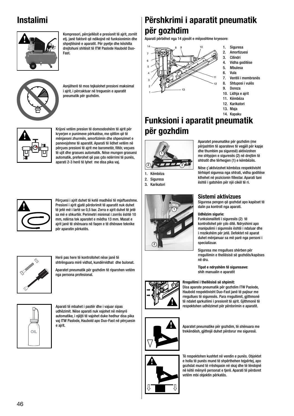### **Instalimi**



Kompresori, përcjellësit e presionit të ajrit, zorrët etj. janë faktorë që ndikojnë në funksionimin dhe shpejtësinë e aparatit. Për pyetje dhe këshilla drejtohuni shitësit të ITW Paslode Haubold Duo-Fast.



Asnjëherë të mos tejkalohet presioni maksimal i ajrit, i përcaktuar në treguesin e aparatit pneumatik për gozhdim.



Krijoni vetëm presion të domosdoshëm të ajrit për kryerjen e punimeve përkatëse, me qëllim që të mënjanoni zhurmën, amortizimin dhe shpenzimet e panevojshme të aparatit. Aparati të lidhet vetëm në përçues presioni të ajrit me barometër, filtër, veçues të ujit dhe grasues automatik. Nëse mungon grasuesi automatik, preferohet që pas çdo ndërrimi të punës, aparati 2-3 herë të lyhet me disa pika vaj.



Përçuesi i ajrit duhet të ketë madhësi të mjaftueshme. Presioni i ajrit gjatë përdorimit të aparatit nuk duhet të jetë më i lartë se 0,5 bar. Zorra e ajrit duhet të jetë sa më e shkurtër. Perimetri minimal i zorrës është 10 mm, ndërsa tek aparatet e mëdha 13 mm. Masat e ajrit janë të shënuara në faqen e të dhënave teknike për aparatin përkatës.



Herë pas here të kontrollohet nëse janë të shtrënguara mirë vidhat, kundërvidhat dhe bulonat.

Aparatet pneumatik për gozhdim të riparohen vetëm nga persona profesional.



Aparati të mbahet i pastër dhe i vajuar sipas udhëzimit. Nëse aparati nuk vajohet në mënyrë automatike, i njëjti të vajohet duke hedhur disa pika vaj ITW Paslode, Haubold apo Duo-Fast në përçuesin e ajrit.

## **Përshkrimi i aparatit pneumatik për gozhdim**

Aparati përbëhet nga 14 pjesët e mëposhtme kryesore:



- 1. Siguresa
- 2. Amortizuesi
- 3. Cilindri
- 4. Vidha goditëse
- 5. Mbulesa
- 6. Vula
- 7. Ventili i membranës<br>8. Shtuposi i vulës 8. Shtuposi i vulës
- 9. Doreza
- 10. Lidhja e ajrit
- 11. Këmbëza
- 12. Karikatori
- 13. Maja
- 14. Kapaku

#### **Funksioni i aparatit pneumatik për gozhdim**



1. Këmbëza

- 2. Siguresa
- 3. Karikatori



Aparatet pneumatike për gozhdim (me përjashtim të aparateve të vegjël për kapje dhe thumbim pa siguresë) aktivizohen me shtypjen e siguresës (2) në drejtim të shtratit dhe tërheqjen (1) e këmbëzës.

Nëse ç`aktivizohet këmbëza respektivisht tërhiqet siguresa nga shtrati, vidha goditëse kthehet në pozicionin fillestar. Aparati tani është i gatshëm për një cikël të ri.

#### **Sistemi aktivizues**

Siguresa pengon që gozhdat apo kapëset të dalin pa kontroll nga aparati.

#### **Udhëzim sigurie:**

Funksionaliteti i siguresës (2) të kontrollohet për çdo ditë. Ndryshimi apo manipulimi i siguresës është i ndaluar dhe i rrezikshëm për jetë. Defektet në aparat duhet mënjanuar sa më parë nga personi i specializuar.

Siguresa me rregullues shërben për rregullimin e thellësisë së gozhdës/kapëses në dru.

**Tipat e ndryshëm të siguresave:** shih manualin e aparatit

#### **Rregullimi i thellësisë së shpimit:**

Disa aparate pneumatik për gozhdim ITW Paslode, Haubold respektivisht Duo-Fast janë të pajisur me rregullues të siguresës. Para rregullimit, gjithmonë të ndalet qarkullimi i presionit të ajrit. Gjithmonë të respektohen udhëzimet për përdorimin e aparatit.



Aparatet pneumatike për gozhdim, të shënuara me trekëndësh, gjithnjë duhet përdorur me siguresë.



Të respektohen kushtet në vendin e punës. Objektet e holla të punës mund të shpërthehen tejpërtej, apo gozhdat mund të rrëshqasin në skaj dhe të lëndojnë në këtë mënyrë personat e tjerë. Aparati të përdoret vetëm mbi objektin përkatës.





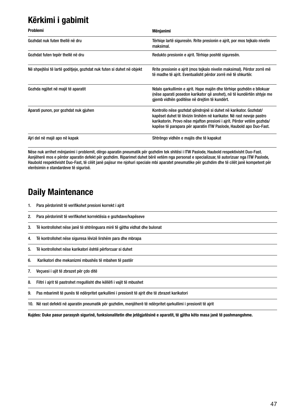### **Kërkimi i gabimit**

| <b>Problemi</b>                                                       | Mënjanimi                                                                                                                                                                                                                                                                                |
|-----------------------------------------------------------------------|------------------------------------------------------------------------------------------------------------------------------------------------------------------------------------------------------------------------------------------------------------------------------------------|
| Gozhdat nuk futen thellë në dru                                       | Tërhiqe lartë siguresën. Rrite presionin e ajrit, por mos tejkalo nivelin<br>maksimal.                                                                                                                                                                                                   |
| Gozhdat futen tepër thellë në dru                                     | Redukto presionin e airit. Tërhiqe poshtë siguresën.                                                                                                                                                                                                                                     |
| Në shpejtësi të lartë goditjeje, gozhdat nuk futen si duhet në objekt | Rrite presionin e ajrit (mos tejkalo nivelin maksimal). Përdor zorrë më<br>të madhe të airit. Eventualisht përdor zorrë më të shkurtër.                                                                                                                                                  |
| Gozhda ngjitet në majë të aparatit                                    | Ndalo qarkullimin e ajrit. Hape majën dhe tërhiqe gozhdën e bllokuar<br>(nëse aparati posedon karikator që anohet), në të kundërtën shtyje me<br>gjemb vidhën goditëse në drejtim të kundërt.                                                                                            |
| Aparati punon, por gozhdat nuk gjuhen                                 | Kontrollo nëse gozhdat qëndrojnë si duhet në karikator. Gozhdat/<br>kapëset duhet të lëvizin lirshëm në karikator. Në rast nevoje pastro<br>karikatorin. Provo nëse mjafton presioni i ajrit. Përdor vetëm qozhda/<br>kapëse të parapara për aparatin ITW Paslode, Haubold apo Duo-Fast. |
| Ajri del në majë apo në kapak                                         | Shtrëngo vidhën e majës dhe të kapakut                                                                                                                                                                                                                                                   |

Nëse nuk arrihet mënjanimi i problemit, dërgo aparatin pneumatik për gozhdim tek shitësi i ITW Paslode, Haubold respektivisht Duo-Fast. Asnjëherë mos e përdor aparatin defekt për gozhdim. Riparimet duhet bërë vetëm nga personat e specializuar, të autorizuar nga ITW Paslode, Haubold respektivisht Duo-Fast, të cilët janë pajisur me njohuri speciale mbi aparatet pneumatike për gozhdim dhe të cilët janë kompetent për vlerësimin e standardeve të sigurisë.

#### **Daily Maintenance**

- 1. Para përdorimit të verifikohet presioni korrekt i ajrit
- 2. Para përdorimit të verifikohet korrektësia e gozhdave/kapëseve
- 3. Të kontrollohet nëse janë të shtrënguara mirë të gjitha vidhat dhe bulonat
- 4. Të kontrollohet nëse siguresa lëvizë lirshëm para dhe mbrapa
- 5. Të kontrollohet nëse karikatori është përforcuar si duhet
- 6. Karikatori dhe mekanizmi mbushës të mbahen të pastër
- 7. Veçuesi i ujit të zbrazet për çdo ditë
- 8. Filtri i ajrit të pastrohet rregullisht dhe këllëfi i vajit të mbushet
- 9. Pas mbarimit të punës të ndërpritet qarkullimi i presionit të ajrit dhe të zbrazet karikatori
- 10. Në rast defekti në aparatin pneumatik për gozhdim, menjëherë të ndërpritet qarkullimi i presionit të ajrit

**Kujdes: Duke pasur parasysh sigurinë, funksionalitetin dhe jetëgjatësinë e aparatit, të gjitha këto masa janë të pashmangshme.**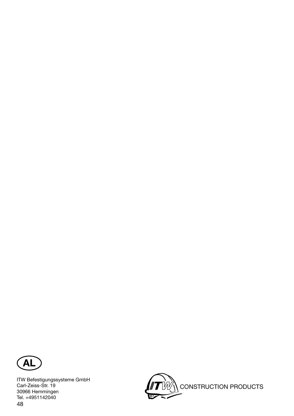

48 ITW Befestigungssysteme GmbH Carl-Zeiss-Str. 19 30966 Hemmingen Tel. +4951142040

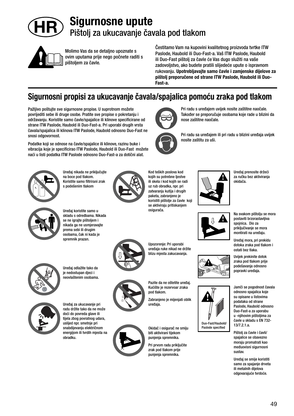

#### **Sigurnosne upute** Pištolj za ukucavanje čavala pod tlakom



Molimo Vas da se detaljno upoznate s ovim uputama prije nego počnete raditi s pištoljem za čavle.

Čestitamo Vam na kupovini kvalitetnog proizvoda tvrtke ITW Paslode, Haubold ili Duo-Fast-a. Vaš ITW Paslode, Haubold ili Duo-Fast pištolj za čavle će Vas dugo služiti na vaše zadovoljstvo, ako budete pratili slijedeće upute o ispravnom rukovanju. **Upotrebljavajte samo čavle i zamjenske dijelove za pištolj preporučene od strane ITW Paslode, Haubold ili Duo-Fast-a.**

> Pri radu s uređajem uvijek nosite zaštitne naočale. Također se preporučuje osobama koje rade u blizini da

> Pri radu sa uređajem ili pri radu u blizini uređaja uvijek

nose zaštitne naočale.

nosite zaštitu za uši.

### **Sigurnosni propisi za ukucavanje čavala/spajalica pomoću zraka pod tlakom**

Pažljivo poštujte sve sigurnosne propise. U suprotnom možete povrijediti sebe ili druge osobe. Pratite sve propise o pokretanju i održavanju. Koristite samo čavle/spajalice ili klinove specificirane od strane ITW Paslode, Haubold ili Duo-Fast-a. Pri uporabi drugih vrsta čavala/spajalica ili klinova ITW Paslode, Haubold odnosno Duo-Fast ne snosi odgovornost.

Podatke koji se odnose na čavle/spajalice ili klinove, razinu buke i vibracija koje je specificirao ITW Paslode, Haubold ili Duo-Fast možete naći u listi podatka ITW Paslode odnosno Duo-Fast-a za dotični alat.



Uređaj nikada ne priključujte na boce pod tlakom. Koristite samo filtrirani zrak s podešenim tlakom



Kod teških poslova kod kojih su potrebne ljestve ili skela i kod kojih se radi uz rub obradka, npr. pri zatvaranju kutija i drugih paketa, zabranjeno je koristiti pištolje za čavle koji se aktiviraju pritiskanjem osigurača.

Upozorenje: Pri uporabi uređaja ruke nikad ne držite blizu mjesta zakucavanja.



Uređaj prenosite držeći za ručku bez aktiviranja okidača.



Na svakom pištolju se mora postaviti brzorastavljiva spojnica. Dio za priključivanje se mora montirati na uređaju.

Uređaj mora, pri prekidu dotoka zraka pod tlakom i ostati bez tlaka.

Uvijek prekinite dotok zraka pod tlakom prije podešavanja odnosno popravki uređaja.



Pištolj za čavle i čavli/ spajalice se obavezno moraju promatrati kao međuovisni sigurnosni sustav.

Uređaj se smije koristiti samo za spajanje drveta ili metalnih dijelova odgovarajuće tvrdoće.



Uređaj koristite samo u skladu s odredbama. Nikada se ne igrajte pištoljem i nikada ga ne usmjeravajte prema sebi ili drugim

Uređaj odlažite tako da je nedostupan djeci i neovlaštenim osobama.

Uređaj za ukucavanje pri



radu držite tako da ne može doći do povreda glave ili tijela zbog povratnog udara, uslijed npr. smetnje pri snabdijevanju električnom energijom ili tvrdih mjesta na obradku.



uređaja.

Okidač i osigurač ne smiju biti aktivirani tijekom punjenja spremnika.

Pri prvom radu priključite zrak pod tlakom prije punjenja spremnika.

Pazite da ne oštetite uređaj. Kućište je rezervoar zraka pod tlakom.

Zabranjeno je mijenjati oblik

Duo-Fast/Haubold/ Paslode specified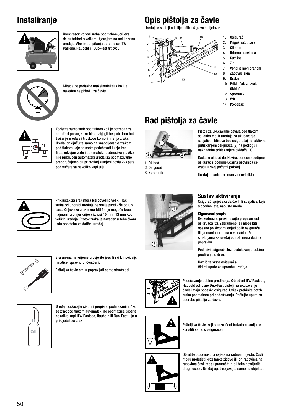#### **Instaliranje**



Kompresor, vodovi zraka pod tlakom, crijeva i dr. su faktori s velikim utjecajem na rad i brzinu uređaja. Ako imate pitanja obratite se ITW Paslode, Haubold ili Duo-Fast trgovcu.



Nikada ne prelazite maksimalni tlak koji je naveden na pištolju za čavle.



Koristite samo zrak pod tlakom koji je potreban za određeni posao, kako biste izbjegli bespotrebnu buku, trošenje uređaja i troškove komprimiranja zraka. Uređaj priključujte samo na snabdijevanje zrakom pod tlakom koje se može podešavati i koje ima .<br>filtar, odvajač vode i automatsko podmazivanje. Ako nije priključen automatski uređaj za podmazivanje, preporučujemo da pri svakoj zamjeni posla 2-3 puta podmažete sa nekoliko kapi ulja.



Priključak za zrak mora biti dovoljno velik. Tlak zraka pri uporabi uređaja ne smije pasti više od 0,5 bara. Crijevo za zrak mora biti što je moguće kraće; najmanji promjer crijeva iznosi 10 mm, 13 mm kod velikih uređaja. Protok zraka je naveden u tehničkom listu podataka za dotični uređaj.



S vremena na vrijeme provjerite jesu li svi klinovi, vijci i matice ispravno pričvršćeni.

Pištolj za čavle smiju popravljati samo stručnjaci.



Uređaj održavajte čistim i propisno podmazanim. Ako se zrak pod tlakom automatski ne podmazuje, sipajte nekoliko kapi ITW Paslode, Haubold ili Duo-Fast ulja u priključak za zrak.

#### **Opis pištolja za čavle**

Uređaj se sastoji od slijedećih 14 glavnih dijelova:



- 1. Osigurač
- 2. Prigušivač udara
- 3. Cilindar
- 4. Udarna osovinica
- 5. Kućište 6 Žig
- 7 Ventil s membranom
- 8 Zaptivač žiga
- 9. Drška
- 10. Priključak za zrak
- 11. Okidač
- 12. Spremnik
- 13. Vrh
- 14. Poklopac

### **Rad pištolja za čavle**



1. Okidač 2. Osigurač 3. Spremnik



Kada se okidač deaktivira, odnosno podigne osigurač s podloge,udarna osovinica se vraća u svoj početni položaj.

Uređaj je sada spreman za novi ciklus.



#### **Sustav aktiviranja**

Osigurač sprječava da čavli ili spajalice, koje slobodno lete, napuste uređaj.

#### **Sigurnosni propis:**

Svakodnevno provjeravajte propisan rad osigruača (2). Zabranjeno je i može biti opasno po život mijenjati oblik osigurača ili ga manipulirati na neki način. Pri smetnjama se uređaj odmah mora dati na popravku.

Podesivi osigurač služi podešavanju dubine prodiranja u drvo.

**Različite vrste osigurača:** Vidjeti upute za uporabu uređaja.





koristiti samo s osiguračem.



Obratite pozornost na uvjete na radnom mjestu. Čavli mogu proletjeti kroz tanke zidove ili pri radovima na rubovima čavli mogu promašiti rub i tako povrijediti druge osobe. Uređaj upotrebljavajte samo na objektu.

Pištolji za čavle, koji su označeni trokutom, smiju se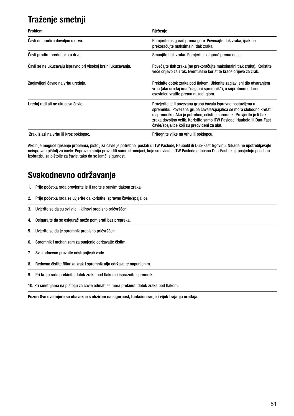# **Traženje smetnji**

| <b>Problem</b>                                                | Rješenje                                                                                                                                                                                                                                                                                                                                |
|---------------------------------------------------------------|-----------------------------------------------------------------------------------------------------------------------------------------------------------------------------------------------------------------------------------------------------------------------------------------------------------------------------------------|
| Cavli ne prodiru dovoljno u drvo.                             | Pomjerite osigurač prema gore. Povećajte tlak zraka, ipak ne<br>prekoračujte maksimalni tlak zraka.                                                                                                                                                                                                                                     |
| Čavli prodiru preduboko u drvo.                               | Smanjite tlak zraka. Pomjerite osigurač prema dolje.                                                                                                                                                                                                                                                                                    |
| Čavli se ne ukucavaju ispravno pri visokoj brzini ukucavanja. | Povećajte tlak zraka (ne prekoračujte maksimalni tlak zraka). Koristite<br>veće crijevo za zrak. Eventualno koristite kraće crijevo za zrak.                                                                                                                                                                                            |
| Zaglavljeni čavao na vrhu uređaja.                            | Prekinite dotok zraka pod tlakom. Uklonite zaglavljeni dio otvaranjem<br>vrha (ako uređaj ima "nagibni spremnik"), u suprotnom udarnu<br>osovinicu vratite prema nazad iglom.                                                                                                                                                           |
| Uređaj radi ali ne ukucava čavle.                             | Provjerite je li povezana grupa čavala ispravno postavljena u<br>spremniku. Povezana grupa čavala/spajalica se mora slobodno kretati<br>u spremniku. Ako je potrebno, očistite spremnik. Provjerite je li tlak<br>zraka dovoljno velik. Koristite samo ITW Paslode, Haubold ili Duo-Fast<br>čavle/spajalice koji su predviđeni za alat. |
| Zrak izlazi na vrhu ili kroz poklopac.                        | Pritegnite vijke na vrhu ili poklopcu.                                                                                                                                                                                                                                                                                                  |

Ako nije moguće rješenje problema, pištolj za čavle je potrebno poslati u ITW Paslode, Haubold ili Duo-Fast trgovinu. Nikada ne upotrebljavajte neispravan pištolj za čavle. Popravke smiju provoditi samo stručnjaci, koje su ovlastili ITW Paslode odnosno Duo-Fast i koji posjeduju posebnu izobrazbu za pištolje za čavle, tako da se jamči sigurnost.

#### **Svakodnevno održavanje**

- 1. Prije početka rada provjerite je li radite s pravim tlakom zraka.
- 2. Prije početka rada se uvjerite da koristite ispravne čavle/spajalice.
- 3. Uvjerite se da su svi vijci i klinovi propisno pričvršćeni.
- 4. Osigurajte da se osigurač može pomjerati bez prepreka.
- 5. Uvjerite se da je spremnik propisno pričvršćen.
- 6. Spremnik i mehanizam za punjenje održavajte čistim.
- 7. Svakodnevno praznite odstranjivač vode.
- 8. Redovno čistite filtar za zrak i spremnik ulja održavajte napunjenim.
- 9. Pri kraju rada prekinite dotok zraka pod tlakom i ispraznite spremnik.

10. Pri smetnjama na pištolju za čavle odmah se mora prekinuti dotok zraka pod tlakom.

**Pozor: Sve ove mjere su obavezne s obzirom na sigurnost, funkcioniranje i vijek trajanja uređaja.**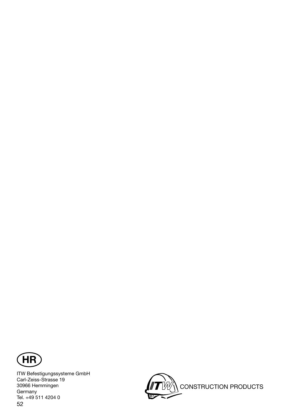

52 ITW Befestigungssysteme GmbH Carl-Zeiss-Strasse 19 30966 Hemmingen Germany Tel. +49 511 4204 0

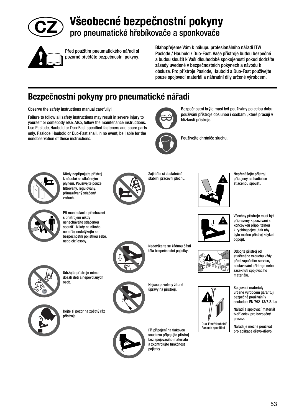

# **Všeobecné bezpečnostní pokyny** pro pneumatické hřebíkovače a sponkovače



Před použitím pneumatického nářadí si pozorně přečtěte bezpečnostní pokyny. Blahopřejeme Vám k nákupu profesionálního nářadí ITW Paslode / Haubold / Duo-Fast. Vaše přístroje budou bezpečné a budou sloužit k Vaší dlouhodobé spokojenosti pokud dodržíte zásady uvedené v bezpečnostních pokynech a návodu k obsluze. Pro přístroje Paslode, Haubold a Duo-Fast používejte pouze spojovací materiál a náhradní díly určené výrobcem.

# **Bezpečnostní pokyny pro pneumatické nářadí**

Observe the safety instructions manual carefully!

Failure to follow all safety instructions may result in severe injury to yourself or somebody else. Also, follow the maintenance instructions. Use Paslode, Haubold or Duo-Fast specified fasteners and spare parts only. Paslode, Haubold or Duo-Fast shall, in no event, be liable for the nonobservation of these instructions.



Používejte chrániče sluchu.

blízkosti přístroje.

Bezpečnostní brýle musí být používány po celou dobu používání přístroje obsluhou i osobami, které pracují v



Nikdy nepřipojujte přístroj k nádobě se stlačeným plynem. Používejte pouze filtrovaný, regulovaný, přimazávaný stlačený vzduch.



Zajistěte si dostatečně stabilní pracovní plochu.



Nepřenášejte přístroj připojený na hadici se stlačenou spouští.



Při manipulaci a přecházení s přístrojem nikdy nenechávejte stlačenou spoušť. Nikdy na nikoho nemiřte, nedotýkejte se bezpečnostní pojistkou sebe, nebo cizí osoby.



Nedotýkejte se žádnou částí těla bezpečnostní pojistky.





Nejsou povoleny žádné úpravy na přístroji.



Při připojení na tlakovou soustavu připojujte přístroj bez spojovacího materiálu a zkontrolujte funkčnost pojistky.

Všechny přístroje musí být



připraveny k používání s koncovkou připojitelnou k rychlospojce , tak aby bylo možno přístroj kdykoli odpojit.

Odpojte přístroj od stlačeného vzduchu vždy před započetím servisu, nastavování přístroje nebo zaseknutí spojovacího materiálu.

Spojovací materiály určené výrobcem garantují bezpečné používání v souladu s EN 792-13/7.2.1.a

Nářadí a spojovací materiál tvoří celek pro bezpečný provoz.

Nářadí je možné používat pro aplikace dřevo-dřevo.

Udržujte přístroje mimo dosah dětí a nepovolaných osob.



Dejte si pozor na zpětný ráz přístroje.





53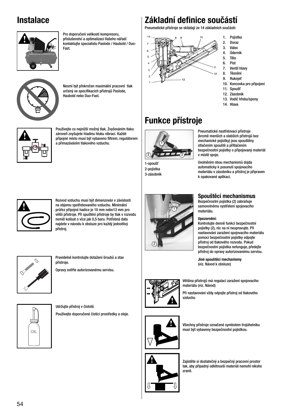#### **Instalace**



Pro doporučení velikosti kompresoru, příslušenství a optimalizaci Vašeho nářadí kontaktujte specialistu Paslode / Haubold / Duo-Fast.



Nesmí být překročen maximální pracovní tlak určený ve specifikacích přístrojů Paslode, Haubold nebo Duo-Fast.



Používejte co nejnižší možný tlak. Zvyšováním tlaku zároveň zvyšujete hladinu hluku vibrací. Každé přípojné místo musí být vybaveno filtrem, regulátorem a přimazáváním tlakového vzduchu.

#### **Základní defi nice součástí**

Pneumatické přístroje se skládají ze 14 základních součástí:



- 1. Pojistka
- 2. Doraz
- 3. Válec<br>4. Údern 4. Úderník<br>5. Tělo
- 5. Tělo
- 6. Píst
- 7. Ventil hlavy
- 8. Těsnění
- 9. Rukojeť
- 10. Koncovka pro připojení
- 11. Spoušť
- 12. Zásobník
- 13. Vodič hřebu/spony
- 14. Hlava

# **Funkce přístroje**



1-spoušť 2-pojistka 3-zásobník



Rozvod vzduchu musí být dimenzován v závislosti na objemu spotřebovaného vzduchu. Minimální průřez přípojné hadice je 10 mm nebo13 mm pro větší přístroje. Při spuštění přístroje by tlak v rozvodu neměl kolísat o více jak 0,5 baru. Potřebná data najdete v návodu k obsluze pro každý jednotlivý přístroj.



Pravidelně kontrolujte dotažení šroubů a stav přístroje.

Opravy svěřte autorizovanému servisu.





Udržujte přístroj v čistotě. Používejte doporučené čistící prostředky a oleje.



#### **Spouštěcí mechanismus**

Uvolněním obou mechanismů dojda automaticky k posunutí spojovacího materiálu v zásobníku a přístroj je připraven

k opakované aplikaci.

Bezpečnostní pojistka (2) zabraňuje samovolnému vystřelení spojovacího materiálu.

#### **Upozornění:**

Kontrolujte denně funkci bezpečnostní pojistky (2), nic na ní neupravujte. Při nastavování zaražení spojovacího materiálu pomocí bezpečnostní pojistky odpojte přístroj od tlakového rozvodu. Pokud bezpečnostní pojistka nefunguje, předejte přístroj do opravy autorizovanému servisu.

**Jiné spouštěcí mechanismy** (viz. Návod k obsluze)

Většina přístrojů má regulaci zaražení spojovacího materiálu (viz. Návod)

Při nastavování vždy odpojte přístroj od tlakového vzduchu



Všechny přístroje označené symbolem trojúhelníku musí být vybaveny bezpečnostní pojistkou.



Zajistěte si dostatečný a bezpečný pracovní prostor tak, aby případný odlétnuvší materiál nemohl nikoho zranit.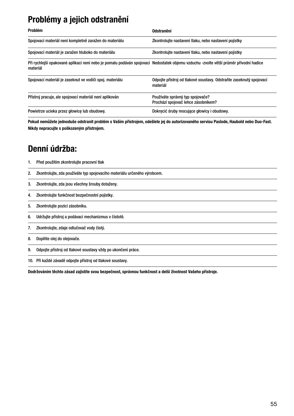### **Problémy a jejich odstranění**

| <b>Problém</b>                                                                                                                                    | Odstranění                                                                      |
|---------------------------------------------------------------------------------------------------------------------------------------------------|---------------------------------------------------------------------------------|
| Spojovací materiál není kompletně zaražen do materiálu                                                                                            | Zkontrolujte nastavení tlaku, nebo nastavení pojistky                           |
| Spojovací materiál je zaražen hluboko do materiálu                                                                                                | Zkontrolujte nastavení tlaku, nebo nastavení pojistky                           |
| Při rychlejší opakované aplikaci není nebo je pomalu podáván spojovací Nedostatek objemu vzduchu -zvolte větší průměr přívodní hadice<br>materiál |                                                                                 |
| Spojovací materiál je zaseknut ve vodiči spoj. materiálu                                                                                          | Odpojte přístroj od tlakové soustavy. Odstraňte zaseknutý spojovací<br>materiál |
| Přístroj pracuje, ale spojovací materiál není aplikován                                                                                           | Používáte správný typ spojovače?<br>Prochází spojovač lehce zásobníkem?         |
| Powietrze ucieka przez głowicę lub obudowę.                                                                                                       | Dokręcić śruby mocujące głowicy i obudowy.                                      |

**Pokud nemůžete jednoduše odstranit problém s Vaším přístrojem, odešlete jej do autorizovaného servisu Paslode, Haubold nebo Duo-Fast. Nikdy nepracujte s poškozeným přístrojem.**

#### **Denní údržba:**

| 1. | Před použitím zkontrolujte pracovní tlak |  |  |  |
|----|------------------------------------------|--|--|--|
|----|------------------------------------------|--|--|--|

- 2. Zkontrolujte, zda používáte typ spojovacího materiálu určeného výrobcem.
- 3. Zkontrolujte, zda jsou všechny šrouby dotaženy.
- 4. Zkontrolujte funkčnost bezpečnostní pojistky.
- 5. Zkontrolujte pozici zásobníku.
- 6. Udržujte přístroj a podávací mechanizmus v čistotě.
- 7. Zkontrolujte, zdaje odlučovač vody čistý.
- 8. Doplňte olej do olejovače.
- 9. Odpojte přístroj od tlakové soustavy vždy po ukončení práce.

10. Při každé závadě odpojte přístroj od tlakové soustavy.

**Dodržováním těchto zásad zajistíte svou bezpečnost, správnou funkčnost a delší životnost Vašeho přístroje.**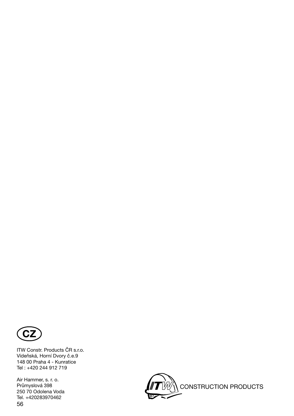

ITW Constr. Products ČR s.r.o. Vídeňská, Horní Dvory č.e.9 148 00 Praha 4 - Kunratice Tel : +420 244 912 719

56 Air Hammer, s. r. o. Průmyslová 398 250 70 Odolena Voda Tel. +420283970462

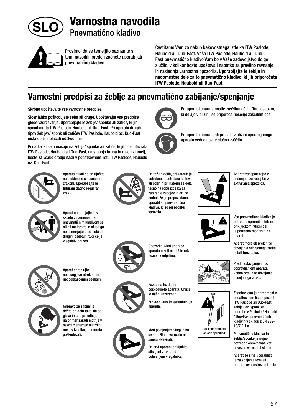

#### **Varnostna navodila** Pnevmatično kladivo



Prosimo, da se temeljito seznanite s temi navodili, preden začnete uporabljati pnevmatično kladivo.

Čestitamo Vam za nakup kakovostnega izdelka ITW Paslode, Haubold ali Duo-Fast. Vaše ITW Paslode, Haubold ali Duo-Fast pnevmatično kladivo Vam bo v Vaše zadovoljstvo dolgo služilo, v kolikor boste upoštevali napotke za pravilno ravnanje in naslednja varnostna opozorila. **Uporabljajte le žeblje in nadomestne dele za to pnevmatično kladivo, ki jih priporočata ITW Paslode, Haubold ali Duo-Fast.**

> Pri uporabi aparata nosite zaščitna očala. Tudi osebam, ki delajo v bližini, se priporoča nošenje zaščitnih očal.

Pri uporabi aparata ali pri delu v bližini uporabljanega

#### **Varnostni predpisi za žeblje za pnevmatično zabijanje/spenjanje**

Skrbno upoštevajte vse varnostne predpise.

Sicer lahko poškodujete sebe ali druge. Upoštevajte vse predpise glede vzdrževanja. Uporabljajte le žeblje/ sponke ali zatiče, ki jih specificirata ITW Paslode, Haubold ali Duo-Fast. Pri uporabi drugih tipov žebljev/ sponk ali zatičev ITW Paslode, Haubold oz. Duo-Fast nista dolžna plačati odškodnine.

Podatke, ki se nanašajo na žeblje/ sponke ali zatiče, ki jih specificirata ITW Paslode, Haubold ali Duo-Fast, na stopnjo hrupa in raven vibracij, boste za vsako orodje našli v podatkovnem listu ITW Paslode, Haubold oz. Duo-Fast.



Aparata nikoli ne priključite na steklenice s stisnjenim zrakom. Uporabljajte le filtrirani tlačno regulirani zrak.



Aparat uporabljajte le v skladu z namenom. S pnevmatičnim kladivom se nikoli ne igrajte in nikoli ga ne usmerjajte proti sebi ali drugim osebam, tudi če je vlagalnik prazen.



Aparat shranjujte nedosegljivo otrokom in nepooblaščenim osebam.



držite pri delu tako, da se glava in telo pri odboju, na primer zaradi motnje v oskrbi z energijo ali trdih mest v izdelku, ne moreta poškodovati.



Pri težkih delih, pri katerih je potrebna je potrebna lestev ali oder in pri katerih se dela tesno na robu izdelka za zapiranje zabojev in druge embalaže, je prepovedano uporabljati pnevmatična kladiva, ki se pri potisku varovala.



Opozorilo: Med uporabo aparata nikoli ne držite rok tesno na odprtino.



poškodujete aparata. Ohišje je tlačni rezervoar.

Prepovedano je spreminjanje aparata.



Med polnjenjem vlagalnika se sprožilo in varovalo ne smeta aktivirati.

Pri prvi uporabi priključite stisnjeni zrak pred polnjenjem vlagalnika.





aparata vedno nosite slušno zaščito.



Vsa pnevmatična kladiva je potrebno opremiti s hitrim priključkom. Vtični del je potrebno montirati na

aparat.

Aparat mora ob prekinitvi dovajanja stisnjenega zraka ostati brez tlaka.

Pred nastavljanjem oz. popravljanjem aparata vedno prekinite dovajanje stisnjenega zraka.



podatkovnem listu opisanih ITW Paslode ali Duo-Fast žebljev oz. sponk za uporabo v Paslode / Haubold / Duo-Fast pnevmatičnih kladivih v skladu z EN 792- 13/7.2.1.a.

Pnevmatična kladiva in žeblje/sponke je nujno potrebno obravnavati kot povezan varnostni sistem.

Aparat se sme uporabljati le za spajanje lesa ali materialov z ustrezno trdoto.

Pazite na to, da ne



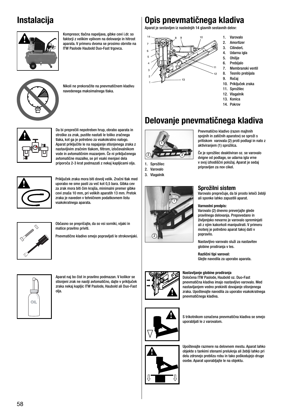#### **Instalacija**



Kompresor, tlačna napeljava, gibke cevi i.dr. so faktorji z velikim vplivom na delovanje in hitrost aparata. V primeru dvoma se prosimo obrnite na ITW Paslode Haubold Duo-Fast trgovca.



Nikoli ne prekoračite na pnevmatičnem kladivu navedenega maksimalnega tlaka.



Da bi preprečili nepotreben hrup, obrabo aparata in stroške za zrak, pustite nastati le toliko zračnega tlaka, kot ga je potrebno za vsakokratno nalogo. Aparat priključite le na napajanje stisnjenega zraka z nastavljivim zračnim tlakom, filtrom, izločevalnikom vode in avtomatičnim mazanjem. Če ni priključenega avtomatične mazalke, se pri vsaki menjavi dela priporoča 2-3 krat podmazati z nekaj kapljicami olja.



Priključek zraka mora biti dovolj velik. Zračni tlak med uporabo ne sme pasti za več kot 0,5 bara. Gibka cev za zrak mora biti čim krajša, minimalni premer gibke cevi znaša 10 mm, pri velikih aparatih 13 mm. Pretok zraka je naveden v tehničnem podatkovnem listu vsakokratnega aparata.



Občasno se prepričajte, da so vsi sorniki, vijaki in matice pravilno priviti.

Pnevmatično kladivo smejo popravljati le strokovnjaki.



Aparat naj bo čist in pravilno podmazan. V kolikor se stisnjeni zrak ne naolji avtomatično, dajte v priključek zraka nekaj kapljic ITW Paslode, Haubold ali Duo-Fast olja.

#### **Opis pnevmatičnega kladiva**

Aparat je sestavljen iz naslednjih 14 glavnih sestavnih delov:



- 1. Varovalo
- 2. Amortizer
- 3. CilinderL 4. Udarna igla
- 5. Ohišje
- 6. Prebijalo
- 7. Membranski ventil
- 8. Tesnilo prebijala
- 9. Ročaj
- 10. Priključek zraka
- 11. Sprožilec
- 12. Vlagalnik
- 13. Konica
- 14. Pokrov

### **Delovanje pnevmatičnega kladiva**



1. Sprožilec

2. Varovalo 3. Vlagalnik



Pnevmatično kladivo (razen majhnih spojnih in zatičnih aparatov) se sproži s pritiskom varovala (2) proti podlagi in nato z aktiviranjem (1) sprožilca.

Če je sprožilec deaktiviran oz. se varovalo dvigne od podlage, se udarna igla vrne v svoj izhodiščni položaj. Aparat je sedaj pripravljen za nov cikel.

#### **Sprožilni sistem**

Varovalo preprečuje, da bi prosto leteči žeblji ali sponke lahko zapustili aparat.

#### **Varnostni predpis:**

Varovalo (2) dnevno preverjajte glede pravilnega delovanja. Prepovedano in življenjsko nevarno je varovalo spreminjati ali z njim kakorkoli manipulirati. V primeru motenj je potrebno aparat takoj dati v popravilo.

Nastavljivo varovalo služi za nastavitev globine prodiranja v les.

**Različni tipi varoval:** Glejte navodila za uporabo aparata.

#### **Nastavljanje globine prodiranja**

Določena ITW Paslode, Haubold oz. Duo-Fast pnevmatična kladiva imajo nastavljivo varovalo. Med nastavljanjem vedno prekiniti dovajanje stisnjenega zraka. Upoštevajte navodila za uporabo vsakokratnega pnevmatičnega kladiva.



S trikotnikom označena pnevmatična kladiva se smejo uporabljati le z varovalom.



Upoštevajte razmere na delovnem mestu. Aparat lahko objekte s tankimi stenami preluknja ali žeblji lahko pri delu zdrsnejo preblizu robu in tako poškodujejo druge osebe. Aparat uporabljajte le na objektu.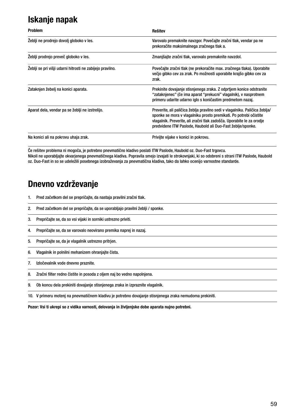### **Iskanje napak**

| <b>Problem</b>                                            | <b>Rešitev</b>                                                                                                                                                                                                                                                                           |
|-----------------------------------------------------------|------------------------------------------------------------------------------------------------------------------------------------------------------------------------------------------------------------------------------------------------------------------------------------------|
| Žeblji ne prodrejo dovolj globoko v les.                  | Varovalo premaknite navzgor. Povečajte zračni tlak, vendar pa ne<br>prekoračite maksimalnega zračnega tlak a.                                                                                                                                                                            |
| Žeblji prodrejo preveč globoko v les.                     | Zmanjšajte zračni tlak, varovalo premaknite navzdol.                                                                                                                                                                                                                                     |
| Žeblji se pri višji udarni hitrosti ne zabijejo pravilno. | Povečajte zračni tlak (ne prekoračite max. zračnega tlaka). Uporabite<br>večio gibko cev za zrak. Po možnosti uporabite krajšo gibko cev za<br>zrak.                                                                                                                                     |
| Zataknjen žebelj na konici aparata.                       | Prekinite dovajanje stisnjenega zraka. Z odprtjem konice odstranite<br>"zataknjenec" (če ima aparat "prekucni" vlagalnik), v nasprotnem<br>primeru udarite udarno iglo s koničastim predmetom nazaj.                                                                                     |
| Aparat dela, vendar pa se žeblji ne izstrelijo.           | Preverite, ali paličica žeblja pravilno sedi v vlagalniku. Paličica žeblja/<br>sponke se mora v vlagalniku prosto premikati. Po potrebi očistite<br>vlagalnik. Preverite, ali zračni tlak zadošča. Uporabite le za orodje<br>predvidene ITW Paslode, Haubold ali Duo-Fast žeblje/sponke. |
| Na konici ali na pokrovu uhaja zrak.                      | Privijte vijake v konici in pokrovu.                                                                                                                                                                                                                                                     |

Če rešitev problema ni mogoča, je potrebno pnevmatično kladivo poslati ITW Paslode, Haubold oz. Duo-Fast trgovcu. Nikoli ne uporabljajte okvarjenega pnevmatičnega kladiva. Popravila smejo izvajati le strokovnjaki, ki so odobreni s strani ITW Paslode, Haubold oz. Duo-Fast in so se udeležili posebnega izobraževanja za pnevmatična kladiva, tako da lahko ocenijo varnostne standarde.

#### **Dnevno vzdrževanje**

- 1. Pred začetkom del se prepričajte, da nastaja pravilni zračni tlak.
- 2. Pred začetkom del se prepričajte, da se uporabljajo pravilni žeblji / sponke.
- 3. Prepričajte se, da so vsi vijaki in sorniki ustrezno priviti.
- 4. Prepričajte se, da se varovalo neovirano premika naprej in nazaj.
- 5. Prepričajte se, da je vlagalnik ustrezno pritrjen.
- 6. Vlagalnik in polnilni mehanizem ohranjajte čista.
- 7. Izločevalnik vode dnevno praznite.
- 8. Zračni filter redno čistite in posoda z oljem naj bo vedno napolnjena.
- 9. Ob koncu dela prekiniti dovajanje stisnjenega zraka in izpraznite vlagalnik.
- 10. V primeru motenj na pnevmatičnem kladivu je potrebno dovajanje stisnjenega zraka nemudoma prekiniti.

**Pozor: Vsi ti ukrepi so z vidika varnosti, delovanja in življenjske dobe aparata nujno potrebni.**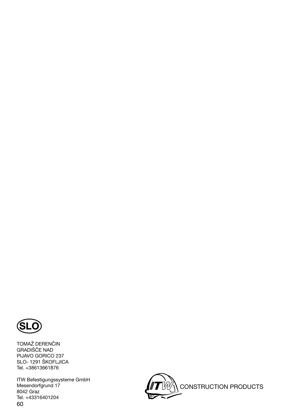

TOMAŽ DERENČIN GRADIŠČE NAD PIJAVO GORICO 237 SLO- 1291 ŠKOFLJICA Tel. +38613661876

60 ITW Befestigungssysteme GmbH Mesendorfgrund 17 8042 Graz Tel. +43316401204

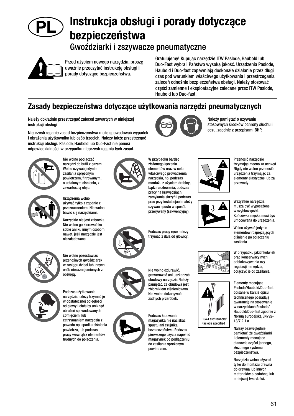#### **Instrukcja obsługi i porady dotyczące bezpieczeństwa** PL

Gwoździarki i zszywacze pneumatyczne



Przed użyciem nowego narzędzia, proszę uważnie przeczytać instrukcję obsługi i porady dotyczące bezpieczeństwa.

Gratulujemy! Kupując narzędzie ITW Paslode, Haubold lub Duo-Fast wybrali Państwo wysoką jakość. Urządzenia Paslode, Haubold i Duo-fast zapewniają doskonałe działanie przez długi czas pod warunkiem właściwego użytkowania i przestrzegania zaleceń odnośnie bezpieczeństwa obsługi. Należy stosować części zamienne i eksploatacyjne zalecane przez ITW Paslode, Haubold lub Duo-fast.

#### **Zasady bezpieczeństwa dotyczące użytkowania narzędzi pneumatycznych**

Należy dokładnie przestrzegać zaleceń zawartych w niniejszej instrukcji obsługi

Nieprzestrzeganie zasad bezpieczeństwa może spowodować wypadek i obrażenia użytkownika lub osób trzecich. Należy także przestrzegać instrukcji obsługi. Paslode, Haubold lub Duo-Fast nie ponosi odpowiedzialności w przypadku nieprzestrzegania tych zasad.



Nie wolno podłączać narzędzi do butli z gazem. Wolno używać jedynie zasilania sprężonym powietrzem, filtrowanym, o ustalonym ciśnieniu, z



zawartością oleju. Urządzenia wolno używać tylko z zgodnie z przeznaczeniem. Nie wolno

Narzędzie nie jest zabawką. Nie wolno go kierować ku sobie ani ku innym osobom nawet, jeśli narzędzie jest niezaładowane.

bawić się narzędziami.



Nie wolno pozostawiać przenośnych gwoździarek w zasięgu dzieci lub innych osób niezaznajomionych z obsługą.



Podczas użytkowania narzędzia należy trzymać je w dostatecznej odległości od głowy i ciała by uniknąć obrażeń spowodowanych cofnieciem, lub zatrzymaniem narzędzia z powodu np. spadku ciśnienia powietrza, lub podczas

pracy wewnątrz elementów trudnych do połączenia.



W przypadku bardzo złożonego łaczenia elementów oraz w celu właściwego prowadzenia narzędzia, np. podczas montażu z użyciem drabiny, bądź rusztowania, podczas pracy na krawędziach, zamykania skrzyń i podczas prac przy instalacjach należy używać spustu w sposób przerywany (sekwencyjny).





zbiornikiem ciśnieniowym. Nie wolno dokonywać żadnych przeróbek.

Podczas ładowania magazynka nie naciskać spustu ani czujnika bezpieczeństwa. Podczas pierwszego użycia napełnić magazynek po podłączeniu do zasilania sprężonym powietrzem.



Należy pamiętać o używaniu stosownych środków ochrony słuchu i oczu, zgodnie z przepisami BHP.



Przenosić narzędzie trzymając mocno za uchwyt. Nigdy nie wolno przenosić urządzenia trzymając za elementy elastyczne lub za przewody.



Duo-Fast/Haubold/ Paslode specified



Wszystkie narzędzia

elementów rozprężających ciśnienie po odłączeniu zasilania.

W przypadku jakichkolwiek prac konserwacyjnych, odblokowywania czy regulacii narzędzia. odłączyć je od zasilania.



Należy bezwzględnie pamiętać, że gwoździarki i elementy mocujące stanowią części jednego, złożonego systemu bezpieczeństwa.

Narzędzia wolno używać tylko do montażu drewna do drewna lub innych materiałów o podobnej lub mniejszej twardości.



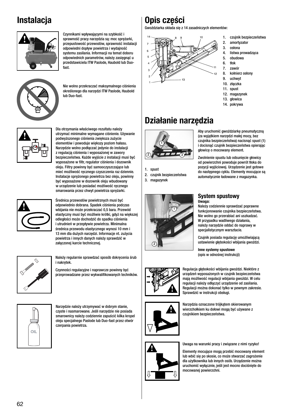### **Instalacja**



Czynnikami wpływającymi na szybkość i sprawność pracy narzędzia są: moc sprężarki, przepustowość przewodów, sprawność instalacji odpowiedni dopływ powietrza i wydajność systemu zasilania. Informacji na temat doboru odpowiednich parametrów, należy zasięgnąć u przedstawiciela ITW Paslode, Haubold lub Duofast.



Nie wolno przekraczać maksymalnego ciśnienia określonego dla narzędzi ITW Paslode, Haubold lub Duo-fast.



Dla otrzymania właściwego rezultatu należy utrzymać minimalne wymagane ciśnienie. Używanie podwyższonego ciśnienia zwiększa zużycie elementów i powoduje większy poziom hałasu. Narzędzie wolno podłączać jedynie do instalacji z regulacją ciśnienia i wyposażonej w zawory bezpieczeństwa. Każde wyjście z instalacji musi być wyposażone w filtr, regulator ciśnienia i dozownik oleju. Filtry powinny być samooczyszczające lub mieć możliwość ręcznego czyszczenia raz dziennie. Instalacje sprężonego powietrza bez oleju, powinny być wyposażone w dozownik oleju wbudowany w urządzenie lub posiadać możliwość ręcznego smarowania przez chwyt powietrza sprężarki.



Średnica przewodów powietrznych musi być odpowiednio dobrana. Spadek ciśnienia podczas wbijania nie może przekraczać 0,5 bara. Przewód elastyczny musi być możliwie krótki, gdyż na większej odległości może dochodzić do spadku ciśnienia i utrudnień w przepływie powietrza. Minimalna średnica przewodu elastycznego wynosi 10 mm i 13 mm dla dużych narzędzi. Informacje nt. zużycia powietrza i innych danych należy sprawdzić w załączonej karcie technicznej.



(opis w odnośnej instrukcji) Należy regularnie sprawdzać sposób dokręcenia śrub i nakrętek.

Czynności regulacyjne i naprawcze powinny być przeprowadzane przez wykwalifikowanych techników.



Narzędzie należy utrzymywać w dobrym stanie, czyste i nasmarowane. Jeśli narzędzie nie posiada smarownicy należy codziennie zapuścić kilka kropel oleju specjalnego Paslode lub Duo-fast przez otwór czerpania powietrza.

# **Opis części**

Gwoździarka składa się z 14 zasadniczych elementów:



- 1. czujnik bezpieczeństwa
- 2. amortyzator 3. osłona
- 4. listwa prowadząca
- 5. obudowa
- 6. tłok
- 7. zawór
- 8. kołnierz osłony
- 9. uchwyt
- 10. złączka 11. spust
- 12. magazynek
- 13. głowica
- 14. pokrywa

# **Działanie narzędzia**



1. spust

- 2. czujnik bezpieczeństwa
- 3. magazynek



#### **System spustowy Uwaga:**

Należy codziennie sprawdzać poprawne funkcjonowanie czujnika bezpieczeństwa. Nie wolno go przerabiać ani uszkadzać. W przypadku wadliwego działania, należy narzędzie oddać do naprawy w specjalistycznym warsztacie.

pozycji wyjściowej. Urządzenie jest gotowe do następnego cyklu. Elementy mocujące są automatycznie ładowane z magazynka.

Czujnik posiada regulację umożliwiającą ustawienie głębokości wbijania gwoździ.

**Inne systemy spustowe**







Narzędzia oznaczone trójkątem skierowanym wierzchołkiem ku dołowi mogą być używane z czujnikiem bezpieczeństwa.

Uwaga na warunki pracy i związane z nimi ryzyko!

Elementy mocujące mogą przebić mocowany element lub wbić się po skosie, co może stwarzać zagrożenie dla użytkownika lub innych osób. Urządzenie można uruchomić wyłącznie, jeśli jest mocno dociśnięte do mocowanej powierzchni.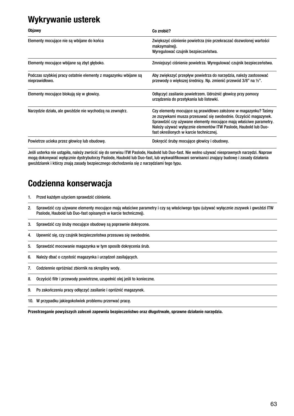#### **Wykrywanie usterek**

| <b>Objawy</b>                                                                     | Co zrobić?                                                                                                                                                                                                                                                                                                          |
|-----------------------------------------------------------------------------------|---------------------------------------------------------------------------------------------------------------------------------------------------------------------------------------------------------------------------------------------------------------------------------------------------------------------|
| Elementy mocujące nie są wbijane do końca                                         | Zwiększyć ciśnienie powietrza (nie przekraczać dozwolonej wartości<br>maksymalnej).<br>Wyregulować czujnik bezpieczeństwa.                                                                                                                                                                                          |
| Elementy mocujące wbijane są zbyt głęboko.                                        | Zmniejszyć ciśnienie powietrza. Wyregulować czujnik bezpieczeństwa.                                                                                                                                                                                                                                                 |
| Podczas szybkiej pracy ostatnie elementy z magazynku wbijane są<br>nieprawidłowo. | Aby zwiększyć przepływ powietrza do narzędzia, należy zastosować<br>przewody o większej średnicy. Np. zmienić przewód 3/8" na 1/2".                                                                                                                                                                                 |
| Elementy mocujące blokują się w głowicy.                                          | Odłączyć zasilanie powietrzem. Udrożnić głowicę przy pomocy<br>urządzenia do przetykania lub listewki.                                                                                                                                                                                                              |
| Narzędzie działa, ale gwoździe nie wychodzą na zewnątrz.                          | Czy elementy mocujące są prawidłowo założone w magazynku? Taśmy<br>ze zszywkami musza przesuwać się swobodnie. Oczyścić magazynek.<br>Sprawdzić czy używane elementy mocujące mają właściwe parametry.<br>Należy używać wyłącznie elementów ITW Paslode, Haubold lub Duo-<br>fast określonych w karcie technicznej. |
| Powietrze ucieka przez głowicę lub obudowę.                                       | Dokręcić śruby mocujące głowicy i obudowy.                                                                                                                                                                                                                                                                          |

Jeśli usterka nie ustąpiła, należy zwrócić się do serwisu ITW Paslode, Haubold lub Duo-fast. Nie wolno używać niesprawnych narzędzi. Napraw mogą dokonywać wyłącznie dystrybutorzy Paslode, Haubold lub Duo-fast, lub wykwalifikowani serwisanci znający budowę i zasady działania gwoździarek i którzy znają zasady bezpiecznego obchodzenia się z narzędziami tego typu.

### **Codzienna konserwacja**

1. Przed każdym użyciem sprawdzić ciśnienie.

- 2. Sprawdzić czy używane elementy mocujące mają właściwe parametry i czy są właściwego typu (używać wyłącznie zszywek i gwoździ ITW Paslode, Haubold lub Duo-fast opisanych w karcie technicznej).
- 3. Sprawdzić czy śruby mocujące obudowę są poprawnie dokręcone.
- 4. Upewnić się, czy czujnik bezpieczeństwa przesuwa się swobodnie.
- 5. Sprawdzić mocowanie magazynka w tym sposób dokręcenia śrub.
- 6. Należy dbać o czystość magazynka i urządzeń zasilających.
- 7. Codziennie opróżniać zbiornik na skropliny wody.
- 8. Oczyścić filtr i przewody powietrzne, uzupełnić olej jeśli to konieczne.
- 9. Po zakończeniu pracy odłączyć zasilanie i opróżnić magazynek.
- 10. W przypadku jakiegokolwiek problemu przerwać pracę.

**Przestrzeganie powyższych zaleceń zapewnia bezpieczeństwo oraz długotrwałe, sprawne działanie narzędzia.**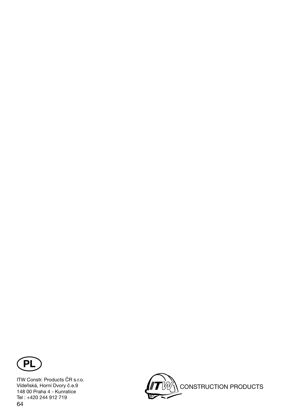

64 ITW Constr. Products ČR s.r.o. Vídeňská, Horní Dvory č.e.9 148 00 Praha 4 - Kunratice Tel : +420 244 912 719

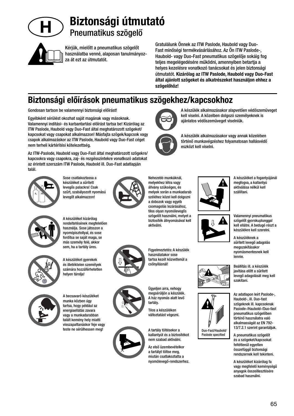

# **Biztonsági útmutató** Pneumatikus szögelő

Kérjük, mielőtt a pneumatikus szögelőt használatba venné, alaposan tanulmányozza át ezt az útmutatót.

Gratulálunk Önnek az ITW Paslode, Haubold vagy Duo-Fast minőségi termékvásárlásához. Az Ön ITW Paslode-, Haubold- vagy Duo-Fast pneumatikus szögelője sokáig fog teljes megelégedésére működni, amennyiben betartja a helyes kezelésre vonatkozó tanácsokat és jelen biztonsági útmutatót. **Kizárólag az ITW Paslode, Haubold vagy Duo-Fast által ajánlott szögeket és alkatrészeket használjon ehhez a szögelőhöz!**

ajánlatos védőszemüveget viselniük.

eszközt kell viselni.

A készülék alkalmazásakor alapvetően védőszemüveget kell viselni. A közelben dolgozó személyeknek is

A készülék alkalmazásakor vagy annak közelében történő munkavégzéshez folyamatosan hallásvédő

#### **Biztonsági előírások pneumatikus szögekhez/kapcsokhoz**

Gondosan tartson be valamennyi biztonsági előírást!

Egyébként sérülést okozhat saját magának vagy másoknak. Valamennyi indítási- és karbantartási előírást tartsa be! Kizárólag az ITW Paslode, Haubold vagy Duo-Fast által meghatározott szögeket/ kapcsokat vagy csapokat alkalmazzon! Másfajta szögek/kapcsok vagy csapok alkalmazáskor az ITW Paslode, Haubold vagy Duo-Fast céget nem terheli kártérítési kötelezettség.

Az ITW-Paslode, Haubold vagy Duo-Fast által meghatározott szögekre/ kapcsokra vagy csapokra, zaj- és rezgésszintekre vonatkozó adatokat az érintett szerszám ITW Paslode, Haubold ill. Duo-Fast adatlapján talál.



Sose csatlakoztassa a készüléket a sűrített levegős palackra! Csak szűrt, szabályozott nyomású levegőt alkalmazzon!





A készüléket kizárólag rendeltetésének megfelelően használja. Sose játsszon a nyomópisztollyal, és sose fordítsa se saját maga, se más személy felé, akkor sem, ha a tartály üres.



A készüléket gyerekek és illetéktelen személyek számára hozzáférhetetlen helyen tárolja!



A becsavaró készüléket munka közben úgy tartsa, hogy például az energiaellátás zavara vagy a munkadarabban talált kemény hely miatti visszapattanáskor feje vagy teste ne sérülhessen meg!



Figyelmeztetés: A készülék használatakor sose tartsa kezét közvetlenül a csőnyílásnál!

szögelőt használni, melyet a biztosíték átnyomásával kell

aktiválni.





megsérüljön a készülék. A ház nyomás alatt levő tartály.

Tilos a készüléken változtatást végezni.

A tartály töltésekor a kallantyút és a biztosítékot nem szabad aktiválni.

Az első üzembevételkor a tartályt töltse meg, miután csatlakoztatta a nyomólevegő-rendszerhez.









alkalmasságát az EN 792- 13/7.2.1 szerint garantáljuk. A pneumatikus szögelőt és a szögeket/kapcsokat feltétlenül egyetlen

összefüggő biztonsági rendszernek kell tekinteni. A készüléket kizárólag fa

vagy megfelelő keménységű anyagok összeillesztésére szabad használni.









A készüléket a fogantyújánál megfogva, a kallantyú

Valamennyi pneumatikus szögelőt gyorskuplunggal kell ellátni. A bedugó részt a készülékre kell szerelni.

A készüléknek a sűrített levegő adagolás megszakításakor nyomásmentesnek kell lennie.

Beállítás ill. a készülék javítása előtt a sűrített levegő adagolását meg kell szakítani.

Az adatlapon leírt Paslode-, Haubold-, ill. Duo-fast szögeknek ill. kapcsoknak Pasiode-/Haubold-/Duo-fast pneumatikus szögelőben történő használatra való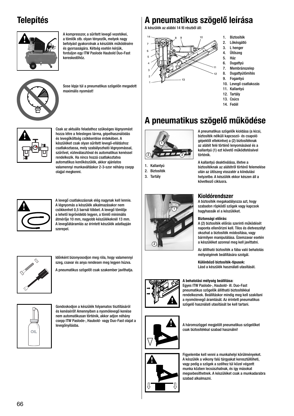### **Telepítés**



A kompresszor, a sűrített levegő vezetékei, a tömlők stb. olyan tényezők, melyek nagy befolyást gyakorolnak a készülék működésére és gyorsaságára. Kétség esetén kérjük, forduljon egy ITW Paslode Haubold Duo-Fast kereskedőhöz.



Sose lépje túl a pneumatikus szögelőn megadott maximális nyomást!



Csak az aktuális feladathoz szükséges légnyomást hozza létre a felesleges lárma, gépelhasználódás és levegőköltség csökkentése érdekében. A készüléket csak olyan sűrített levegő-ellátáshoz csatlakoztassa, mely szabályozható légnyomással, szűrővel, vízleválasztóval és automatikus kenéssel rendelkezik. Ha nincs hozzá csatlakoztatva automatikus kenőkészülék, akkor ajánlatos valamennyi munkaváltáskor 2-3-szor néhány csepp olaijal megkenni.



A levegő csatlakozásnak elég nagynak kell lennie. A légnyomás a készülék alkalmazásakor nem csökkenhet 0,5 barnál többet. A levegő tömlője a lehető legrövidebb legyen, a tömlő minimális átmérője 10 mm, nagyobb készülékeknél 13 mm. A levegőátáramlás az érintett készülék adatlapján szerepel.



Időnként bizonyosodjon meg róla, hogy valamennyi szeg, csavar és anya rendesen meg legyen húzva.

A pneumatikus szögelőt csak szakember javíthatja.



Gondoskodjon a készülék folyamatos tisztításáról és kenéséről! Amennyiben a nyomólevegő kenése nem automatikusan történik, akkor adjon néhány csepp ITW Paslode-, Haubold- vagy Duo-Fast olajat a levegőnyílásba.

#### **A pneumatikus szögelő leírása**

A készülék az alábbi 14 fő részből áll:



- 1. Biztosíték
- 2. Lökésgátló
- 3. L henger 4. Ütőszeg
- 5. Ház
- 6. Dugattyú
- 7. Membránszelep
- 8. Dugattyútömítés
- 9. Fogantyú
- 10. Levegő csatlakozás 11. Kallantyú
- 12. Tartály
- 13. Csúcs
- 14. Fedél

# **A pneumatikus szögelő működése**



1. Kallantyú 2. Biztosíték 3. Tartály



A pneumatikus szögelők kioldása (a kicsi, biztosíték nélküli kapcsozó- és csapoló gépektől eltekintve) a (2) biztosítéknak az alátét felé történő lenyomásával és a kallantyú (1) ezt követő működtetésével történik.

A kallantyú deaktiválása, illetve a biztosítéknak az alátétről történő felemelése után az ütőszeg visszatér a kiindulási helyzetbe. A készülék ekkor készen áll a következő ciklusra.

#### **Kioldórendszer**

A biztosíték megakadályozza azt, hogy szabadon röpködő szögek vagy kapcsok hagyhassák el a készüléket.

#### **Biztonsági előírás:**

A (2) biztosíték előírás szerinti működését naponta ellenőrizni kell. Tilos és életveszélyt okozhat a biztosíték módosítása, vagy bármilyen manipulálása. Üzemzavar esetén a készüléket azonnal meg kell javíttatni.

Az állítható biztosíték a fába való behatolás mélységének beállítására szolgál.

**Különböző biztosíték-típusok:** Lásd a készülék használati utasítását.

#### **A behatolási mélység beállítása:**

Egyes ITW Paslode-, Haubold- ill. Duo-Fast pneumatikus szögelők állítható biztosítékkal rendelkeznek. Beállításkor mindig meg kell szakítani a nyomólevegő áramlását. Az érintett pneumatikus szögelő használati utasítását be kell tartani.



A háromszöggel megjelölt pneumatikus szögelőket csak biztosítékkal szabad használni!



Figyelembe kell venni a munkahelyi körülményeket. A készülék a vékony falú tárgyakat keresztüllőheti, vagy pedig a szögek a szélhez túl közel végzett munka közben lecsúszhatnak, és így másokat megsebesíthetnek. A készüléket csak a munkadarabra szabad alkalmazni.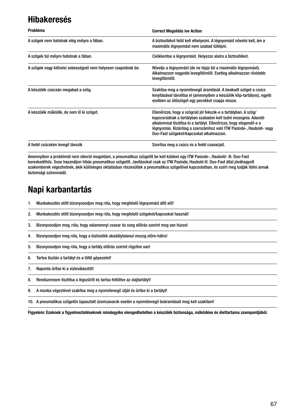#### **Hibakeresés**

| Probléma                                                      | <b>Correct Megoldás ive Action</b>                                                                                                                                                                                                                                                                                         |
|---------------------------------------------------------------|----------------------------------------------------------------------------------------------------------------------------------------------------------------------------------------------------------------------------------------------------------------------------------------------------------------------------|
| A szögek nem hatolnak elég mélyre a fában.                    | A biztosítékot felül kell elhelyezni. A légnyomást növelni kell, ám a<br>maximális légnyomást nem szabad túllépni.                                                                                                                                                                                                         |
| A szögek túl mélyre hatolnak a fában.                         | Csökkentse a légnyomást. Helyezze alulra a biztosítékot.                                                                                                                                                                                                                                                                   |
| A szögek nagy kilövési sebességnél nem helyesen csapódnak be. | Növelje a légnyomást (de ne lépje túl a maximális légnyomást).<br>Alkalmazzon nagyobb levegőtömlőt. Esetleg alkalmazzon rövidebb<br>levegőtömlőt.                                                                                                                                                                          |
| A készülék csúcsán megakad a szög.                            | Szakítsa meg a nyomólevegő áramlását. A beakadt szöget a csúcs<br>kinyitásával távolítsa el (amennyiben a készülék klip-tartályos), egyéb<br>esetben az ütőszöget egy pecekkel csapja vissza.                                                                                                                              |
| A készülék működik, de nem lő ki szöget.                      | Ellenőrizze, hogy a szögrúd jól fekszik-e a tartályban. A szög/<br>kapocsrúdnak a tartályban szabadon kell tudni mozognia. Adandó<br>alkalommal tisztítsa ki a tartályt. Ellenőrizze, hogy elegendő-e a<br>Jégnyomás. Kizárólag a szerszámhoz való ITW Paslode-, Haubold- vagy<br>Duo-Fast szögeket/kapcsokat alkalmazzon. |
| A fedél csücskén levegő távozik                               | Szorítsa meg a csúcs és a fedél csavarjait.                                                                                                                                                                                                                                                                                |

Amennyiben a problémát nem sikerül megoldani, a pneumatikus szögelőt be kell küldeni egy ITW Pasiode-, Haubold- ill. Duo-Fast kereskedőhöz. Sose használjon hibás pneumatikus szögelőt. Javításokat csak az ITW Paslode, Haubold ill. Duo-Fast által jóváhagyott szakemberek végezhetnek, akik különleges oktatásban részesültek a pneumatikus szögelővel kapcsolatban, és ezért meg tudják ítélni annak biztonsági színvonalát.

# **Napi karbantartás**

- 1. Munkakezdés előtt bizonyosodjon meg róla, hogy megfelelő légnyomást állít elő!
- 2. Munkakezdés előtt bizonyosodjon meg róla, hogy megfelelő szögeket/kapcsokat használ!
- 3. Bizonyosodjon meg, róla, hogy valamennyi csavar és szeg előírás szerint meg van húzva!
- 4. Bizonyosodjon meg róla, hogy a biztosíték akadálytalanul mozog előre-hátra!
- 5. Bizonyosodjon meg róla, hogy a tartály előírás szerint rögzítve van!
- 6. Tartsa tisztán a tartályt és a töltő gépezetet!
- 7. Naponta ürítse ki a vízleválasztót!
- 8. Rendszeresen tisztítsa a légszűrőt és tartsa feltöltve az olajtartályt!
- 9. A munka végeztével szakítsa meg a nyomólevegő útját és ürítse ki a tartályt!
- 10. A pneumatikus szögelőn tapasztalt üzemzavarok esetén a nyomólevegő beáramlását meg kell szakítani!

Figyelem: Ezeknek a figyelmeztetéseknek mindegyike elengedhetetlen a készülék biztonsága, működése és élettartama szempontjából.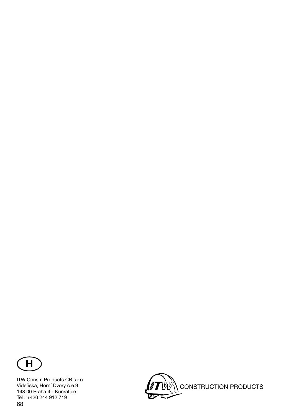

68 ITW Constr. Products ČR s.r.o. Vídeňská, Horní Dvory č.e.9 148 00 Praha 4 - Kunratice Tel : +420 244 912 719

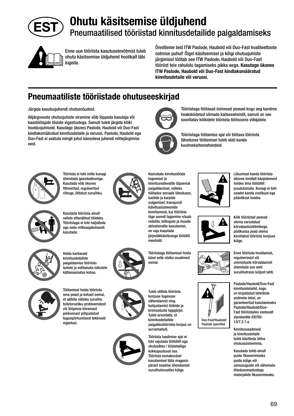

# **Ohutu käsitsemise üldjuhend** Pneumaatilised tööriistad kinnitusdetailide paigaldamiseks



Enne uue tööriista kasutuselevõtmist tuleb ohutu käsitsemise üldjuhend hoolikalt läbi lugeda.

Õnnitleme teid ITW Paslode, Haubold või Duo-Fast kvaliteettoote ostmise puhul! Õigel käsitsemisel ja kõigi ohutusjuhiste järgimisel töötab see ITW Paslode, Haubold või Duo-Fast tööriist teie rahulolu tagamiseks pikka aega. **Kasutage üksnes ITW Paslode, Haubold või Duo-Fast kindlaksmääratud kinnitusdetaile või varuosi.**

#### **Pneumaatiliste tööriistade ohutuseeskirjad**

Järgida kasutusjuhendi ohutusnõudeid.

Alljärgnevate ohutusjuhiste eiramine võib lõppeda kasutaja või kaastöötajate tõsiste vigastustega. Samuti tuleb järgida kõiki hooldusjuhiseid. Kasutage üksnes Paslode, Haubold või Duo-Fast kindlaksmääratud kinnitusdetaile ja varuosi. Paslode, Haubold ega Duo-Fast ei vastuta mingil juhul käesoleva juhendi mittejärgimise eest.



Tööriista ei tohi mitte kunagi ühendada gaasiballooniga. Kasutada võib üksnes filtreeritud, requleeritud rõhuga, õlitatud suruõhku.



Kasutada tööriista ainult sellele ettenähtud töödeks. Tööriistaga ei tohi naljatleda ega seda mitteasjakohaselt kasutada.



Hoida kantavaid kinnitusdetailide paigaldamise tööriistu lastele ja volitamata isikutele kättesaamatus kohas.



Töötamisel hoida tööriista oma peast ja kehast eemal, et vältida näiteks suruõhu toitetorustiku probleemidest või tööpinna kõvemast piirkonnast põhjustatud tagasipõrkumisest tekkivaid vigastusi.







Tööriistaga töötavad inimesed peavad kogu aeg kandma heakskiidetud silmade kaitsevahendit, samuti on see soovitatav kõikidele tööriista töötsoonis viibijatele.



Tööriistaga töötamise ajal või töötava tööriista läheduses töötamisel tuleb alati kanda kuulmekaitsevahendeid.



Tööriistaga töötamisel hoida käed selle otsiku suudmest

eemal.



Liikumisel kanda tööriista üksnes kindlalt käepidemest hoides ilma töölülitit puudutamata. Kunagi ei tohi seadet kanda voolikust ega päästikust hoides.



Kõik tööriistad peavad olema varustatud kiirvabastusliitmikega, pistikuosa peab olema kinnitatud tööriista korpuse külge.



Enne tööriista hooldamist, reguleerimist või ummistuste kõrvaldamist ühendada see alati suruõhutrassi küljest lahti.

Paslode/Haubold/Duo-Fast kinnitusdetailid, nagu on kirjeldatud tehniliste andmete lehel, on garanteeritud kasutamiseks Paslode/Haubold/Duo-Fast tööriistades vastavalt standardile EN792- 13/7.2.1.a.

Kinnitusseadmeid ja kinnitusdetaile tuleb käsitleda ühtse ohutussüsteemina.

Kasutada tohib ainult puidu fikseerimiseks puidu külge või samasuguste või vähemate tihedusomadustega materialide fikseerimiseks.



vähendamist ning kahjustamist löökide ja kriimustuste tagajärjel. Tuleb arvestada, et kinnitusdetailide paigaldustööriista korpus on survemahuti.

Tööriista laadimise ajal ei tohi vajutada töölülitit ega ohutusikke / töödetailiga kokkupuutuvat osa. Tööriista esmakordsel kasutamisel täita magasin pärast seadme ühendamist suruõhutorustiku külge.



Duo-Fast/Haubold/ Paslode specified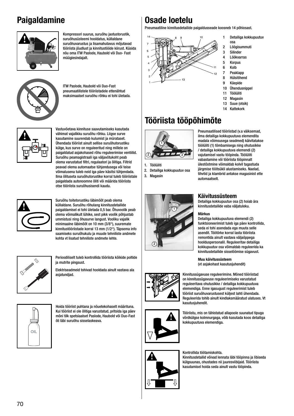#### **Paigaldamine**



Kompressori suurus, suruõhu jaotustorustik, suruõhusüsteemi hooldatus, küllaldane suruõhuvarustus ja lisamahutavus mõjutavad tööriista jõudlust ja kinnitustööde kiirust. Küsida nõu oma ITW Paslode, Haubold või Duo- Fast müügiesindajalt.



ITW Paslode, Haubold või Duo-Fast pneumaatilistele tööriistadele ettenähtud maksimaalset suruõhu rõhku ei tohi ületada.



Vastuvõetava kinnituse saavutamiseks kasutada vähimat vajalikku suruõhu rõhku. Liigse surve kasutamine suurendab kulumist ja mürataset. Ühendada tööriist ainult sellise suruõhutorustiku külge, kus surve on reguleeritud ning millele on paigaldatud asjakohased rõhu reguleerimise ventiilid. Suruõhu peamagistraali iga väljavõtukoht peab olema varustatud filtri, regulaatori ja õlitiga. Filtrid peavad olema automaatse tühjendusega või teise võimalusena tuleb neid iga päev käsitsi tühjendada. Ilma õlituseta suruõhutorustike korral tuleb tööriistale paigaldada autonoomne õliti või määrida tööriista otse tööriista suruõhusisendi kaudu.



Suruõhu toitetorustiku läbimõõt peab olema küllaldane. Suruõhu rõhulang kinnitusdetailide paigaldamisel ei tohi ületada 0,5 bar. Õhuvoolik peab olema võimalikult lühike, sest pikk voolik põhjustab ummistusi ning õhusurve langust. Vooliku vajalik minimaalne läbimõõt on 10 mm (3/8"), suuremate kinnitustööriistade korral 13 mm (1/2"). Täpsema info saamiseks suruõhukulu ja muude tehniliste andmete kohta vt lisatud tehniliste andmete lehte.



Perioodiliselt tuleb kontrollida tööriista kõikide poltide ja mutrite pingsust.

Elektriseadmeid tohivad hooldada ainult vastava ala asjatundjad.



Hoida tööriist puhtana ja nõuetekohaselt määrituna. Kui tööriist ei ole õlitiga varustatud, pritsida iga päev mõni tilk spetsiaalset Paslode, Haubold või Duo-Fast õli läbi suruõhu sisselaskeava.

# **Osade loetelu**

Pneumaatiline kinnitusdetailide paigaldusseade koosneb 14 põhiosast.



- 1 Detailiga kokkupuutuv osa
- 2 Löögisummuti
- 3 Silinder
- 4 Löökvarras
- **Korpus** 6 Kolb
- 7 Peaklapp
- 8 Hülsitihend
- 9 Käepide
- 10 Ühendusnippel
- 11 Töölüliti
- 12 Magasin
- 13 Suue (otsik)
- 14 Kattekork

# **Tööriista tööpõhimõte**



1. Töölüliti

2. Detailiga kokkupuutuv osa 3. Magasin



Pneumaatilised tööriistad (v.a väiksemad, ilma detailiga kokkupuutuva elemendita madala võimsusega seadmed) käivitatakse töölüliti (1) tõmbamisega ning ohutusikke / detailiga kokkupuutuva elemendi (2) vajutamisel vastu tööpinda. Töölüliti vabastamine või tööriista tööpinnalt ülestõstmine võimaldab kolvil tagastuda järgmise töötsükli alustamiseks. Naelad, tihvtid ja klambrid antakse magasinist ette automaatselt.

#### **Käivitussüsteem**

Detailiga kokkupuutuv osa (2) hoiab ära kinnitusdetailide vaba väljatuleku.

#### **Märkus**

Detailiga kokkupuutuva elemendi (2) funktsioneerimist tuleb iga päev kontrollida, seda ei tohi asendada ega muuta selle asendit. Töötõrke korral lasta tööriista remontida ainult vastava väljaõppega hoolduspersonalil. Reguleeritav detailiga kokkupuutuv osa võimaldab reguleerida ka kinnitusdetailide sisselöömise sügavust.

**Muu käivitussüsteem** (vt asjakohast kasutusjuhendit)







Tööriistu, mis on tähistatud allapoole suunatud tipuga võrdkülgse kolmnurgaga, võib kasutada koos detailiga kokkupuutuva elemendiga.

#### Kontrollida töötamiskohta.

Kinnitusdetailid võivad lennata läbi tööpinna ja libiseda külgsuunas, ohustades nii juuresviibijaid. Tööriista kasutamisel hoida seda ainult vastu tööpinda.

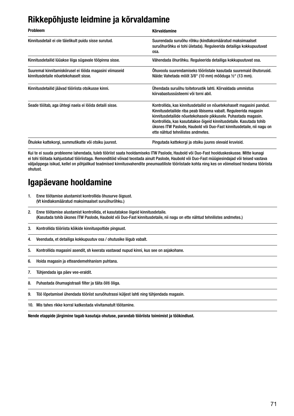## **Rikkepõhjuste leidmine ja kõrvaldamine**

| <b>Probleem</b>                                                                                  | <b>Kõrvaldamine</b>                                                                                                                                                                                                                                                                                                                                                                             |
|--------------------------------------------------------------------------------------------------|-------------------------------------------------------------------------------------------------------------------------------------------------------------------------------------------------------------------------------------------------------------------------------------------------------------------------------------------------------------------------------------------------|
| Kinnitusdetail ei ole täielikult puidu sisse surutud.                                            | Suurendada suruõhu rõhku (kindlaksmääratud maksimaalset<br>suruõhurõhku ei tohi ületada). Reguleerida detailiga kokkupuutuvat<br>osa.                                                                                                                                                                                                                                                           |
| Kinnitusdetailid lüüakse liiga sügavale tööpinna sisse.                                          | Vähendada õhurõhku. Reguleerida detailiga kokkupuutuvat osa.                                                                                                                                                                                                                                                                                                                                    |
| Suuremal kinnitamiskiirusel ei lööda magasini viimaseid<br>kinnitusdetaile nõuetekohaselt sisse. | Ohuvoolu suurendamiseks tööriistale kasutada suuremaid õhutorusid.<br>Näide: Vahetada mõõt 3/8" (10 mm) mõõduga ½" (13 mm).                                                                                                                                                                                                                                                                     |
| Kinnitusdetailid jäävad tööriista otsikusse kinni.                                               | Ühendada suruõhu toitetorustik lahti. Kõrvaldada ummistus<br>kiirvabastussüsteemi või torni abil.                                                                                                                                                                                                                                                                                               |
| Seade töötab, aga ühtegi naela ei lööda detaili sisse.                                           | Kontrollida, kas kinnitusdetailid on nõuetekohaselt magasini pandud.<br>Kinnitusdetailide riba peab libisema vabalt. Reguleerida magasin<br>kinnitusdetailide nõuetekohasele pikkusele. Puhastada magasin.<br>Kontrollida, kas kasutatakse õigeid kinnitusdetaile. Kasutada tohib<br>üksnes ITW Paslode, Haubold või Duo-Fast kinnitusdetaile, nii nagu on<br>ette nähtud tehnilistes andmetes. |
| Öhuleke kattekorgi, summutikatte või otsiku juurest.                                             | Pingutada kattekorgi ja otsiku juures olevaid kruvisid.                                                                                                                                                                                                                                                                                                                                         |

Kui te ei suuda probleeme lahendada, tuleb tööriist saata hooldamiseks ITW Paslode, Haubold või Duo-Fast hoolduskeskusse. Mitte kunagi ei tohi töötada kahjustatud tööriistaga. Remonditöid võivad teostada ainult Paslode, Haubold või Duo-Fast müügiesindajad või teised vastava väljaõppega isikud, kellel on põhjalikud teadmised kinnitusvahendite pneumaatiliste tööriistade kohta ning kes on võimelised hindama tööriista ohutust.

## **Igapäevane hooldamine**

- 1. Enne töötamise alustamist kontrollida õhusurve õigsust. (Vt kindlaksmääratud maksimaalset suruõhurõhku.)
- 2. Enne töötamise alustamist kontrollida, et kasutatakse õigeid kinnitusdetaile. (Kasutada tohib üksnes ITW Paslode, Haubold või Duo-Fast kinnitusdetaile, nii nagu on ette nähtud tehnilistes andmetes.)
- 3. Kontrollida tööriista kõikide kinnituspoltide pingsust.
- 4. Veenduda, et detailiga kokkupuutuv osa / ohutusike liigub vabalt.
- 5. Kontrollida magasini asendit, sh keerata vastavad nupud kinni, kus see on asjakohane.
- 6. Hoida magasin ja etteandemehhanism puhtana.
- 7. Tühjendada iga päev vee-eraldit.
- 8. Puhastada õhumagistraali filter ja täita õliti õliga.
- 9. Töö lõpetamisel ühendada tööriist suruõhutrassi küljest lahti ning tühjendada magasin.
- 10. Mis tahes rikke korral katkestada viivitamatult töötamine.

**Nende etappide järgimine tagab kasutaja ohutuse, parandab tööriista toimimist ja töökindlust.**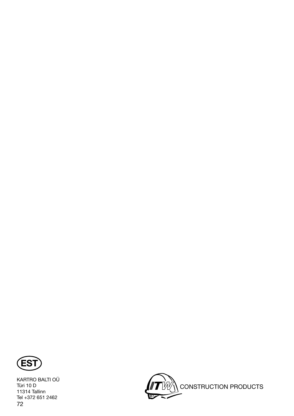

KARTRO BALTI OÜ Türi 10 D 11314 Tallinn Tel +372 651 2462 72